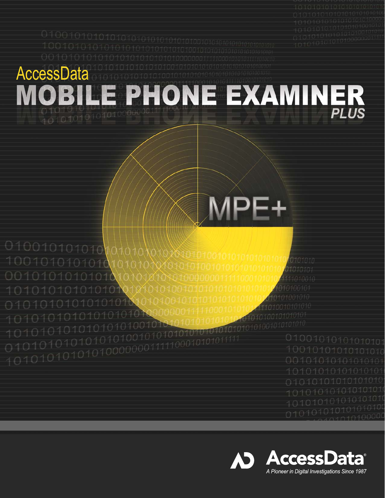AccessData<br>MOBILE PHONE EXAMINER MOBI 

1PE+

I 

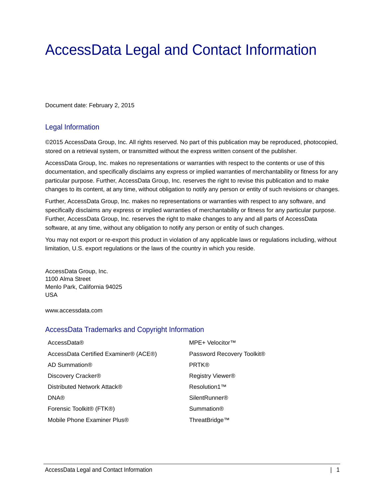# <span id="page-1-0"></span>AccessData Legal and Contact Information

Document date: February 2, 2015

#### Legal Information

©2015 AccessData Group, Inc. All rights reserved. No part of this publication may be reproduced, photocopied, stored on a retrieval system, or transmitted without the express written consent of the publisher.

AccessData Group, Inc. makes no representations or warranties with respect to the contents or use of this documentation, and specifically disclaims any express or implied warranties of merchantability or fitness for any particular purpose. Further, AccessData Group, Inc. reserves the right to revise this publication and to make changes to its content, at any time, without obligation to notify any person or entity of such revisions or changes.

Further, AccessData Group, Inc. makes no representations or warranties with respect to any software, and specifically disclaims any express or implied warranties of merchantability or fitness for any particular purpose. Further, AccessData Group, Inc. reserves the right to make changes to any and all parts of AccessData software, at any time, without any obligation to notify any person or entity of such changes.

You may not export or re-export this product in violation of any applicable laws or regulations including, without limitation, U.S. export regulations or the laws of the country in which you reside.

AccessData Group, Inc. 1100 Alma Street Menlo Park, California 94025 USA

www.accessdata.com

#### AccessData Trademarks and Copyright Information

| AccessData®                                       | MPE+ Velocitor <sup>™</sup>     |
|---------------------------------------------------|---------------------------------|
| AccessData Certified Examiner® (ACE®)             | Password Recovery Toolkit®      |
| AD Summation®                                     | <b>PRTK®</b>                    |
| Discovery Cracker <sup>®</sup>                    | Registry Viewer <sup>®</sup>    |
| Distributed Network Attack®                       | Resolution1™                    |
| <b>DNA®</b>                                       | <b>SilentRunner<sup>®</sup></b> |
| Forensic Toolkit <sup>®</sup> (FTK <sup>®</sup> ) | <b>Summation®</b>               |
| Mobile Phone Examiner Plus®                       | ThreatBridge™                   |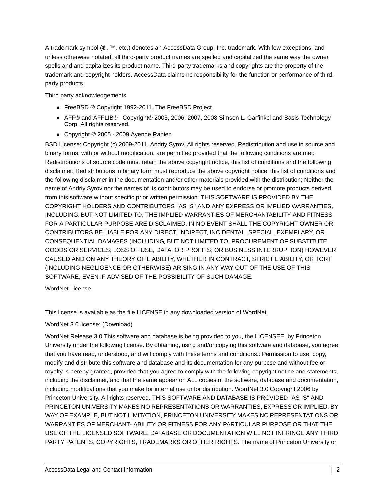A trademark symbol (®, ™, etc.) denotes an AccessData Group, Inc. trademark. With few exceptions, and unless otherwise notated, all third-party product names are spelled and capitalized the same way the owner spells and and capitalizes its product name. Third-party trademarks and copyrights are the property of the trademark and copyright holders. AccessData claims no responsibility for the function or performance of thirdparty products.

Third party acknowledgements:

- FreeBSD ® Copyright 1992-2011. The FreeBSD Project .
- AFF® and AFFLIB® Copyright® 2005, 2006, 2007, 2008 Simson L. Garfinkel and Basis Technology Corp. All rights reserved.
- Copyright © 2005 2009 Ayende Rahien

BSD License: Copyright (c) 2009-2011, Andriy Syrov. All rights reserved. Redistribution and use in source and binary forms, with or without modification, are permitted provided that the following conditions are met: Redistributions of source code must retain the above copyright notice, this list of conditions and the following disclaimer; Redistributions in binary form must reproduce the above copyright notice, this list of conditions and the following disclaimer in the documentation and/or other materials provided with the distribution; Neither the name of Andriy Syrov nor the names of its contributors may be used to endorse or promote products derived from this software without specific prior written permission. THIS SOFTWARE IS PROVIDED BY THE COPYRIGHT HOLDERS AND CONTRIBUTORS "AS IS" AND ANY EXPRESS OR IMPLIED WARRANTIES, INCLUDING, BUT NOT LIMITED TO, THE IMPLIED WARRANTIES OF MERCHANTABILITY AND FITNESS FOR A PARTICULAR PURPOSE ARE DISCLAIMED. IN NO EVENT SHALL THE COPYRIGHT OWNER OR CONTRIBUTORS BE LIABLE FOR ANY DIRECT, INDIRECT, INCIDENTAL, SPECIAL, EXEMPLARY, OR CONSEQUENTIAL DAMAGES (INCLUDING, BUT NOT LIMITED TO, PROCUREMENT OF SUBSTITUTE GOODS OR SERVICES; LOSS OF USE, DATA, OR PROFITS; OR BUSINESS INTERRUPTION) HOWEVER CAUSED AND ON ANY THEORY OF LIABILITY, WHETHER IN CONTRACT, STRICT LIABILITY, OR TORT (INCLUDING NEGLIGENCE OR OTHERWISE) ARISING IN ANY WAY OUT OF THE USE OF THIS SOFTWARE, EVEN IF ADVISED OF THE POSSIBILITY OF SUCH DAMAGE.

WordNet License

This license is available as the file LICENSE in any downloaded version of WordNet.

#### WordNet 3.0 license: (Download)

WordNet Release 3.0 This software and database is being provided to you, the LICENSEE, by Princeton University under the following license. By obtaining, using and/or copying this software and database, you agree that you have read, understood, and will comply with these terms and conditions.: Permission to use, copy, modify and distribute this software and database and its documentation for any purpose and without fee or royalty is hereby granted, provided that you agree to comply with the following copyright notice and statements, including the disclaimer, and that the same appear on ALL copies of the software, database and documentation, including modifications that you make for internal use or for distribution. WordNet 3.0 Copyright 2006 by Princeton University. All rights reserved. THIS SOFTWARE AND DATABASE IS PROVIDED "AS IS" AND PRINCETON UNIVERSITY MAKES NO REPRESENTATIONS OR WARRANTIES, EXPRESS OR IMPLIED. BY WAY OF EXAMPLE, BUT NOT LIMITATION, PRINCETON UNIVERSITY MAKES NO REPRESENTATIONS OR WARRANTIES OF MERCHANT- ABILITY OR FITNESS FOR ANY PARTICULAR PURPOSE OR THAT THE USE OF THE LICENSED SOFTWARE, DATABASE OR DOCUMENTATION WILL NOT INFRINGE ANY THIRD PARTY PATENTS, COPYRIGHTS, TRADEMARKS OR OTHER RIGHTS. The name of Princeton University or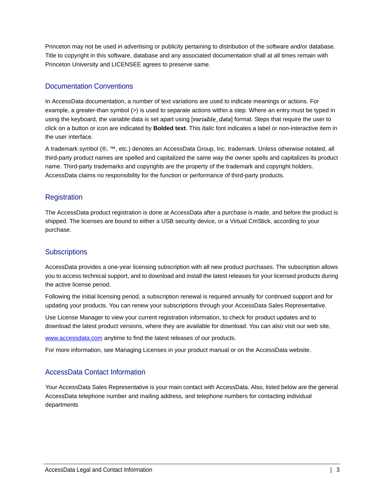Princeton may not be used in advertising or publicity pertaining to distribution of the software and/or database. Title to copyright in this software, database and any associated documentation shall at all times remain with Princeton University and LICENSEE agrees to preserve same.

#### Documentation Conventions

In AccessData documentation, a number of text variations are used to indicate meanings or actions. For example, a greater-than symbol (>) is used to separate actions within a step. Where an entry must be typed in using the keyboard, the variable data is set apart using [*variable\_data*] format. Steps that require the user to click on a button or icon are indicated by **Bolded text**. This *Italic* font indicates a label or non-interactive item in the user interface.

A trademark symbol (®, ™, etc.) denotes an AccessData Group, Inc. trademark. Unless otherwise notated, all third-party product names are spelled and capitalized the same way the owner spells and capitalizes its product name. Third-party trademarks and copyrights are the property of the trademark and copyright holders. AccessData claims no responsibility for the function or performance of third-party products.

#### **Registration**

The AccessData product registration is done at AccessData after a purchase is made, and before the product is shipped. The licenses are bound to either a USB security device, or a Virtual CmStick, according to your purchase.

#### **Subscriptions**

AccessData provides a one-year licensing subscription with all new product purchases. The subscription allows you to access technical support, and to download and install the latest releases for your licensed products during the active license period.

Following the initial licensing period, a subscription renewal is required annually for continued support and for updating your products. You can renew your subscriptions through your AccessData Sales Representative.

Use License Manager to view your current registration information, to check for product updates and to download the latest product versions, where they are available for download. You can also visit our web site,

www.accessdata.com anytime to find the latest releases of our products.

For more information, see Managing Licenses in your product manual or on the AccessData website.

#### AccessData Contact Information

Your AccessData Sales Representative is your main contact with AccessData. Also, listed below are the general AccessData telephone number and mailing address, and telephone numbers for contacting individual departments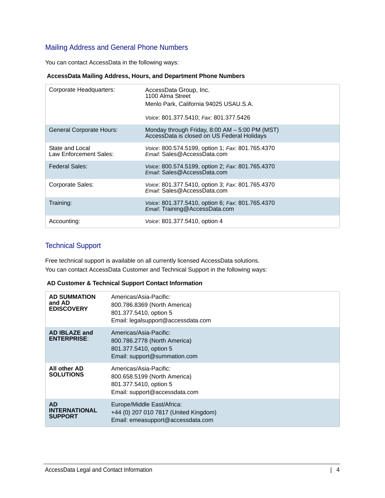#### Mailing Address and General Phone Numbers

You can contact AccessData in the following ways:

#### **AccessData Mailing Address, Hours, and Department Phone Numbers**

| Corporate Headquarters:                   | AccessData Group, Inc.<br>1100 Alma Street<br>Menlo Park, California 94025 USAU.S.A.<br>Voice: 801.377.5410; Fax: 801.377.5426 |
|-------------------------------------------|--------------------------------------------------------------------------------------------------------------------------------|
| General Corporate Hours:                  | Monday through Friday, $8.00$ AM $-5.00$ PM (MST)<br>AccessData is closed on US Federal Holidays                               |
| State and Local<br>Law Enforcement Sales: | Voice: 800.574.5199, option 1; Fax: 801.765.4370<br>Email: Sales@AccessData.com                                                |
| Federal Sales:                            | Voice: 800.574.5199, option 2; Fax: 801.765.4370<br><i>Fmail:</i> Sales@AccessData.com                                         |
| Corporate Sales:                          | Voice: 801.377.5410, option 3; Fax: 801.765.4370<br>Email: Sales@AccessData.com                                                |
| Training:                                 | Voice: 801.377.5410, option 6; Fax: 801.765.4370<br>Email: Training@AccessData.com                                             |
| Accounting:                               | <i>Voice:</i> 801.377.5410, option 4                                                                                           |

#### Technical Support

Free technical support is available on all currently licensed AccessData solutions. You can contact AccessData Customer and Technical Support in the following ways:

#### **AD Customer & Technical Support Contact Information**

| <b>AD SUMMATION</b><br>and AD<br><b>EDISCOVERY</b>  | Americas/Asia-Pacific:<br>800.786.8369 (North America)<br>801.377.5410, option 5<br>Email: legalsupport@accessdata.com |
|-----------------------------------------------------|------------------------------------------------------------------------------------------------------------------------|
| AD IBLAZE and<br><b>ENTERPRISE:</b>                 | Americas/Asia-Pacific:<br>800.786.2778 (North America)<br>801.377.5410, option 5<br>Email: support@summation.com       |
| All other AD<br><b>SOLUTIONS</b>                    | Americas/Asia-Pacific:<br>800.658.5199 (North America)<br>801.377.5410, option 5<br>Email: support@accessdata.com      |
| <b>AD</b><br><b>INTERNATIONAL</b><br><b>SUPPORT</b> | Europe/Middle East/Africa:<br>+44 (0) 207 010 7817 (United Kingdom)<br>Email: emeasupport@accessdata.com               |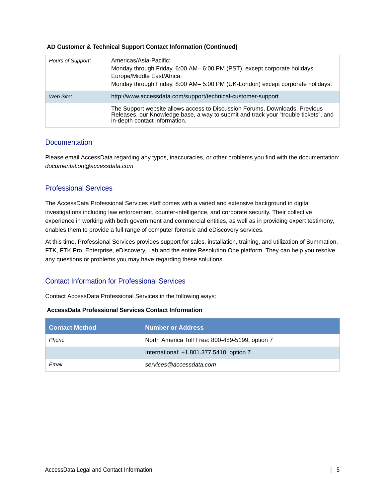#### **AD Customer & Technical Support Contact Information (Continued)**

| Hours of Support: | Americas/Asia-Pacific:<br>Monday through Friday, 6:00 AM- 6:00 PM (PST), except corporate holidays.<br>Europe/Middle East/Africa:<br>Monday through Friday, 8:00 AM- 5:00 PM (UK-London) except corporate holidays. |
|-------------------|---------------------------------------------------------------------------------------------------------------------------------------------------------------------------------------------------------------------|
| Web Site:         | http://www.accessdata.com/support/technical-customer-support                                                                                                                                                        |
|                   | The Support website allows access to Discussion Forums, Downloads, Previous<br>Releases, our Knowledge base, a way to submit and track your "trouble tickets", and<br>in-depth contact information.                 |

#### **Documentation**

Please email AccessData regarding any typos, inaccuracies, or other problems you find with the documentation: *documentation@accessdata.com*

#### Professional Services

The AccessData Professional Services staff comes with a varied and extensive background in digital investigations including law enforcement, counter-intelligence, and corporate security. Their collective experience in working with both government and commercial entities, as well as in providing expert testimony, enables them to provide a full range of computer forensic and eDiscovery services.

At this time, Professional Services provides support for sales, installation, training, and utilization of Summation, FTK, FTK Pro, Enterprise, eDiscovery, Lab and the entire Resolution One platform. They can help you resolve any questions or problems you may have regarding these solutions.

#### Contact Information for Professional Services

Contact AccessData Professional Services in the following ways:

#### **AccessData Professional Services Contact Information**

| <b>Contact Method</b> | <b>Number or Address</b>                        |
|-----------------------|-------------------------------------------------|
| Phone                 | North America Toll Free: 800-489-5199, option 7 |
|                       | International: +1.801.377.5410, option 7        |
| Email                 | services@accessdata.com                         |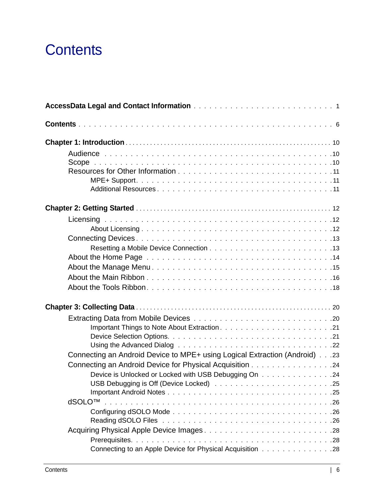# <span id="page-6-0"></span>**Contents**

| Connecting an Android Device to MPE+ using Logical Extraction (Android)23 |  |  |  |  |
|---------------------------------------------------------------------------|--|--|--|--|
|                                                                           |  |  |  |  |
| Device is Unlocked or Locked with USB Debugging On 24                     |  |  |  |  |
|                                                                           |  |  |  |  |
|                                                                           |  |  |  |  |
|                                                                           |  |  |  |  |
|                                                                           |  |  |  |  |
|                                                                           |  |  |  |  |
|                                                                           |  |  |  |  |
|                                                                           |  |  |  |  |
| Connecting to an Apple Device for Physical Acquisition 28                 |  |  |  |  |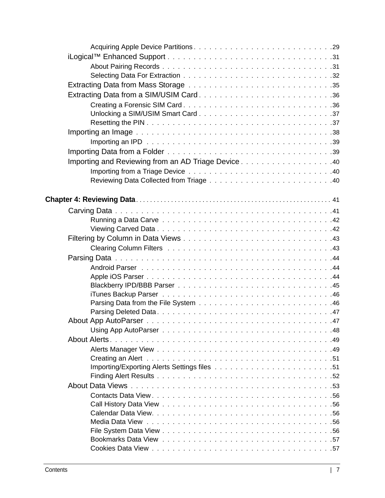| Importing and Reviewing from an AD Triage Device 40 |  |
|-----------------------------------------------------|--|
|                                                     |  |
|                                                     |  |
|                                                     |  |
|                                                     |  |
|                                                     |  |
|                                                     |  |
|                                                     |  |
|                                                     |  |
|                                                     |  |
|                                                     |  |
|                                                     |  |
|                                                     |  |
|                                                     |  |
|                                                     |  |
|                                                     |  |
|                                                     |  |
|                                                     |  |
|                                                     |  |
|                                                     |  |
|                                                     |  |
|                                                     |  |
|                                                     |  |
|                                                     |  |
|                                                     |  |
|                                                     |  |
|                                                     |  |
|                                                     |  |
|                                                     |  |
|                                                     |  |
|                                                     |  |
|                                                     |  |
|                                                     |  |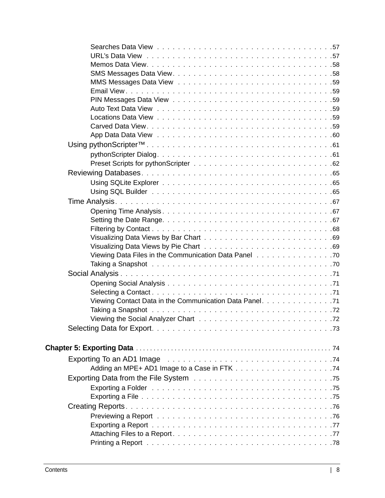| Viewing Data Files in the Communication Data Panel 70                                                          |
|----------------------------------------------------------------------------------------------------------------|
|                                                                                                                |
|                                                                                                                |
|                                                                                                                |
|                                                                                                                |
| Viewing Contact Data in the Communication Data Panel. 71                                                       |
|                                                                                                                |
|                                                                                                                |
|                                                                                                                |
|                                                                                                                |
|                                                                                                                |
| Exporting To an AD1 Image Address and Allen Andreas Address and Allen Andreas Address Anders Anders Anders Add |
|                                                                                                                |
|                                                                                                                |
|                                                                                                                |
|                                                                                                                |
|                                                                                                                |
|                                                                                                                |
|                                                                                                                |
|                                                                                                                |
|                                                                                                                |
|                                                                                                                |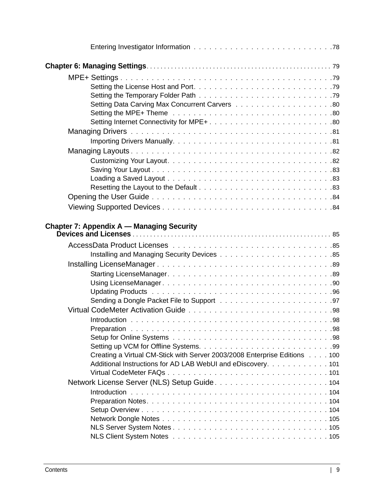| Setting the MPE+ Theme resources in the contract of the setting the MPE+ Theme resources in the contract of the setting of $\sim$ 500 $\mu$ |  |  |
|---------------------------------------------------------------------------------------------------------------------------------------------|--|--|
|                                                                                                                                             |  |  |
|                                                                                                                                             |  |  |
|                                                                                                                                             |  |  |
|                                                                                                                                             |  |  |
|                                                                                                                                             |  |  |
|                                                                                                                                             |  |  |
|                                                                                                                                             |  |  |
|                                                                                                                                             |  |  |
|                                                                                                                                             |  |  |
|                                                                                                                                             |  |  |
|                                                                                                                                             |  |  |
| <b>Chapter 7: Appendix A — Managing Security</b>                                                                                            |  |  |
|                                                                                                                                             |  |  |
|                                                                                                                                             |  |  |
|                                                                                                                                             |  |  |
|                                                                                                                                             |  |  |
|                                                                                                                                             |  |  |
|                                                                                                                                             |  |  |
|                                                                                                                                             |  |  |
|                                                                                                                                             |  |  |
|                                                                                                                                             |  |  |
|                                                                                                                                             |  |  |
|                                                                                                                                             |  |  |
|                                                                                                                                             |  |  |
|                                                                                                                                             |  |  |
| Creating a Virtual CM-Stick with Server 2003/2008 Enterprise Editions 100                                                                   |  |  |
| Additional Instructions for AD LAB WebUI and eDiscovery. 101                                                                                |  |  |
|                                                                                                                                             |  |  |
|                                                                                                                                             |  |  |
|                                                                                                                                             |  |  |
|                                                                                                                                             |  |  |
|                                                                                                                                             |  |  |
|                                                                                                                                             |  |  |
|                                                                                                                                             |  |  |
|                                                                                                                                             |  |  |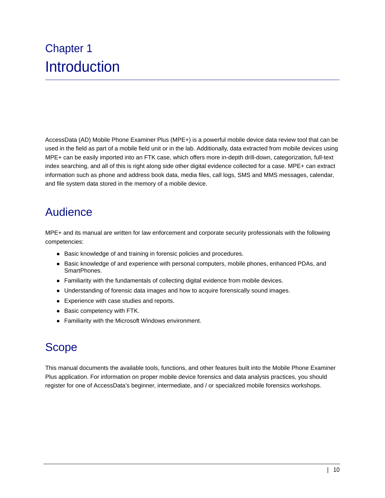<span id="page-10-0"></span>AccessData (AD) Mobile Phone Examiner Plus (MPE+) is a powerful mobile device data review tool that can be used in the field as part of a mobile field unit or in the lab. Additionally, data extracted from mobile devices using MPE+ can be easily imported into an FTK case, which offers more in-depth drill-down, categorization, full-text index searching, and all of this is right along side other digital evidence collected for a case. MPE+ can extract information such as phone and address book data, media files, call logs, SMS and MMS messages, calendar, and file system data stored in the memory of a mobile device.

## <span id="page-10-1"></span>Audience

MPE+ and its manual are written for law enforcement and corporate security professionals with the following competencies:

- Basic knowledge of and training in forensic policies and procedures.
- Basic knowledge of and experience with personal computers, mobile phones, enhanced PDAs, and SmartPhones.
- Familiarity with the fundamentals of collecting digital evidence from mobile devices.
- Understanding of forensic data images and how to acquire forensically sound images.
- Experience with case studies and reports.
- Basic competency with FTK.
- Familiarity with the Microsoft Windows environment.

### <span id="page-10-2"></span>Scope

This manual documents the available tools, functions, and other features built into the Mobile Phone Examiner Plus application. For information on proper mobile device forensics and data analysis practices, you should register for one of AccessData's beginner, intermediate, and / or specialized mobile forensics workshops.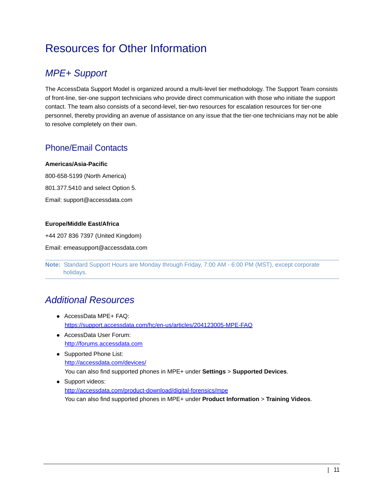# <span id="page-11-0"></span>Resources for Other Information

### <span id="page-11-1"></span>*MPE+ Support*

The AccessData Support Model is organized around a multi-level tier methodology. The Support Team consists of front-line, tier-one support technicians who provide direct communication with those who initiate the support contact. The team also consists of a second-level, tier-two resources for escalation resources for tier-one personnel, thereby providing an avenue of assistance on any issue that the tier-one technicians may not be able to resolve completely on their own.

### Phone/Email Contacts

#### **Americas/Asia-Pacific**

800-658-5199 (North America) 801.377.5410 and select Option 5. Email: support@accessdata.com

#### **Europe/Middle East/Africa**

+44 207 836 7397 (United Kingdom) Email: emeasupport@accessdata.com

**Note:** Standard Support Hours are Monday through Friday, 7:00 AM - 6:00 PM (MST), except corporate holidays.

### <span id="page-11-2"></span>*Additional Resources*

- AccessData MPE+ FAQ: <https://support.accessdata.com/hc/en-us/articles/204123005-MPE-FAQ>
- AccessData User Forum: <http://forums.accessdata.com>
- Supported Phone List: <http://accessdata.com/devices/> You can also find supported phones in MPE+ under **Settings** > **Supported Devices**.
- Support videos:

<http://accessdata.com/product-download/digital-forensics/mpe>

You can also find supported phones in MPE+ under **Product Information** > **Training Videos**.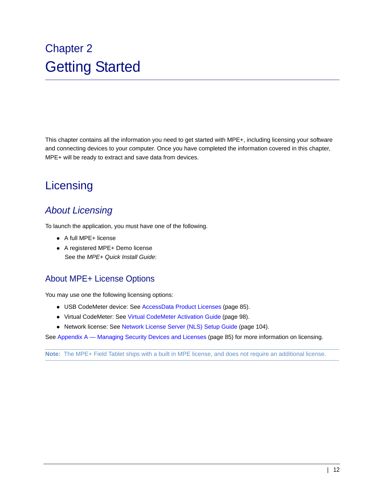<span id="page-12-0"></span>This chapter contains all the information you need to get started with MPE+, including licensing your software and connecting devices to your computer. Once you have completed the information covered in this chapter, MPE+ will be ready to extract and save data from devices.

# <span id="page-12-1"></span>**Licensing**

### <span id="page-12-2"></span>*About Licensing*

To launch the application, you must have one of the following.

- A full MPE+ license
- A registered MPE+ Demo license See the *MPE+ Quick Install Guide*:

### About MPE+ License Options

You may use one the following licensing options:

- USB CodeMeter device: See [AccessData Product Licenses \(page 85\)](#page-85-3).
- Virtual CodeMeter: See [Virtual CodeMeter Activation Guide \(page 98\)](#page-98-4).
- Network license: See [Network License Server \(NLS\) Setup Guide \(page 104\).](#page-104-4)

See [Appendix A — Managing Security Devices and Licenses \(page 85\)](#page-85-4) for more information on licensing.

**Note:** The MPE+ Field Tablet ships with a built in MPE license, and does not require an additional license.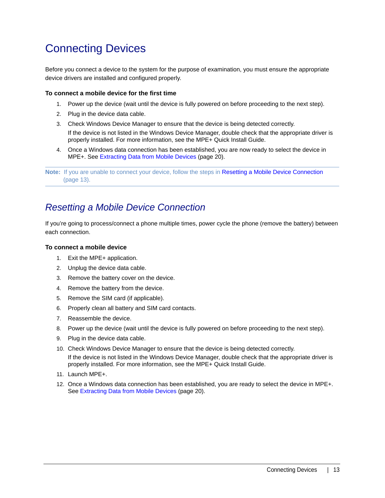# <span id="page-13-2"></span><span id="page-13-0"></span>Connecting Devices

Before you connect a device to the system for the purpose of examination, you must ensure the appropriate device drivers are installed and configured properly.

#### **To connect a mobile device for the first time**

- 1. Power up the device (wait until the device is fully powered on before proceeding to the next step).
- 2. Plug in the device data cable.
- 3. Check Windows Device Manager to ensure that the device is being detected correctly. If the device is not listed in the Windows Device Manager, double check that the appropriate driver is properly installed. For more information, see the MPE+ Quick Install Guide.
- 4. Once a Windows data connection has been established, you are now ready to select the device in MPE+. See [Extracting Data from Mobile Devices \(page 20\)](#page-20-2).

**Note:** If you are unable to connect your device, follow the steps in [Resetting a Mobile Device Connection](#page-13-1) [\(page 13\)](#page-13-1).

### <span id="page-13-3"></span><span id="page-13-1"></span>*Resetting a Mobile Device Connection*

If you're going to process/connect a phone multiple times, power cycle the phone (remove the battery) between each connection.

#### **To connect a mobile device**

- 1. Exit the MPE+ application.
- 2. Unplug the device data cable.
- 3. Remove the battery cover on the device.
- 4. Remove the battery from the device.
- 5. Remove the SIM card (if applicable).
- 6. Properly clean all battery and SIM card contacts.
- 7. Reassemble the device.
- 8. Power up the device (wait until the device is fully powered on before proceeding to the next step).
- 9. Plug in the device data cable.
- 10. Check Windows Device Manager to ensure that the device is being detected correctly. If the device is not listed in the Windows Device Manager, double check that the appropriate driver is properly installed. For more information, see the MPE+ Quick Install Guide.
- 11. Launch MPE+.
- 12. Once a Windows data connection has been established, you are ready to select the device in MPE+. See [Extracting Data from Mobile Devices \(page 20\).](#page-20-2)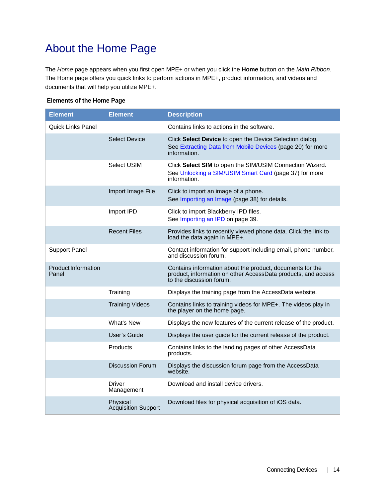# <span id="page-14-0"></span>About the Home Page

The *Home* page appears when you first open MPE+ or when you click the **Home** button on the *Main Ribbon*. The Home page offers you quick links to perform actions in MPE+, product information, and videos and documents that will help you utilize MPE+.

#### **Elements of the Home Page**

| <b>Element</b>               | <b>Element</b>                         | <b>Description</b>                                                                                                                                     |
|------------------------------|----------------------------------------|--------------------------------------------------------------------------------------------------------------------------------------------------------|
| <b>Ouick Links Panel</b>     |                                        | Contains links to actions in the software.                                                                                                             |
|                              | <b>Select Device</b>                   | Click Select Device to open the Device Selection dialog.<br>See Extracting Data from Mobile Devices (page 20) for more<br>information.                 |
|                              | Select USIM                            | Click Select SIM to open the SIM/USIM Connection Wizard.<br>See Unlocking a SIM/USIM Smart Card (page 37) for more<br>information.                     |
|                              | Import Image File                      | Click to import an image of a phone.<br>See Importing an Image (page 38) for details.                                                                  |
|                              | Import IPD                             | Click to import Blackberry IPD files.<br>See Importing an IPD on page 39.                                                                              |
|                              | <b>Recent Files</b>                    | Provides links to recently viewed phone data. Click the link to<br>load the data again in MPE+.                                                        |
| <b>Support Panel</b>         |                                        | Contact information for support including email, phone number,<br>and discussion forum.                                                                |
| Product Information<br>Panel |                                        | Contains information about the product, documents for the<br>product, information on other AccessData products, and access<br>to the discussion forum. |
|                              | Training                               | Displays the training page from the AccessData website.                                                                                                |
|                              | <b>Training Videos</b>                 | Contains links to training videos for MPE+. The videos play in<br>the player on the home page.                                                         |
|                              | What's New                             | Displays the new features of the current release of the product.                                                                                       |
|                              | User's Guide                           | Displays the user guide for the current release of the product.                                                                                        |
|                              | Products                               | Contains links to the landing pages of other AccessData<br>products.                                                                                   |
|                              | <b>Discussion Forum</b>                | Displays the discussion forum page from the AccessData<br>website.                                                                                     |
|                              | Driver<br>Management                   | Download and install device drivers.                                                                                                                   |
|                              | Physical<br><b>Acquisition Support</b> | Download files for physical acquisition of iOS data.                                                                                                   |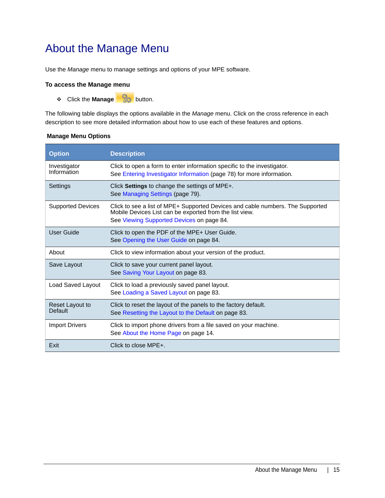# <span id="page-15-0"></span>About the Manage Menu

Use the *Manage* menu to manage settings and options of your MPE software.

#### **To access the Manage menu**

 $\therefore$  Click the **Manage Button**.

The following table displays the options available in the *Manage* menu. Click on the cross reference in each description to see more detailed information about how to use each of these features and options.

#### **Manage Menu Options**

| <b>Option</b>               | <b>Description</b>                                                                                                                                                                     |
|-----------------------------|----------------------------------------------------------------------------------------------------------------------------------------------------------------------------------------|
| Investigator<br>Information | Click to open a form to enter information specific to the investigator.<br>See Entering Investigator Information (page 78) for more information.                                       |
| Settings                    | Click Settings to change the settings of MPE+.<br>See Managing Settings (page 79).                                                                                                     |
| Supported Devices           | Click to see a list of MPE+ Supported Devices and cable numbers. The Supported<br>Mobile Devices List can be exported from the list view.<br>See Viewing Supported Devices on page 84. |
| User Guide                  | Click to open the PDF of the MPE+ User Guide.<br>See Opening the User Guide on page 84.                                                                                                |
| About                       | Click to view information about your version of the product.                                                                                                                           |
| Save Layout                 | Click to save your current panel layout.<br>See Saving Your Layout on page 83.                                                                                                         |
| <b>Load Saved Layout</b>    | Click to load a previously saved panel layout.<br>See Loading a Saved Layout on page 83.                                                                                               |
| Reset Layout to<br>Default  | Click to reset the layout of the panels to the factory default.<br>See Resetting the Layout to the Default on page 83.                                                                 |
| <b>Import Drivers</b>       | Click to import phone drivers from a file saved on your machine.<br>See About the Home Page on page 14.                                                                                |
| Exit                        | Click to close MPE+.                                                                                                                                                                   |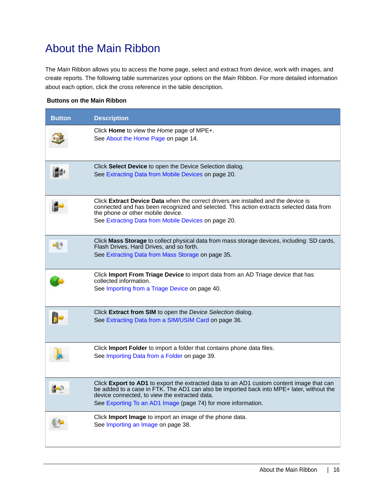# <span id="page-16-0"></span>About the Main Ribbon

The *Main* Ribbon allows you to access the home page, select and extract from device, work with images, and create reports. The following table summarizes your options on the *Main* Ribbon. For more detailed information about each option, click the cross reference in the table description.

#### **Buttons on the Main Ribbon**

| <b>Button</b> | <b>Description</b>                                                                                                                                                                                                                                                                                      |
|---------------|---------------------------------------------------------------------------------------------------------------------------------------------------------------------------------------------------------------------------------------------------------------------------------------------------------|
|               | Click Home to view the Home page of MPE+.<br>See About the Home Page on page 14.                                                                                                                                                                                                                        |
|               | Click Select Device to open the Device Selection dialog.<br>See Extracting Data from Mobile Devices on page 20.                                                                                                                                                                                         |
|               | Click Extract Device Data when the correct drivers are installed and the device is<br>connected and has been recognized and selected. This action extracts selected data from<br>the phone or other mobile device.<br>See Extracting Data from Mobile Devices on page 20.                               |
|               | Click Mass Storage to collect physical data from mass storage devices, including: SD cards,<br>Flash Drives, Hard Drives, and so forth.<br>See Extracting Data from Mass Storage on page 35.                                                                                                            |
|               | Click Import From Triage Device to import data from an AD Triage device that has<br>collected information.<br>See Importing from a Triage Device on page 40.                                                                                                                                            |
|               | Click Extract from SIM to open the Device Selection dialog.<br>See Extracting Data from a SIM/USIM Card on page 36.                                                                                                                                                                                     |
|               | Click Import Folder to import a folder that contains phone data files.<br>See Importing Data from a Folder on page 39.                                                                                                                                                                                  |
|               | Click Export to AD1 to export the extracted data to an AD1 custom content image that can<br>be added to a case in FTK. The AD1 can also be imported back into MPE+ later. without the<br>device connected, to view the extracted data.<br>See Exporting To an AD1 Image (page 74) for more information. |
|               | Click Import Image to import an image of the phone data.<br>See Importing an Image on page 38.                                                                                                                                                                                                          |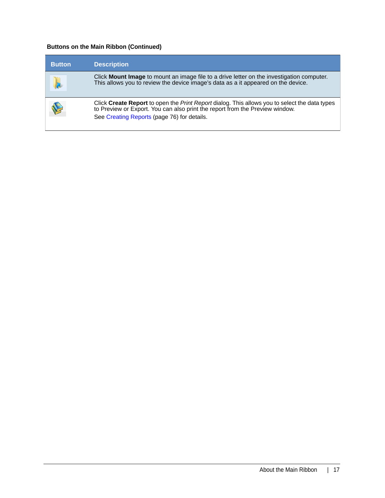#### **Buttons on the Main Ribbon (Continued)**

| <b>Button</b>     | <b>Description</b>                                                                                                                                                                                                        |
|-------------------|---------------------------------------------------------------------------------------------------------------------------------------------------------------------------------------------------------------------------|
| <b>IX</b>         | Click <b>Mount Image</b> to mount an image file to a drive letter on the investigation computer.<br>This allows you to review the device image's data as a it appeared on the device.                                     |
| <b>CONTROLLER</b> | Click Create Report to open the Print Report dialog. This allows you to select the data types to Preview or Export. You can also print the report from the Preview window.<br>See Creating Reports (page 76) for details. |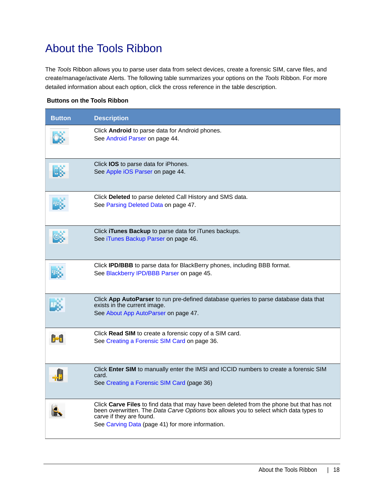# <span id="page-18-0"></span>About the Tools Ribbon

The *Tools* Ribbon allows you to parse user data from select devices, create a forensic SIM, carve files, and create/manage/activate Alerts. The following table summarizes your options on the *Tools* Ribbon. For more detailed information about each option, click the cross reference in the table description.

#### **Buttons on the Tools Ribbon**

| <b>Button</b>     | <b>Description</b>                                                                                                                                                                                                                                                 |
|-------------------|--------------------------------------------------------------------------------------------------------------------------------------------------------------------------------------------------------------------------------------------------------------------|
|                   | Click <b>Android</b> to parse data for Android phones.<br>See Android Parser on page 44.                                                                                                                                                                           |
|                   | Click IOS to parse data for iPhones.<br>See Apple iOS Parser on page 44.                                                                                                                                                                                           |
|                   | Click Deleted to parse deleted Call History and SMS data.<br>See Parsing Deleted Data on page 47.                                                                                                                                                                  |
|                   | Click iTunes Backup to parse data for iTunes backups.<br>See <i>iTunes Backup Parser</i> on page 46.                                                                                                                                                               |
|                   | Click <b>IPD/BBB</b> to parse data for BlackBerry phones, including BBB format.<br>See Blackberry IPD/BBB Parser on page 45.                                                                                                                                       |
|                   | Click App AutoParser to run pre-defined database queries to parse database data that<br>exists in the current image.<br>See About App AutoParser on page 47.                                                                                                       |
| $\mathbf{B}^{-1}$ | Click Read SIM to create a forensic copy of a SIM card.<br>See Creating a Forensic SIM Card on page 36.                                                                                                                                                            |
|                   | Click Enter SIM to manually enter the IMSI and ICCID numbers to create a forensic SIM<br>card.<br>See Creating a Forensic SIM Card (page 36)                                                                                                                       |
|                   | Click Carve Files to find data that may have been deleted from the phone but that has not<br>been overwritten. The Data Carve Options box allows you to select which data types to<br>carve if they are found.<br>See Carving Data (page 41) for more information. |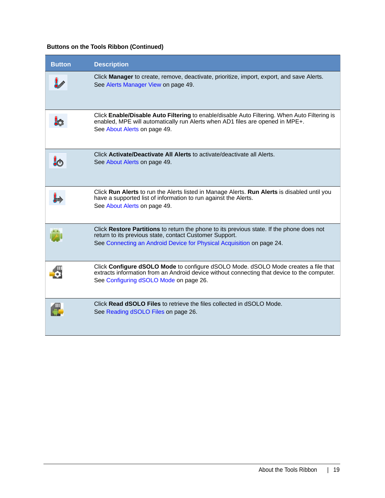#### **Buttons on the Tools Ribbon (Continued)**

| <b>Button</b> | <b>Description</b>                                                                                                                                                                                                            |
|---------------|-------------------------------------------------------------------------------------------------------------------------------------------------------------------------------------------------------------------------------|
|               | Click Manager to create, remove, deactivate, prioritize, import, export, and save Alerts.<br>See Alerts Manager View on page 49.                                                                                              |
|               | Click Enable/Disable Auto Filtering to enable/disable Auto Filtering. When Auto Filtering is<br>enabled, MPE will automatically run Alerts when AD1 files are opened in MPE+.<br>See About Alerts on page 49.                 |
|               | Click Activate/Deactivate All Alerts to activate/deactivate all Alerts.<br>See About Alerts on page 49.                                                                                                                       |
|               | Click Run Alerts to run the Alerts listed in Manage Alerts. Run Alerts is disabled until you<br>have a supported list of information to run against the Alerts.<br>See About Alerts on page 49.                               |
|               | Click Restore Partitions to return the phone to its previous state. If the phone does not<br>return to its previous state, contact Customer Support.<br>See Connecting an Android Device for Physical Acquisition on page 24. |
|               | Click Configure dSOLO Mode to configure dSOLO Mode. dSOLO Mode creates a file that<br>extracts information from an Android device without connecting that device to the computer.<br>See Configuring dSOLO Mode on page 26.   |
|               | Click <b>Read dSOLO Files</b> to retrieve the files collected in dSOLO Mode.<br>See Reading dSOLO Files on page 26.                                                                                                           |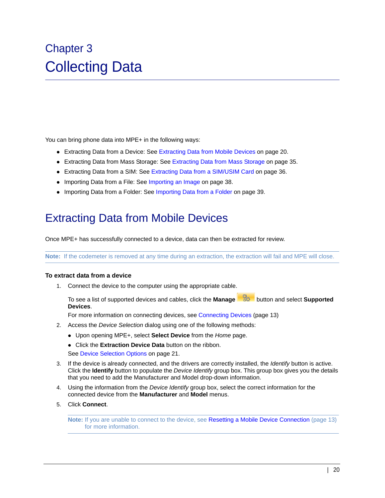# <span id="page-20-0"></span>Chapter 3 Collecting Data

You can bring phone data into MPE+ in the following ways:

- Extracting Data from a Device: [See Extracting Data from Mobile Devices on page 20.](#page-20-1)
- Extracting Data from Mass Storage: [See Extracting Data from Mass Storage on page 35.](#page-35-0)
- Extracting Data from a SIM: [See Extracting Data from a SIM/USIM Card on page 36.](#page-36-0)
- Importing Data from a File: [See Importing an Image on page 38.](#page-38-0)
- Importing Data from a Folder: [See Importing Data from a Folder on page 39.](#page-39-1)

## <span id="page-20-2"></span><span id="page-20-1"></span>Extracting Data from Mobile Devices

Once MPE+ has successfully connected to a device, data can then be extracted for review.

**Note:** If the codemeter is removed at any time during an extraction, the extraction will fail and MPE will close.

#### **To extract data from a device**

1. Connect the device to the computer using the appropriate cable.

To see a list of supported devices and cables, click the **Manage** button and select **Supported Devices**.

For more information on connecting devices, see [Connecting Devices \(page 13\)](#page-13-2)

- 2. Access the *Device Selection* dialog using one of the following methods:
	- Upon opening MPE+, select **Select Device** from the *Home* page.
	- Click the **Extraction Device Data** button on the ribbon.
	- [See Device Selection Options on page 21.](#page-21-1)
- 3. If the device is already connected, and the drivers are correctly installed, the *Identify* button is active. Click the **Identify** button to populate the *Device Identify* group box. This group box gives you the details that you need to add the Manufacturer and Model drop-down information.
- 4. Using the information from the *Device Identify* group box, select the correct information for the connected device from the **Manufacturer** and **Model** menus.
- 5. Click **Connect**.

**Note:** If you are unable to connect to the device, see Resetting a Mobile Device Connection (page 13) for more information.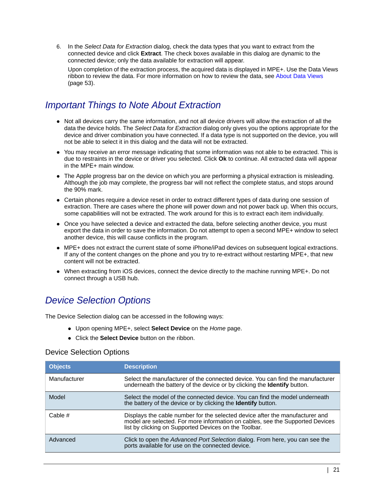6. In the *Select Data for Extraction* dialog, check the data types that you want to extract from the connected device and click **Extract**. The check boxes available in this dialog are dynamic to the connected device; only the data available for extraction will appear.

Upon completion of the extraction process, the acquired data is displayed in MPE+. Use the Data Views ribbon to review the data. For more information on how to review the data, see [About Data Views](#page-53-1) [\(page 53\)](#page-53-1).

### <span id="page-21-0"></span>*Important Things to Note About Extraction*

- Not all devices carry the same information, and not all device drivers will allow the extraction of all the data the device holds. The *Select Data for Extraction* dialog only gives you the options appropriate for the device and driver combination you have connected. If a data type is not supported on the device, you will not be able to select it in this dialog and the data will not be extracted.
- You may receive an error message indicating that some information was not able to be extracted. This is due to restraints in the device or driver you selected. Click **Ok** to continue. All extracted data will appear in the MPE+ main window.
- The Apple progress bar on the device on which you are performing a physical extraction is misleading. Although the job may complete, the progress bar will not reflect the complete status, and stops around the 90% mark.
- Certain phones require a device reset in order to extract different types of data during one session of extraction. There are cases where the phone will power down and not power back up. When this occurs, some capabilities will not be extracted. The work around for this is to extract each item individually.
- Once you have selected a device and extracted the data, before selecting another device, you must export the data in order to save the information. Do not attempt to open a second MPE+ window to select another device, this will cause conflicts in the program.
- MPE+ does not extract the current state of some iPhone/iPad devices on subsequent logical extractions. If any of the content changes on the phone and you try to re-extract without restarting MPE+, that new content will not be extracted.
- When extracting from iOS devices, connect the device directly to the machine running MPE+. Do not connect through a USB hub.

### <span id="page-21-1"></span>*Device Selection Options*

The Device Selection dialog can be accessed in the following ways:

- Upon opening MPE+, select **Select Device** on the *Home* page.
- Click the **Select Device** button on the ribbon.

#### Device Selection Options

| <b>Objects</b> | <b>Description</b>                                                                                                                                                                                                     |
|----------------|------------------------------------------------------------------------------------------------------------------------------------------------------------------------------------------------------------------------|
| Manufacturer   | Select the manufacturer of the connected device. You can find the manufacturer<br>underneath the battery of the device or by clicking the <b>Identify</b> button.                                                      |
| Model          | Select the model of the connected device. You can find the model underneath<br>the battery of the device or by clicking the <b>Identify</b> button.                                                                    |
| Cable #        | Displays the cable number for the selected device after the manufacturer and<br>model are selected. For more information on cables, see the Supported Devices<br>list by clicking on Supported Devices on the Toolbar. |
| Advanced       | Click to open the Advanced Port Selection dialog. From here, you can see the<br>ports available for use on the connected device.                                                                                       |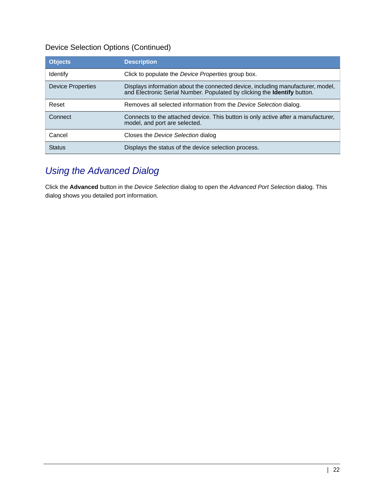#### Device Selection Options (Continued)

| <b>Objects</b>           | <b>Description</b>                                                                                                                                          |
|--------------------------|-------------------------------------------------------------------------------------------------------------------------------------------------------------|
| <b>Identify</b>          | Click to populate the <i>Device Properties</i> group box.                                                                                                   |
| <b>Device Properties</b> | Displays information about the connected device, including manufacturer, model,<br>and Electronic Serial Number. Populated by clicking the Identify button. |
| Reset                    | Removes all selected information from the Device Selection dialog.                                                                                          |
| Connect                  | Connects to the attached device. This button is only active after a manufacturer,<br>model, and port are selected.                                          |
| Cancel                   | Closes the <i>Device Selection</i> dialog                                                                                                                   |
| <b>Status</b>            | Displays the status of the device selection process.                                                                                                        |

## <span id="page-22-0"></span>*Using the Advanced Dialog*

Click the **Advanced** button in the *Device Selection* dialog to open the *Advanced Port Selection* dialog. This dialog shows you detailed port information.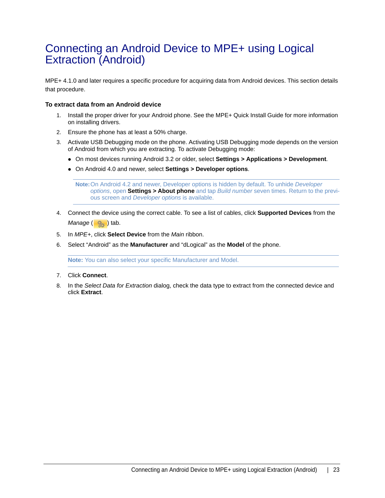### <span id="page-23-0"></span>Connecting an Android Device to MPE+ using Logical Extraction (Android)

MPE+ 4.1.0 and later requires a specific procedure for acquiring data from Android devices. This section details that procedure.

#### **To extract data from an Android device**

- 1. Install the proper driver for your Android phone. See the MPE+ Quick Install Guide for more information on installing drivers.
- 2. Ensure the phone has at least a 50% charge.
- 3. Activate USB Debugging mode on the phone. Activating USB Debugging mode depends on the version of Android from which you are extracting. To activate Debugging mode:
	- On most devices running Android 3.2 or older, select **Settings > Applications > Development**.
	- On Android 4.0 and newer, select **Settings > Developer options**.

**Note:**On Android 4.2 and newer, Developer options is hidden by default. To unhide *Developer options*, open **Settings > About phone** and tap *Build number* seven times. Return to the previous screen and *Developer options* is available.

- 4. Connect the device using the correct cable. To see a list of cables, click **Supported Devices** from the *Manage* ( **)** tab.
- 5. In *MPE+*, click **Select Device** from the *Main* ribbon.
- 6. Select "Android" as the **Manufacturer** and "dLogical" as the **Model** of the phone.

**Note:** You can also select your specific Manufacturer and Model.

- 7. Click **Connect**.
- 8. In the *Select Data for Extraction* dialog, check the data type to extract from the connected device and click **Extract**.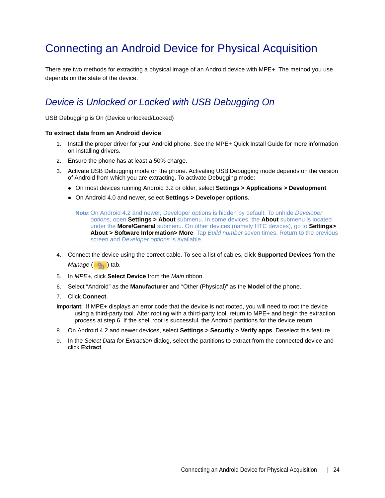# <span id="page-24-2"></span><span id="page-24-0"></span>Connecting an Android Device for Physical Acquisition

There are two methods for extracting a physical image of an Android device with MPE+. The method you use depends on the state of the device.

### <span id="page-24-1"></span>*Device is Unlocked or Locked with USB Debugging On*

USB Debugging is On (Device unlocked/Locked)

#### **To extract data from an Android device**

- 1. Install the proper driver for your Android phone. See the MPE+ Quick Install Guide for more information on installing drivers.
- 2. Ensure the phone has at least a 50% charge.
- 3. Activate USB Debugging mode on the phone. Activating USB Debugging mode depends on the version of Android from which you are extracting. To activate Debugging mode:
	- On most devices running Android 3.2 or older, select **Settings > Applications > Development**.
	- On Android 4.0 and newer, select **Settings > Developer options**.

**Note:**On Android 4.2 and newer, Developer options is hidden by default. To unhide *Developer options*, open **Settings > About** submenu. In some devices, the **About** submenu is located under the **More/General** submenu. On other devices (namely HTC devices), go to **Settings> About > Software Information> More**. Tap *Build number* seven times. Return to the previous screen and *Developer options* is available.

- 4. Connect the device using the correct cable. To see a list of cables, click **Supported Devices** from the *Manage* ( $\frac{1}{2}$ ) tab.
- 5. In *MPE+*, click **Select Device** from the *Main* ribbon.
- 6. Select "Android" as the **Manufacturer** and "Other (Physical)" as the **Model** of the phone.
- 7. Click **Connect**.
- **Important:** If MPE+ displays an error code that the device is not rooted, you will need to root the device using a third-party tool. After rooting with a third-party tool, return to MPE+ and begin the extraction process at step 6. If the shell root is successful, the Android partitions for the device return.
- 8. On Android 4.2 and newer devices, select **Settings > Security > Verify apps**. Deselect this feature.
- 9. In the *Select Data for Extraction* dialog, select the partitions to extract from the connected device and click **Extract**.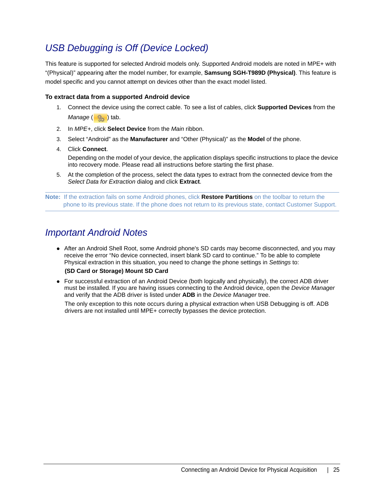### <span id="page-25-0"></span>*USB Debugging is Off (Device Locked)*

This feature is supported for selected Android models only. Supported Android models are noted in MPE+ with "(Physical)" appearing after the model number, for example, **Samsung SGH-T989D (Physical)**. This feature is model specific and you cannot attempt on devices other than the exact model listed.

#### **To extract data from a supported Android device**

- 1. Connect the device using the correct cable. To see a list of cables, click **Supported Devices** from the *Manage* ( $\frac{1}{2}$ ) tab.
- 2. In *MPE+*, click **Select Device** from the *Main* ribbon.
- 3. Select "Android" as the **Manufacturer** and "Other (Physical)" as the **Model** of the phone.
- 4. Click **Connect**.

Depending on the model of your device, the application displays specific instructions to place the device into recovery mode. Please read all instructions before starting the first phase.

5. At the completion of the process, select the data types to extract from the connected device from the *Select Data for Extraction* dialog and click **Extract**.

**Note:** If the extraction fails on some Android phones, click **Restore Partitions** on the toolbar to return the phone to its previous state. If the phone does not return to its previous state, contact Customer Support.

### <span id="page-25-1"></span>*Important Android Notes*

After an Android Shell Root, some Android phone's SD cards may become disconnected, and you may receive the error "No device connected, insert blank SD card to continue." To be able to complete Physical extraction in this situation, you need to change the phone settings in *Settings* to:

#### **(SD Card or Storage) Mount SD Card**

For successful extraction of an Android Device (both logically and physically), the correct ADB driver must be installed. If you are having issues connecting to the Android device, open the *Device Manager* and verify that the ADB driver is listed under **ADB** in the *Device Manager* tree.

The only exception to this note occurs during a physical extraction when USB Debugging is off. ADB drivers are not installed until MPE+ correctly bypasses the device protection.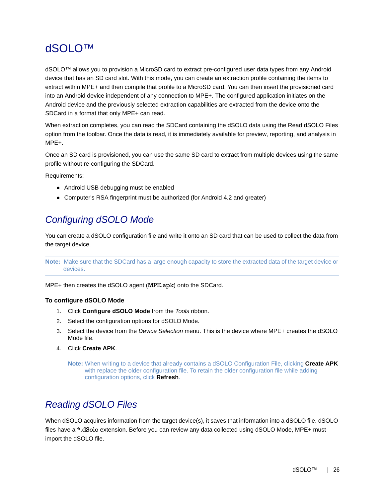# <span id="page-26-0"></span>dSOLO™

dSOLO™ allows you to provision a MicroSD card to extract pre-configured user data types from any Android device that has an SD card slot. With this mode, you can create an extraction profile containing the items to extract within MPE+ and then compile that profile to a MicroSD card. You can then insert the provisioned card into an Android device independent of any connection to MPE+. The configured application initiates on the Android device and the previously selected extraction capabilities are extracted from the device onto the SDCard in a format that only MPE+ can read.

When extraction completes, you can read the SDCard containing the dSOLO data using the Read dSOLO Files option from the toolbar. Once the data is read, it is immediately available for preview, reporting, and analysis in MPE+.

Once an SD card is provisioned, you can use the same SD card to extract from multiple devices using the same profile without re-configuring the SDCard.

Requirements:

- Android USB debugging must be enabled
- Computer's RSA fingerprint must be authorized (for Android 4.2 and greater)

### <span id="page-26-3"></span><span id="page-26-1"></span>*Configuring dSOLO Mode*

You can create a dSOLO configuration file and write it onto an SD card that can be used to collect the data from the target device.

**Note:** Make sure that the SDCard has a large enough capacity to store the extracted data of the target device or devices.

MPE+ then creates the dSOLO agent (MPE.apk) onto the SDCard.

#### **To configure dSOLO Mode**

- 1. Click **Configure dSOLO Mode** from the *Tools* ribbon.
- 2. Select the configuration options for dSOLO Mode.
- 3. Select the device from the *Device Selection* menu. This is the device where MPE+ creates the dSOLO Mode file.
- 4. Click **Create APK**.

**Note:** When writing to a device that already contains a dSOLO Configuration File, clicking **Create APK** with replace the older configuration file. To retain the older configuration file while adding configuration options, click **Refresh**.

### <span id="page-26-4"></span><span id="page-26-2"></span>*Reading dSOLO Files*

When dSOLO acquires information from the target device(s), it saves that information into a dSOLO file. dSOLO files have a \*.dSolo extension. Before you can review any data collected using dSOLO Mode, MPE+ must import the dSOLO file.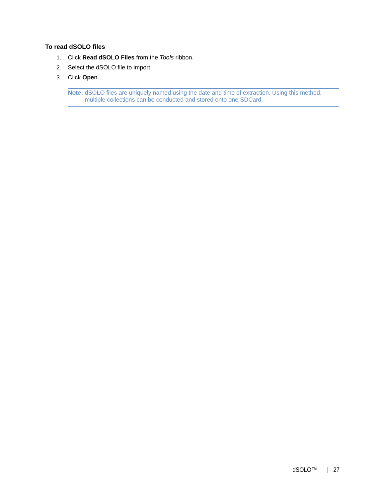#### **To read dSOLO files**

- 1. Click **Read dSOLO Files** from the *Tools* ribbon.
- 2. Select the dSOLO file to import.
- 3. Click **Open**.

**Note:** dSOLO files are uniquely named using the date and time of extraction. Using this method, multiple collections can be conducted and stored onto one SDCard.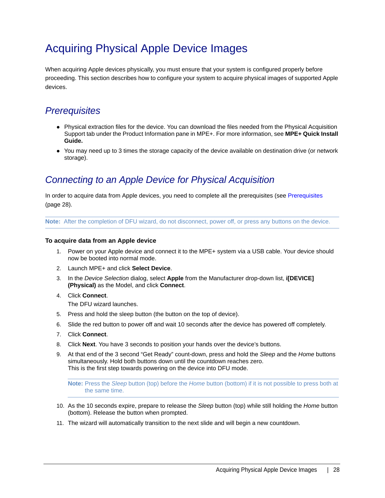# <span id="page-28-0"></span>Acquiring Physical Apple Device Images

When acquiring Apple devices physically, you must ensure that your system is configured properly before proceeding. This section describes how to configure your system to acquire physical images of supported Apple devices.

### <span id="page-28-1"></span>*Prerequisites*

- Physical extraction files for the device. You can download the files needed from the Physical Acquisition Support tab under the Product Information pane in MPE+. For more information, see **MPE+ Quick Install Guide.**
- You may need up to 3 times the storage capacity of the device available on destination drive (or network storage).

### <span id="page-28-2"></span>*Connecting to an Apple Device for Physical Acquisition*

In order to acquire data from Apple devices, you need to complete all the prerequisites (see [Prerequisites](#page-28-1) [\(page 28\)](#page-28-1).

**Note:** After the completion of DFU wizard, do not disconnect, power off, or press any buttons on the device.

#### **To acquire data from an Apple device**

- 1. Power on your Apple device and connect it to the MPE+ system via a USB cable. Your device should now be booted into normal mode.
- 2. Launch MPE+ and click **Select Device**.
- 3. In the *Device Selection* dialog, select **Apple** from the Manufacturer drop-down list, **i[DEVICE] (Physical)** as the Model, and click **Connect**.
- 4. Click **Connect**. The DFU wizard launches.
- 5. Press and hold the sleep button (the button on the top of device).
- 6. Slide the red button to power off and wait 10 seconds after the device has powered off completely.
- 7. Click **Connect**.
- 8. Click **Next**. You have 3 seconds to position your hands over the device's buttons.
- 9. At that end of the 3 second "Get Ready" count-down, press and hold the *Sleep* and the *Home* buttons simultaneously. Hold both buttons down until the countdown reaches zero. This is the first step towards powering on the device into DFU mode.

**Note:** Press the *Sleep* button (top) before the *Home* button (bottom) if it is not possible to press both at the same time.

- 10. As the 10 seconds expire, prepare to release the *Sleep* button (top) while still holding the *Home* button (bottom). Release the button when prompted.
- 11. The wizard will automatically transition to the next slide and will begin a new countdown.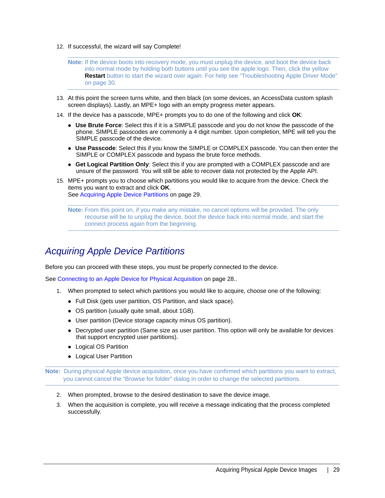12. If successful, the wizard will say Complete!

**Note:** If the device boots into recovery mode, you must unplug the device, and boot the device back into normal mode by holding both buttons until you see the apple logo. Then, click the yellow **Restart** button to start the wizard over again. For help see ["Troubleshooting Apple Driver Mode"](#page-30-0)  [on page 30](#page-30-0).

- 13. At this point the screen turns white, and then black (on some devices, an AccessData custom splash screen displays). Lastly, an MPE+ logo with an empty progress meter appears.
- 14. If the device has a passcode, MPE+ prompts you to do one of the following and click **OK**:
	- **Use Brute Force**: Select this if it is a SIMPLE passcode and you do not know the passcode of the phone. SIMPLE passcodes are commonly a 4 digit number. Upon completion, MPE will tell you the SIMPLE passcode of the device.
	- **Use Passcode**: Select this if you know the SIMPLE or COMPLEX passcode. You can then enter the SIMPLE or COMPLEX passcode and bypass the brute force methods.
	- **Get Logical Partition Only**: Select this if you are prompted with a COMPLEX passcode and are unsure of the password. You will still be able to recover data not protected by the Apple API.
- 15. MPE+ prompts you to choose which partitions you would like to acquire from the device. Check the items you want to extract and click **OK**.

[See Acquiring Apple Device Partitions on page 29.](#page-29-0)

**Note:** From this point on, if you make any mistake, no cancel options will be provided. The only recourse will be to unplug the device, boot the device back into normal mode, and start the connect process again from the beginning.

### <span id="page-29-0"></span>*Acquiring Apple Device Partitions*

Before you can proceed with these steps, you must be properly connected to the device.

[See Connecting to an Apple Device for Physical Acquisition on page 28..](#page-28-2)

- 1. When prompted to select which partitions you would like to acquire, choose one of the following:
	- Full Disk (gets user partition, OS Partition, and slack space).
	- OS partition (usually quite small, about 1GB).
	- User partition (Device storage capacity minus OS partition).
	- Decrypted user partition (Same size as user partition. This option will only be available for devices that support encrypted user partitions).
	- Logical OS Partition
	- Logical User Partition

**Note:** During physical Apple device acquisition, once you have confirmed which partitions you want to extract, you cannot cancel the "Browse for folder" dialog in order to change the selected partitions.

- 2. When prompted, browse to the desired destination to save the device image.
- 3. When the acquisition is complete, you will receive a message indicating that the process completed successfully.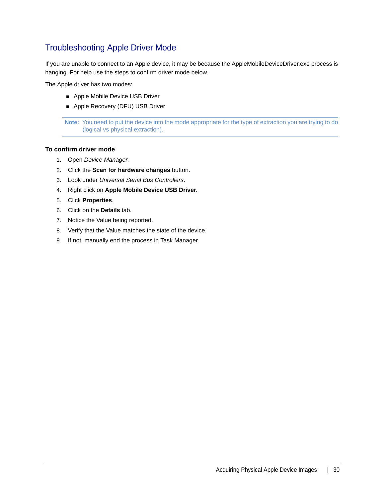### <span id="page-30-0"></span>Troubleshooting Apple Driver Mode

If you are unable to connect to an Apple device, it may be because the AppleMobileDeviceDriver.exe process is hanging. For help use the steps to confirm driver mode below.

The Apple driver has two modes:

- Apple Mobile Device USB Driver
- Apple Recovery (DFU) USB Driver

**Note:** You need to put the device into the mode appropriate for the type of extraction you are trying to do (logical vs physical extraction).

#### **To confirm driver mode**

- 1. Open *Device Manager*.
- 2. Click the **Scan for hardware changes** button.
- 3. Look under *Universal Serial Bus Controllers*.
- 4. Right click on **Apple Mobile Device USB Driver**.
- 5. Click **Properties**.
- 6. Click on the **Details** tab.
- 7. Notice the Value being reported.
- 8. Verify that the Value matches the state of the device.
- 9. If not, manually end the process in Task Manager.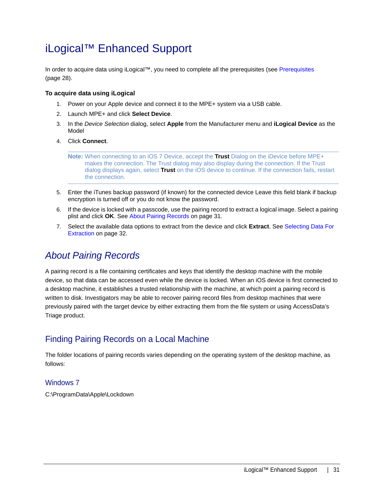# <span id="page-31-0"></span>iLogical™ Enhanced Support

In order to acquire data using iLogical™, you need to complete all the prerequisites (see [Prerequisites](#page-28-1) [\(page 28\)](#page-28-1).

#### **To acquire data using iLogical**

- 1. Power on your Apple device and connect it to the MPE+ system via a USB cable.
- 2. Launch MPE+ and click **Select Device**.
- 3. In the *Device Selection* dialog, select **Apple** from the Manufacturer menu and **iLogical Device** as the Model
- 4. Click **Connect**.

**Note:** When connecting to an iOS 7 Device, accept the **Trust** Dialog on the iDevice before MPE+ makes the connection. The Trust dialog may also display during the connection. If the Trust dialog displays again, select **Trust** on the iOS device to continue. If the connection fails, restart the connection.

- 5. Enter the iTunes backup password (if known) for the connected device Leave this field blank if backup encryption is turned off or you do not know the password.
- 6. If the device is locked with a passcode, use the pairing record to extract a logical image. Select a pairing plist and click **OK**. [See About Pairing Records on page 31.](#page-31-1)
- 7. Select the available data options to extract from the device and click **Extract**. [See Selecting Data For](#page-32-0)  [Extraction on page 32.](#page-32-0)

### <span id="page-31-1"></span>*About Pairing Records*

A pairing record is a file containing certificates and keys that identify the desktop machine with the mobile device, so that data can be accessed even while the device is locked. When an iOS device is first connected to a desktop machine, it establishes a trusted relationship with the machine, at which point a pairing record is written to disk. Investigators may be able to recover pairing record files from desktop machines that were previously paired with the target device by either extracting them from the file system or using AccessData's Triage product.

### Finding Pairing Records on a Local Machine

The folder locations of pairing records varies depending on the operating system of the desktop machine, as follows:

#### Windows 7

C:\ProgramData\Apple\Lockdown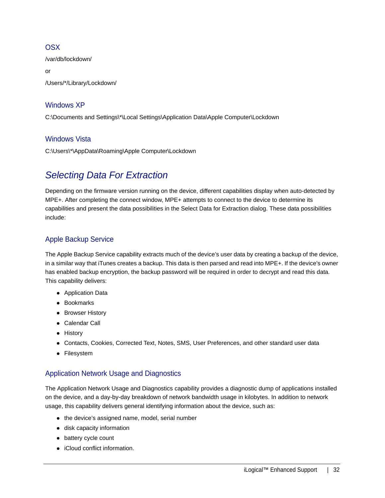#### **OSX**

/var/db/lockdown/

or

/Users/\*/Library/Lockdown/

#### Windows XP

C:\Documents and Settings\\*\Local Settings\Application Data\Apple Computer\Lockdown

#### Windows Vista

C:\Users\\*\AppData\Roaming\Apple Computer\Lockdown

### <span id="page-32-0"></span>*Selecting Data For Extraction*

Depending on the firmware version running on the device, different capabilities display when auto-detected by MPE+. After completing the connect window, MPE+ attempts to connect to the device to determine its capabilities and present the data possibilities in the Select Data for Extraction dialog. These data possibilities include:

#### Apple Backup Service

The Apple Backup Service capability extracts much of the device's user data by creating a backup of the device, in a similar way that iTunes creates a backup. This data is then parsed and read into MPE+. If the device's owner has enabled backup encryption, the backup password will be required in order to decrypt and read this data. This capability delivers:

- Application Data
- Bookmarks
- **•** Browser History
- Calendar Call
- History
- Contacts, Cookies, Corrected Text, Notes, SMS, User Preferences, and other standard user data
- Filesystem

#### Application Network Usage and Diagnostics

The Application Network Usage and Diagnostics capability provides a diagnostic dump of applications installed on the device, and a day-by-day breakdown of network bandwidth usage in kilobytes. In addition to network usage, this capability delivers general identifying information about the device, such as:

- the device's assigned name, model, serial number
- disk capacity information
- battery cycle count
- iCloud conflict information.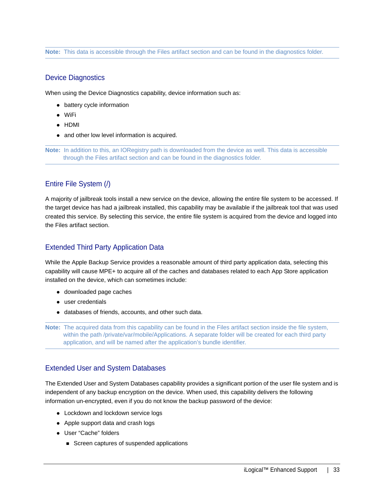**Note:** This data is accessible through the Files artifact section and can be found in the diagnostics folder.

#### Device Diagnostics

When using the Device Diagnostics capability, device information such as:

- battery cycle information
- WiFi
- HDMI
- and other low level information is acquired.

**Note:** In addition to this, an IORegistry path is downloaded from the device as well. This data is accessible through the Files artifact section and can be found in the diagnostics folder.

#### Entire File System (/)

A majority of jailbreak tools install a new service on the device, allowing the entire file system to be accessed. If the target device has had a jailbreak installed, this capability may be available if the jailbreak tool that was used created this service. By selecting this service, the entire file system is acquired from the device and logged into the Files artifact section.

#### Extended Third Party Application Data

While the Apple Backup Service provides a reasonable amount of third party application data, selecting this capability will cause MPE+ to acquire all of the caches and databases related to each App Store application installed on the device, which can sometimes include:

- downloaded page caches
- user credentials
- databases of friends, accounts, and other such data.

#### Extended User and System Databases

The Extended User and System Databases capability provides a significant portion of the user file system and is independent of any backup encryption on the device. When used, this capability delivers the following information un-encrypted, even if you do not know the backup password of the device:

- Lockdown and lockdown service logs
- Apple support data and crash logs
- User "Cache" folders
	- Screen captures of suspended applications

**Note:** The acquired data from this capability can be found in the Files artifact section inside the file system, within the path /private/var/mobile/Applications. A separate folder will be created for each third party application, and will be named after the application's bundle identifier.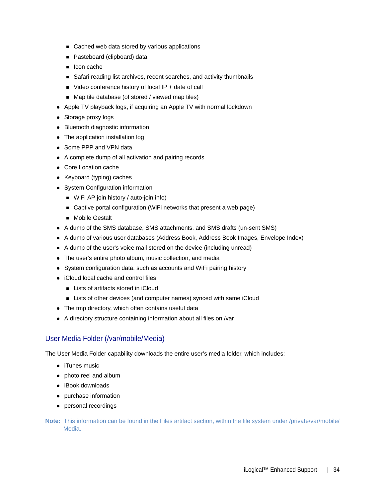- Cached web data stored by various applications
- Pasteboard (clipboard) data
- lcon cache
- Safari reading list archives, recent searches, and activity thumbnails
- $\blacksquare$  Video conference history of local IP + date of call
- Map tile database (of stored / viewed map tiles)
- Apple TV playback logs, if acquiring an Apple TV with normal lockdown
- Storage proxy logs
- Bluetooth diagnostic information
- The application installation log
- Some PPP and VPN data
- A complete dump of all activation and pairing records
- Core Location cache
- Keyboard (typing) caches
- System Configuration information
	- WiFi AP join history / auto-join info)
	- Captive portal configuration (WiFi networks that present a web page)
	- **Mobile Gestalt**
- A dump of the SMS database, SMS attachments, and SMS drafts (un-sent SMS)
- A dump of various user databases (Address Book, Address Book Images, Envelope Index)
- A dump of the user's voice mail stored on the device (including unread)
- The user's entire photo album, music collection, and media
- System configuration data, such as accounts and WiFi pairing history
- iCloud local cache and control files
	- Lists of artifacts stored in iCloud
	- Lists of other devices (and computer names) synced with same iCloud
- The tmp directory, which often contains useful data
- A directory structure containing information about all files on /var

#### User Media Folder (/var/mobile/Media)

The User Media Folder capability downloads the entire user's media folder, which includes:

- iTunes music
- photo reel and album
- iBook downloads
- purchase information
- personal recordings

**Note:** This information can be found in the Files artifact section, within the file system under /private/var/mobile/ Media.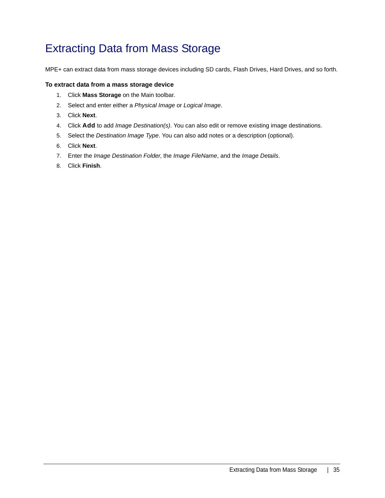# <span id="page-35-1"></span><span id="page-35-0"></span>Extracting Data from Mass Storage

MPE+ can extract data from mass storage devices including SD cards, Flash Drives, Hard Drives, and so forth.

#### **To extract data from a mass storage device**

- 1. Click **Mass Storage** on the Main toolbar.
- 2. Select and enter either a *Physical Image* or *Logical Image*.
- 3. Click **Next**.
- 4. Click **Add** to add *Image Destination(s)*. You can also edit or remove existing image destinations.
- 5. Select the *Destination Image Type*. You can also add notes or a description (optional).
- 6. Click **Next**.
- 7. Enter the *Image Destination Folder*, the *Image FileName*, and the *Image Details*.
- 8. Click **Finish**.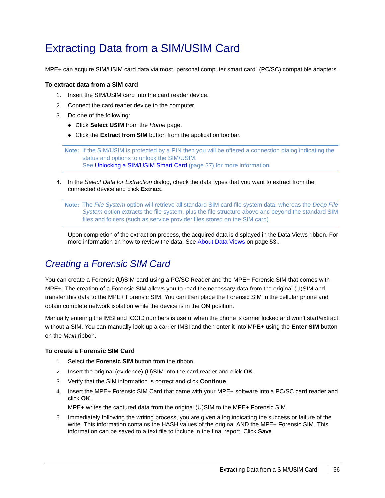# <span id="page-36-0"></span>Extracting Data from a SIM/USIM Card

MPE+ can acquire SIM/USIM card data via most "personal computer smart card" (PC/SC) compatible adapters.

#### **To extract data from a SIM card**

- 1. Insert the SIM/USIM card into the card reader device.
- 2. Connect the card reader device to the computer.
- 3. Do one of the following:
	- Click **Select USIM** from the *Home* page.
	- Click the **Extract from SIM** button from the application toolbar.

**Note:** If the SIM/USIM is protected by a PIN then you will be offered a connection dialog indicating the status and options to unlock the SIM/USIM. See [Unlocking a SIM/USIM Smart Card \(page 37\)](#page-37-0) for more information.

4. In the *Select Data for Extraction* dialog, check the data types that you want to extract from the connected device and click **Extract**.

**Note:** The *File System* option will retrieve all standard SIM card file system data, whereas the *Deep File System* option extracts the file system, plus the file structure above and beyond the standard SIM files and folders (such as service provider files stored on the SIM card).

Upon completion of the extraction process, the acquired data is displayed in the Data Views ribbon. For more information on how to review the data, [See About Data Views on page 53.](#page-53-0).

## *Creating a Forensic SIM Card*

You can create a Forensic (U)SIM card using a PC/SC Reader and the MPE+ Forensic SIM that comes with MPE+. The creation of a Forensic SIM allows you to read the necessary data from the original (U)SIM and transfer this data to the MPE+ Forensic SIM. You can then place the Forensic SIM in the cellular phone and obtain complete network isolation while the device is in the ON position.

Manually entering the IMSI and ICCID numbers is useful when the phone is carrier locked and won't start/extract without a SIM. You can manually look up a carrier IMSI and then enter it into MPE+ using the **Enter SIM** button on the *Main* ribbon.

### **To create a Forensic SIM Card**

- 1. Select the **Forensic SIM** button from the ribbon.
- 2. Insert the original (evidence) (U)SIM into the card reader and click **OK**.
- 3. Verify that the SIM information is correct and click **Continue**.
- 4. Insert the MPE+ Forensic SIM Card that came with your MPE+ software into a PC/SC card reader and click **OK**.

MPE+ writes the captured data from the original (U)SIM to the MPE+ Forensic SIM

5. Immediately following the writing process, you are given a log indicating the success or failure of the write. This information contains the HASH values of the original AND the MPE+ Forensic SIM. This information can be saved to a text file to include in the final report. Click **Save**.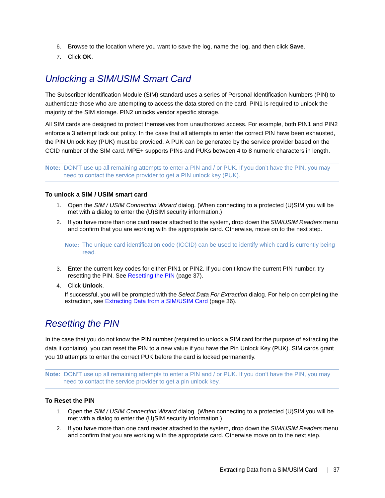- 6. Browse to the location where you want to save the log, name the log, and then click **Save**.
- 7. Click **OK**.

### <span id="page-37-0"></span>*Unlocking a SIM/USIM Smart Card*

The Subscriber Identification Module (SIM) standard uses a series of Personal Identification Numbers (PIN) to authenticate those who are attempting to access the data stored on the card. PIN1 is required to unlock the majority of the SIM storage. PIN2 unlocks vendor specific storage.

All SIM cards are designed to protect themselves from unauthorized access. For example, both PIN1 and PIN2 enforce a 3 attempt lock out policy. In the case that all attempts to enter the correct PIN have been exhausted, the PIN Unlock Key (PUK) must be provided. A PUK can be generated by the service provider based on the CCID number of the SIM card. MPE+ supports PINs and PUKs between 4 to 8 numeric characters in length.

**Note:** DON'T use up all remaining attempts to enter a PIN and / or PUK. If you don't have the PIN, you may need to contact the service provider to get a PIN unlock key (PUK).

#### **To unlock a SIM / USIM smart card**

- 1. Open the *SIM / USIM Connection Wizard* dialog. (When connecting to a protected (U)SIM you will be met with a dialog to enter the (U)SIM security information.)
- 2. If you have more than one card reader attached to the system, drop down the *SIM/USIM Readers* menu and confirm that you are working with the appropriate card. Otherwise, move on to the next step.

**Note:** The unique card identification code (ICCID) can be used to identify which card is currently being read.

- 3. Enter the current key codes for either PIN1 or PIN2. If you don't know the current PIN number, try resetting the PIN. See [Resetting the PIN \(page 37\).](#page-37-1)
- 4. Click **Unlock**.

If successful, you will be prompted with the *Select Data For Extraction* dialog. For help on completing the extraction, see [Extracting Data from a SIM/USIM Card \(page 36\).](#page-36-0)

## <span id="page-37-1"></span>*Resetting the PIN*

In the case that you do not know the PIN number (required to unlock a SIM card for the purpose of extracting the data it contains), you can reset the PIN to a new value if you have the Pin Unlock Key (PUK). SIM cards grant you 10 attempts to enter the correct PUK before the card is locked permanently.

**Note:** DON'T use up all remaining attempts to enter a PIN and / or PUK. If you don't have the PIN, you may need to contact the service provider to get a pin unlock key.

#### **To Reset the PIN**

- 1. Open the *SIM / USIM Connection Wizard* dialog. (When connecting to a protected (U)SIM you will be met with a dialog to enter the (U)SIM security information.)
- 2. If you have more than one card reader attached to the system, drop down the *SIM/USIM Readers* menu and confirm that you are working with the appropriate card. Otherwise move on to the next step.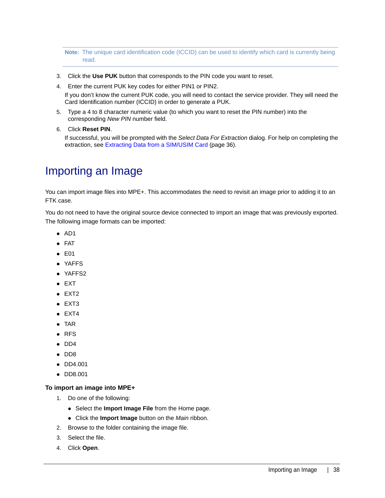**Note:** The unique card identification code (ICCID) can be used to identify which card is currently being read.

- 3. Click the **Use PUK** button that corresponds to the PIN code you want to reset.
- 4. Enter the current PUK key codes for either PIN1 or PIN2.

If you don't know the current PUK code, you will need to contact the service provider. They will need the Card Identification number (ICCID) in order to generate a PUK.

- 5. Type a 4 to 8 character numeric value (to which you want to reset the PIN number) into the corresponding *New PIN* number field.
- 6. Click **Reset PIN**.

If successful, you will be prompted with the *Select Data For Extraction* dialog. For help on completing the extraction, see [Extracting Data from a SIM/USIM Card \(page 36\).](#page-36-0)

# <span id="page-38-0"></span>Importing an Image

You can import image files into MPE+. This accommodates the need to revisit an image prior to adding it to an FTK case.

You do not need to have the original source device connected to import an image that was previously exported. The following image formats can be imported:

- $\bullet$  AD1
- FAT
- $\bullet$  E01
- YAFFS
- YAFFS2
- EXT
- $\bullet$  EXT2
- $\bullet$  EXT3
- $\bullet$  EXT4
- TAR
- RFS
- $\bullet$  DD4
- DD8
- DD4.001
- DD8.001

#### **To import an image into MPE+**

- 1. Do one of the following:
	- Select the **Import Image File** from the Home page.
	- Click the **Import Image** button on the *Main* ribbon.
- 2. Browse to the folder containing the image file.
- 3. Select the file.
- 4. Click **Open**.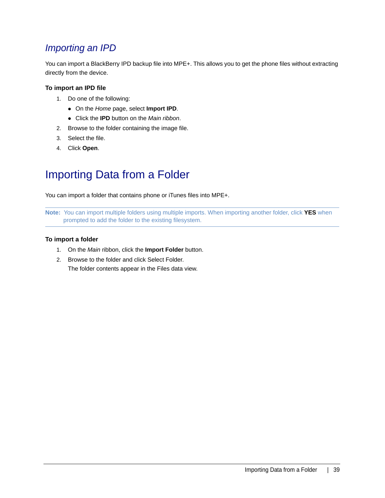## *Importing an IPD*

You can import a BlackBerry IPD backup file into MPE+. This allows you to get the phone files without extracting directly from the device.

### **To import an IPD file**

- 1. Do one of the following:
	- On the *Home* page, select **Import IPD**.
	- Click the **IPD** button on the *Main ribbon*.
- 2. Browse to the folder containing the image file.
- 3. Select the file.
- 4. Click **Open**.

# Importing Data from a Folder

You can import a folder that contains phone or iTunes files into MPE+.

**Note:** You can import multiple folders using multiple imports. When importing another folder, click **YES** when prompted to add the folder to the existing filesystem.

### **To import a folder**

- 1. On the *Main* ribbon, click the **Import Folder** button.
- 2. Browse to the folder and click Select Folder. The folder contents appear in the Files data view.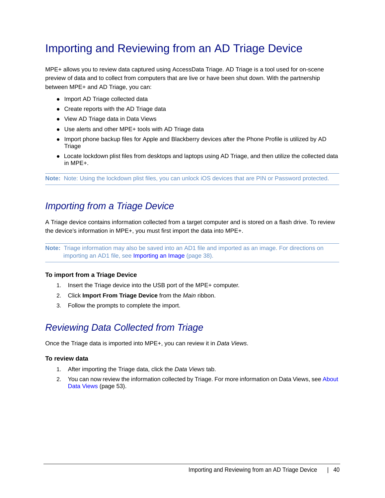# Importing and Reviewing from an AD Triage Device

MPE+ allows you to review data captured using AccessData Triage. AD Triage is a tool used for on-scene preview of data and to collect from computers that are live or have been shut down. With the partnership between MPE+ and AD Triage, you can:

- Import AD Triage collected data
- Create reports with the AD Triage data
- View AD Triage data in Data Views
- Use alerts and other MPE+ tools with AD Triage data
- Import phone backup files for Apple and Blackberry devices after the Phone Profile is utilized by AD Triage
- Locate lockdown plist files from desktops and laptops using AD Triage, and then utilize the collected data in MPE+.

**Note:** Note: Using the lockdown plist files, you can unlock iOS devices that are PIN or Password protected.

### *Importing from a Triage Device*

A Triage device contains information collected from a target computer and is stored on a flash drive. To review the device's information in MPE+, you must first import the data into MPE+.

**Note:** Triage information may also be saved into an AD1 file and imported as an image. For directions on importing an AD1 file, see [Importing an Image \(page 38\).](#page-38-0)

#### **To import from a Triage Device**

- 1. Insert the Triage device into the USB port of the MPE+ computer.
- 2. Click **Import From Triage Device** from the *Main* ribbon.
- 3. Follow the prompts to complete the import.

### *Reviewing Data Collected from Triage*

Once the Triage data is imported into MPE+, you can review it in *Data Views*.

#### **To review data**

- 1. After importing the Triage data, click the *Data Views* tab.
- 2. You can now review the information collected by Triage. For more information on Data Views, see [About](#page-53-0)  [Data Views \(page 53\).](#page-53-0)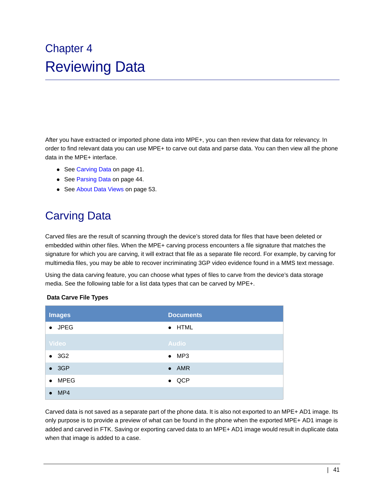# Chapter 4 Reviewing Data

After you have extracted or imported phone data into MPE+, you can then review that data for relevancy. In order to find relevant data you can use MPE+ to carve out data and parse data. You can then view all the phone data in the MPE+ interface.

- [See Carving Data on page 41.](#page-41-0)
- [See Parsing Data on page 44.](#page-44-0)
- [See About Data Views on page 53.](#page-53-1)

# <span id="page-41-0"></span>Carving Data

Carved files are the result of scanning through the device's stored data for files that have been deleted or embedded within other files. When the MPE+ carving process encounters a file signature that matches the signature for which you are carving, it will extract that file as a separate file record. For example, by carving for multimedia files, you may be able to recover incriminating 3GP video evidence found in a MMS text message.

Using the data carving feature, you can choose what types of files to carve from the device's data storage media. See the following table for a list data types that can be carved by MPE+.

#### **Data Carve File Types**

| <b>Images</b>  | <b>Documents</b> |
|----------------|------------------|
| $\bullet$ JPEG | $\bullet$ HTML   |
| <b>Video</b>   | <b>Audio</b>     |
| • 3G2          | $\bullet$ MP3    |
| • 3GP          | $\bullet$ AMR    |
| $\bullet$ MPEG | $\bullet$ QCP    |
| $\bullet$ MP4  |                  |

Carved data is not saved as a separate part of the phone data. It is also not exported to an MPE+ AD1 image. Its only purpose is to provide a preview of what can be found in the phone when the exported MPE+ AD1 image is added and carved in FTK. Saving or exporting carved data to an MPE+ AD1 image would result in duplicate data when that image is added to a case.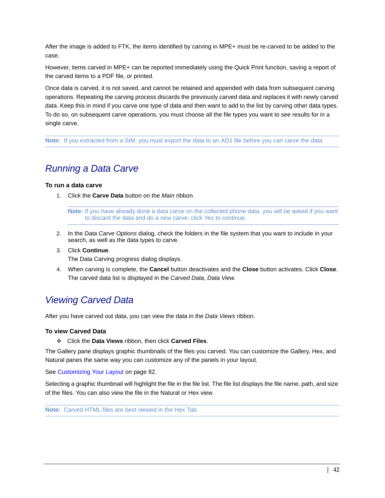After the image is added to FTK, the items identified by carving in MPE+ must be re-carved to be added to the case.

However, items carved in MPE+ can be reported immediately using the Quick Print function, saving a report of the carved items to a PDF file, or printed.

Once data is carved, it is not saved, and cannot be retained and appended with data from subsequent carving operations. Repeating the carving process discards the previously carved data and replaces it with newly carved data. Keep this in mind if you carve one type of data and then want to add to the list by carving other data types. To do so, on subsequent carve operations, you must choose all the file types you want to see results for in a single carve.

**Note:** If you extracted from a SIM, you must export the data to an AD1 file before you can carve the data.

### *Running a Data Carve*

#### **To run a data carve**

1. Click the **Carve Data** button on the *Main* ribbon.

**Note:** If you have already done a data carve on the collected phone data, you will be asked if you want to discard the data and do a new carve; click Yes to continue.

- 2. In the *Data Carve Options* dialog, check the folders in the file system that you want to include in your search, as well as the data types to carve.
- 3. Click **Continue**.

The Data Carving progress dialog displays.

4. When carving is complete, the **Cancel** button deactivates and the **Close** button activates. Click **Close**. The carved data list is displayed in the *Carved Data*, *Data View*.

### *Viewing Carved Data*

After you have carved out data, you can view the data in the *Data Views* ribbon.

#### **To view Carved Data**

Click the **Data Views** ribbon, then click **Carved Files**.

The Gallery pane displays graphic thumbnails of the files you carved. You can customize the Gallery, Hex, and Natural panes the same way you can customize any of the panels in your layout.

[See Customizing Your Layout on page 82.](#page-82-0)

Selecting a graphic thumbnail will highlight the file in the file list. The file list displays the file name, path, and size of the files. You can also view the file in the Natural or Hex view.

**Note:** Carved HTML files are best viewed in the Hex Tab.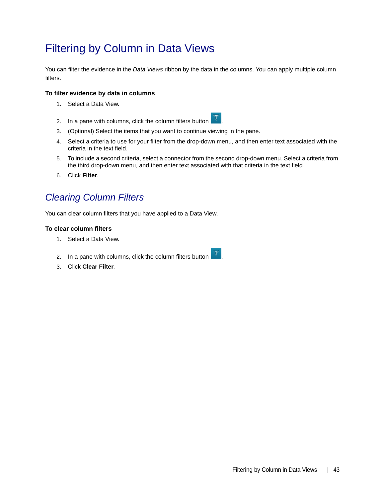# Filtering by Column in Data Views

You can filter the evidence in the *Data Views* ribbon by the data in the columns. You can apply multiple column filters.

### **To filter evidence by data in columns**

- 1. Select a Data View.
- 2. In a pane with columns, click the column filters button
- 3. (Optional) Select the items that you want to continue viewing in the pane.
- 4. Select a criteria to use for your filter from the drop-down menu, and then enter text associated with the criteria in the text field.
- 5. To include a second criteria, select a connector from the second drop-down menu. Select a criteria from the third drop-down menu, and then enter text associated with that criteria in the text field.
- 6. Click **Filter**.

## *Clearing Column Filters*

You can clear column filters that you have applied to a Data View.

#### **To clear column filters**

- 1. Select a Data View.
- 2. In a pane with columns, click the column filters button  $\overline{X}$
- 3. Click **Clear Filter**.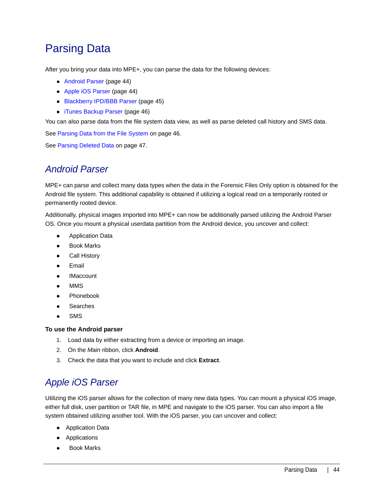# <span id="page-44-0"></span>Parsing Data

After you bring your data into MPE+, you can parse the data for the following devices:

- [Android Parser \(page 44\)](#page-44-1)
- [Apple iOS Parser \(page 44\)](#page-44-2)
- [Blackberry IPD/BBB Parser \(page 45\)](#page-45-0)
- [iTunes Backup Parser \(page 46\)](#page-46-0)

You can also parse data from the file system data view, as well as parse deleted call history and SMS data.

[See Parsing Data from the File System on page 46.](#page-46-1)

[See Parsing Deleted Data on page 47.](#page-47-0)

### <span id="page-44-1"></span>*Android Parser*

MPE+ can parse and collect many data types when the data in the Forensic Files Only option is obtained for the Android file system. This additional capability is obtained if utilizing a logical read on a temporarily rooted or permanently rooted device.

Additionally, physical images imported into MPE+ can now be additionally parsed utilizing the Android Parser OS. Once you mount a physical userdata partition from the Android device, you uncover and collect:

- Application Data
- Book Marks
- Call History
- Email
- IMaccount
- MMS
- Phonebook
- Searches
- SMS

### **To use the Android parser**

- 1. Load data by either extracting from a device or importing an image.
- 2. On the *Main* ribbon, click **Android**.
- 3. Check the data that you want to include and click **Extract**.

## <span id="page-44-2"></span>*Apple iOS Parser*

Utilizing the iOS parser allows for the collection of many new data types. You can mount a physical iOS image, either full disk, user partition or TAR file, in MPE and navigate to the iOS parser. You can also import a file system obtained utilizing another tool. With the iOS parser, you can uncover and collect:

- Application Data
- **•** Applications
- Book Marks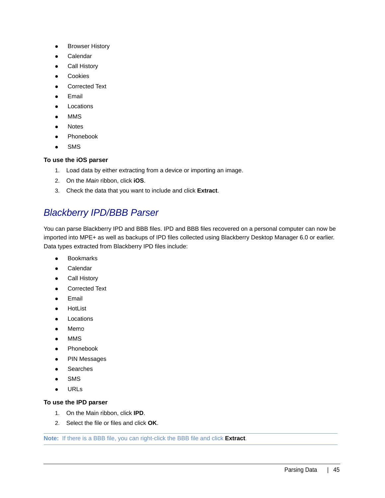- Browser History
- Calendar
- Call History
- Cookies
- Corrected Text
- Email
- Locations
- **MMS**
- **Notes**
- Phonebook
- SMS

### **To use the iOS parser**

- 1. Load data by either extracting from a device or importing an image.
- 2. On the *Main* ribbon, click **iOS**.
- 3. Check the data that you want to include and click **Extract**.

### <span id="page-45-0"></span>*Blackberry IPD/BBB Parser*

You can parse Blackberry IPD and BBB files. IPD and BBB files recovered on a personal computer can now be imported into MPE+ as well as backups of IPD files collected using Blackberry Desktop Manager 6.0 or earlier. Data types extracted from Blackberry IPD files include:

- **•** Bookmarks
- **•** Calendar
- Call History
- Corrected Text
- Email
- HotList
- Locations
- Memo
- **MMS**
- Phonebook
- PIN Messages
- Searches
- SMS
- URLs

### **To use the IPD parser**

- 1. On the Main ribbon, click **IPD**.
- 2. Select the file or files and click **OK**.

**Note:** If there is a BBB file, you can right-click the BBB file and click **Extract**.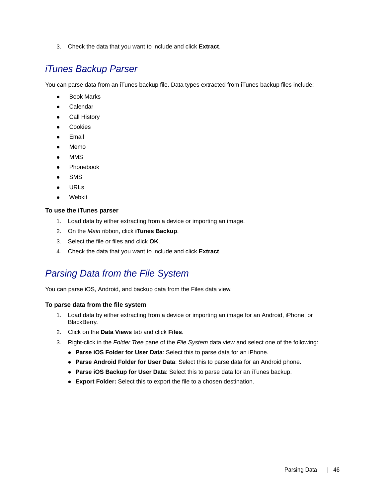3. Check the data that you want to include and click **Extract**.

### <span id="page-46-0"></span>*iTunes Backup Parser*

You can parse data from an iTunes backup file. Data types extracted from iTunes backup files include:

- Book Marks
- Calendar
- Call History
- Cookies
- Email
- Memo
- MMS
- Phonebook
- SMS
- URLs
- Webkit

### **To use the iTunes parser**

- 1. Load data by either extracting from a device or importing an image.
- 2. On the *Main* ribbon, click **iTunes Backup**.
- 3. Select the file or files and click **OK**.
- 4. Check the data that you want to include and click **Extract**.

### <span id="page-46-1"></span>*Parsing Data from the File System*

You can parse iOS, Android, and backup data from the Files data view.

### **To parse data from the file system**

- 1. Load data by either extracting from a device or importing an image for an Android, iPhone, or BlackBerry.
- 2. Click on the **Data Views** tab and click **Files**.
- 3. Right-click in the *Folder Tree* pane of the *File System* data view and select one of the following:
	- **Parse iOS Folder for User Data**: Select this to parse data for an iPhone.
	- **Parse Android Folder for User Data**: Select this to parse data for an Android phone.
	- **Parse iOS Backup for User Data**: Select this to parse data for an iTunes backup.
	- **Export Folder:** Select this to export the file to a chosen destination.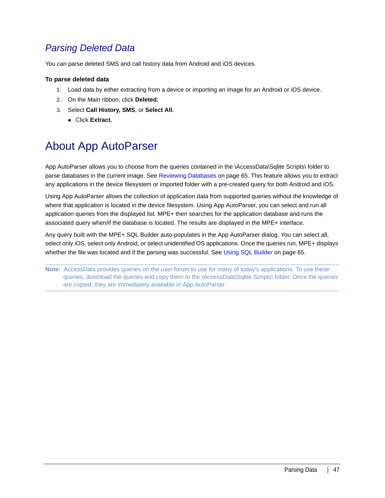## <span id="page-47-0"></span>*Parsing Deleted Data*

You can parse deleted SMS and call history data from Android and iOS devices.

### **To parse deleted data**

- 1. Load data by either extracting from a device or importing an image for an Android or iOS device.
- 2. On the *Main* ribbon, click **Deleted.**
- 3. Select **Call History, SMS**, or **Select All.**
	- Click **Extract.**

# About App AutoParser

App AutoParser allows you to choose from the queries contained in the \AccessData\Sqlite Scripts\ folder to parse databases in the current image. [See Reviewing Databases on page 65.](#page-65-1) This feature allows you to extract any applications in the device filesystem or imported folder with a pre-created query for both Android and iOS.

Using App AutoParser allows the collection of application data from supported queries without the knowledge of where that application is located in the device filesystem. Using App AutoParser, you can select and run all application queries from the displayed list. MPE+ then searches for the application database and runs the associated query when/if the database is located. The results are displayed in the MPE+ interface.

Any query built with the MPE+ SQL Builder auto-populates in the App AutoParser dialog. You can select all, select only iOS, select only Android, or select unidentified OS applications. Once the queries run, MPE+ displays whether the file was located and if the parsing was successful. [See Using SQL Builder on page 65.](#page-65-0)

**Note:** AccessData provides queries on the user forum to use for many of today's applications. To use these queries, download the queries and copy them to the \AccessData\Sqlite Scripts\ folder. Once the queries are copied, they are immediately available in App AutoParser.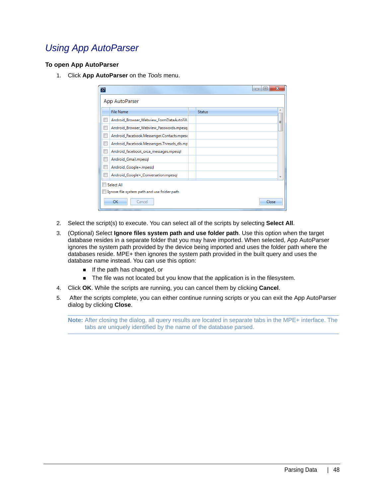## *Using App AutoParser*

#### **To open App AutoParser**

1. Click **App AutoParser** on the *Tools* menu.

| $\varPhi$                                   |                                           |        | 回<br>ж<br>$\Box$ |
|---------------------------------------------|-------------------------------------------|--------|------------------|
|                                             | App AutoParser                            |        |                  |
|                                             | <b>File Name</b>                          | Status | A.               |
| $\Box$                                      | Android_Browser_Webview_FormDataAutoFill. |        | Ξ                |
| Г                                           | Android_Browser_Webview_Passwords.mpesq   |        |                  |
| Г                                           | Android_Facebook.Messenger.Contacts.mpesc |        |                  |
| П                                           | Android_Facebook.Messenges.Threads_db.mp  |        |                  |
| П                                           | Android_facebook_orca_messages.mpesql     |        |                  |
| П                                           | Android_Gmail.mpesql                      |        |                  |
| П                                           | Android_Google+.mpesql                    |        |                  |
| Г                                           | Android_Google+_Conversation.mpesql       |        |                  |
|                                             | Select All                                |        |                  |
| Ignore file system path and use folder path |                                           |        |                  |
|                                             | <b>OK</b><br>Cancel                       |        | Close            |

- 2. Select the script(s) to execute. You can select all of the scripts by selecting **Select All**.
- 3. (Optional) Select **Ignore files system path and use folder path**. Use this option when the target database resides in a separate folder that you may have imported. When selected, App AutoParser ignores the system path provided by the device being imported and uses the folder path where the databases reside. MPE+ then ignores the system path provided in the built query and uses the database name instead. You can use this option:
	- **If the path has changed, or**
	- The file was not located but you know that the application is in the filesystem.
- 4. Click **OK**. While the scripts are running, you can cancel them by clicking **Cancel**.
- 5. After the scripts complete, you can either continue running scripts or you can exit the App AutoParser dialog by clicking **Close**.

**Note:** After closing the dialog, all query results are located in separate tabs in the MPE+ interface. The tabs are uniquely identified by the name of the database parsed.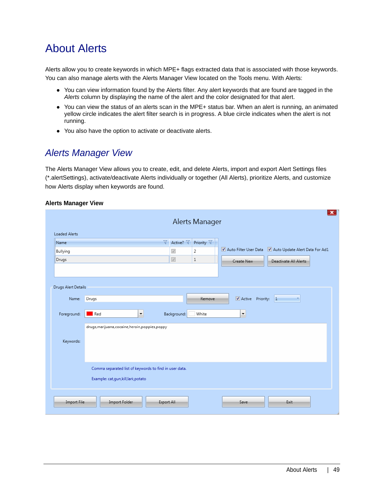# About Alerts

Alerts allow you to create keywords in which MPE+ flags extracted data that is associated with those keywords. You can also manage alerts with the Alerts Manager View located on the Tools menu. With Alerts:

- You can view information found by the Alerts filter. Any alert keywords that are found are tagged in the *Alerts* column by displaying the name of the alert and the color designated for that alert.
- You can view the status of an alerts scan in the MPE+ status bar. When an alert is running, an animated yellow circle indicates the alert filter search is in progress. A blue circle indicates when the alert is not running.
- You also have the option to activate or deactivate alerts.

### *Alerts Manager View*

The Alerts Manager View allows you to create, edit, and delete Alerts, import and export Alert Settings files (\*.alertSettings), activate/deactivate Alerts individually or together (All Alerts), prioritize Alerts, and customize how Alerts display when keywords are found.

#### **Alerts Manager View**

|                                                        | $\mathbf x$                                                                             |  |  |
|--------------------------------------------------------|-----------------------------------------------------------------------------------------|--|--|
|                                                        | Alerts Manager                                                                          |  |  |
| <b>Loaded Alerts</b>                                   |                                                                                         |  |  |
| Name                                                   | $\nabla$ Active? $\nabla$<br>Priority $\forall$                                         |  |  |
| Bullying                                               | Auto Filter User Data V Auto Update Alert Data For Ad1<br>$\overline{\mathscr{L}}$<br>2 |  |  |
| Drugs                                                  | $\sqrt{ }$<br>$\mathbf{1}$<br>Create New<br>Deactivate All Alerts                       |  |  |
|                                                        |                                                                                         |  |  |
|                                                        |                                                                                         |  |  |
| Drugs Alert Details                                    |                                                                                         |  |  |
| Name:                                                  | Active Priority: 1<br>Drugs<br>Remove                                                   |  |  |
|                                                        | v<br>Red<br>White<br>v                                                                  |  |  |
| Foreground:                                            | Background:                                                                             |  |  |
|                                                        | drugs, marijuana, cocaine, heroin, poppies, poppy                                       |  |  |
| Keywords:                                              |                                                                                         |  |  |
|                                                        |                                                                                         |  |  |
|                                                        |                                                                                         |  |  |
| Comma separated list of keywords to find in user data. |                                                                                         |  |  |
| Example: cat,gun,kill,lark,potato                      |                                                                                         |  |  |
|                                                        |                                                                                         |  |  |
|                                                        |                                                                                         |  |  |
| Import File                                            | Import Folder<br>Export All<br>Exit<br>Save                                             |  |  |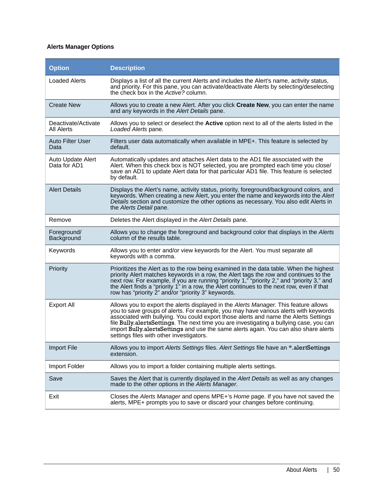### **Alerts Manager Options**

| <b>Option</b>                            | <b>Description</b>                                                                                                                                                                                                                                                                                                                                                                                                                                                                                  |
|------------------------------------------|-----------------------------------------------------------------------------------------------------------------------------------------------------------------------------------------------------------------------------------------------------------------------------------------------------------------------------------------------------------------------------------------------------------------------------------------------------------------------------------------------------|
| <b>Loaded Alerts</b>                     | Displays a list of all the current Alerts and includes the Alert's name, activity status,<br>and priority. For this pane, you can activate/deactivate Alerts by selecting/deselecting<br>the check box in the Active? column.                                                                                                                                                                                                                                                                       |
| <b>Create New</b>                        | Allows you to create a new Alert. After you click Create New, you can enter the name<br>and any keywords in the Alert Details pane.                                                                                                                                                                                                                                                                                                                                                                 |
| Deactivate/Activate<br><b>All Alerts</b> | Allows you to select or deselect the Active option next to all of the alerts listed in the<br>Loaded Alerts pane.                                                                                                                                                                                                                                                                                                                                                                                   |
| <b>Auto Filter User</b><br>Data          | Filters user data automatically when available in MPE+. This feature is selected by<br>default.                                                                                                                                                                                                                                                                                                                                                                                                     |
| Auto Update Alert<br>Data for AD1        | Automatically updates and attaches Alert data to the AD1 file associated with the<br>Alert. When this check box is NOT selected, you are prompted each time you close/<br>save an AD1 to update Alert data for that particular AD1 file. This feature is selected<br>by default.                                                                                                                                                                                                                    |
| <b>Alert Details</b>                     | Displays the Alert's name, activity status, priority, foreground/background colors, and<br>keywords. When creating a new Alert, you enter the name and keywords into the Alert<br>Details section and customize the other options as necessary. You also edit Alerts in<br>the Alerts Detail pane.                                                                                                                                                                                                  |
| Remove                                   | Deletes the Alert displayed in the Alert Details pane.                                                                                                                                                                                                                                                                                                                                                                                                                                              |
| Foreground/<br>Background                | Allows you to change the foreground and background color that displays in the Alerts<br>column of the results table.                                                                                                                                                                                                                                                                                                                                                                                |
| Keywords                                 | Allows you to enter and/or view keywords for the Alert. You must separate all<br>keywords with a comma.                                                                                                                                                                                                                                                                                                                                                                                             |
| Priority                                 | Prioritizes the Alert as to the row being examined in the data table. When the highest<br>priority Alert matches keywords in a row, the Alert tags the row and continues to the next row. For example, if you are running "priority 1," "priority 2," and "priority 3," and<br>the Alert finds a "priority 1" in a row, the Alert continues to the next row, even if that<br>row has "priority 2" and/or "priority 3" keywords.                                                                     |
| <b>Export All</b>                        | Allows you to export the alerts displayed in the Alerts Manager. This feature allows<br>you to save groups of alerts. For example, you may have various alerts with keywords<br>associated with bullying. You could export those alerts and name the Alerts Settings<br>file Bully alertsSettings. The next time you are investigating a bullying case, you can<br>import Bully alertsSettings and use the same alerts again. You can also share alerts<br>settings files with other investigators. |
| <b>Import File</b>                       | Allows you to import Alerts Settings files. Alert Settings file have an *.alertSettings<br>extension.                                                                                                                                                                                                                                                                                                                                                                                               |
| Import Folder                            | Allows you to import a folder containing multiple alerts settings.                                                                                                                                                                                                                                                                                                                                                                                                                                  |
| Save                                     | Saves the Alert that is currently displayed in the Alert Details as well as any changes<br>made to the other options in the Alerts Manager.                                                                                                                                                                                                                                                                                                                                                         |
| Exit                                     | Closes the Alerts Manager and opens MPE+'s Home page. If you have not saved the<br>alerts, MPE+ prompts you to save or discard your changes before continuing.                                                                                                                                                                                                                                                                                                                                      |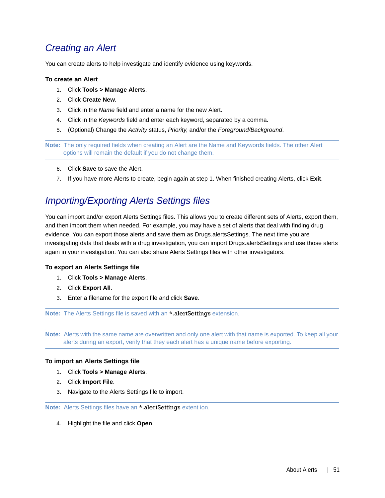### *Creating an Alert*

You can create alerts to help investigate and identify evidence using keywords.

#### **To create an Alert**

- 1. Click **Tools > Manage Alerts**.
- 2. Click **Create New**.
- 3. Click in the *Name* field and enter a name for the new Alert.
- 4. Click in the *Keywords* field and enter each keyword, separated by a comma.
- 5. (Optional) Change the *Activity* status, *Priority*, and/or the *Foreground/Background*.

**Note:** The only required fields when creating an Alert are the Name and Keywords fields. The other Alert options will remain the default if you do not change them.

- 6. Click **Save** to save the Alert.
- 7. If you have more Alerts to create, begin again at step 1. When finished creating Alerts, click **Exit**.

### *Importing/Exporting Alerts Settings files*

You can import and/or export Alerts Settings files. This allows you to create different sets of Alerts, export them, and then import them when needed. For example, you may have a set of alerts that deal with finding drug evidence. You can export those alerts and save them as Drugs.alertsSettings. The next time you are investigating data that deals with a drug investigation, you can import Drugs.alertsSettings and use those alerts again in your investigation. You can also share Alerts Settings files with other investigators.

### **To export an Alerts Settings file**

- 1. Click **Tools > Manage Alerts**.
- 2. Click **Export All**.
- 3. Enter a filename for the export file and click **Save**.

**Note:** The Alerts Settings file is saved with an \*.alertSettings extension.

**Note:** Alerts with the same name are overwritten and only one alert with that name is exported. To keep all your alerts during an export, verify that they each alert has a unique name before exporting.

### **To import an Alerts Settings file**

- 1. Click **Tools > Manage Alerts**.
- 2. Click **Import File**.
- 3. Navigate to the Alerts Settings file to import.

**Note:** Alerts Settings files have an \*.alertSettings extent ion.

4. Highlight the file and click **Open**.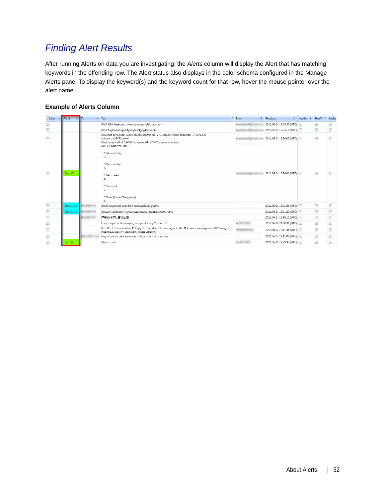# *Finding Alert Results*

After running Alerts on data you are investigating, the *Alerts* column will display the Alert that has matching keywords in the offending row. The Alert status also displays in the color schema configured in the Manage Alerts pane. To display the keyword(s) and the keyword count for that row, hover the mouse pointer over the alert name.

### **Example of Alerts Column**

| Select $\overline{\mathbb{Y}}$         | Alerts       | $\sqrt{1 + 5}$ | $\nabla$ Text<br>$\overline{\mathbf{u}}$                                                                                                                               | From                     | Received                         | $\nabla$ Header $\nabla$ | Read? 了                  | Locke |
|----------------------------------------|--------------|----------------|------------------------------------------------------------------------------------------------------------------------------------------------------------------------|--------------------------|----------------------------------|--------------------------|--------------------------|-------|
| $\Box$                                 |              |                | FWD USA Keyboard: qwertyuiopasdfqhjklzxcvbnm                                                                                                                           |                          | 2011.06.14 17:08:30 (UTC)        |                          | $\overline{\mathcal{L}}$ |       |
| $\Box$                                 |              |                | (USA Keyboard) qwertyuiopasdfghjklzxcvbnm                                                                                                                              |                          | 2011.06.14 17:04:14 (UTC)        |                          | $\mathcal{L}$            |       |
| $\Box$                                 |              |                | (Unicode Dingbats) CodeResultDescriptionU+2701?Upper blade scissorsU+2702?Black<br>scissorsU+2703?Lower<br>blade scissorsU+2704?White scissorsU+2706?Telephone locatio |                          | 2011.06.14 16:39:03 (UTC)        |                          | $\overline{\mathcal{L}}$ |       |
| $\Box$                                 | orn (2)      |                | (ASCII Character List) 1.<br>? White Smiley<br>2.<br>? Black Smiley<br>3.<br>? Black heart<br>4.<br>? Diamond<br>5.<br>? Clove (Clover/Puppyfeet)<br>6.                | TOOLER ETHEL PRESSURE IN | $\sqrt{2011.06.1416:34:01(UTC)}$ |                          | $\overline{\mathcal{L}}$ |       |
| $\Box$                                 | Bullying (1) |                | Greek keyboard: ερτυθιοπ΄ ασδφγηξκλζχψωβνμ                                                                                                                             |                          | 2011.06.14 16:23:26 (UTC)        |                          | $\Box$                   | П     |
| $\Box$                                 | Bullying (1) |                | Russian keyboard: йцукенгшщзхфывапролджэячсмитьбю                                                                                                                      |                          | 2011.06.14 16:21:20 (UTC)        |                          | $\Box$                   |       |
| $\Box$                                 |              |                | 擇導錢徇屎灶箸由釹腸                                                                                                                                                             |                          | 2011.06.14 16:19:13 (UTC)        |                          | $\Box$                   |       |
| $\Box$                                 |              |                | I got the job at bloomspot, accepted today!!! How r u?                                                                                                                 |                          | 2011.06.08 21:50:31 (UTC)        |                          | $\overline{\mathcal{L}}$ |       |
| $\begin{array}{c} \square \end{array}$ |              |                | 8010001111 is a landline #. Reply Y to send all TXT messages to this # as voice messages for \$0.25/msg. + std<br>msq fee. Details @ vtext.com, TexttoLandline         |                          | 2011.06.07 22:11:36 (UTC)        |                          | $\overline{\mathcal{L}}$ |       |
| $\Box$                                 |              |                | Hey i know ur phone number is fake or is not in service                                                                                                                |                          | 2011.06.07 22:11:02 (UTC)        |                          |                          |       |
| $\Box$                                 | Porn $(1)$   |                | Miss u love!!!                                                                                                                                                         |                          | 2011.05.31 22:29:37 (UTC)        |                          | $\overline{\mathcal{L}}$ |       |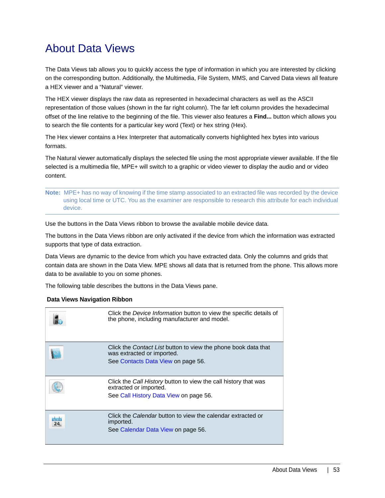# <span id="page-53-1"></span><span id="page-53-0"></span>About Data Views

The Data Views tab allows you to quickly access the type of information in which you are interested by clicking on the corresponding button. Additionally, the Multimedia, File System, MMS, and Carved Data views all feature a HEX viewer and a "Natural" viewer.

The HEX viewer displays the raw data as represented in hexadecimal characters as well as the ASCII representation of those values (shown in the far right column). The far left column provides the hexadecimal offset of the line relative to the beginning of the file. This viewer also features a **Find...** button which allows you to search the file contents for a particular key word (Text) or hex string (Hex).

The Hex viewer contains a Hex Interpreter that automatically converts highlighted hex bytes into various formats.

The Natural viewer automatically displays the selected file using the most appropriate viewer available. If the file selected is a multimedia file, MPE+ will switch to a graphic or video viewer to display the audio and or video content.

#### **Note:** MPE+ has no way of knowing if the time stamp associated to an extracted file was recorded by the device using local time or UTC. You as the examiner are responsible to research this attribute for each individual device.

Use the buttons in the Data Views ribbon to browse the available mobile device data.

The buttons in the Data Views ribbon are only activated if the device from which the information was extracted supports that type of data extraction.

Data Views are dynamic to the device from which you have extracted data. Only the columns and grids that contain data are shown in the Data View. MPE shows all data that is returned from the phone. This allows more data to be available to you on some phones.

The following table describes the buttons in the Data Views pane.

#### **Data Views Navigation Ribbon**

|                                         | Click the <i>Device Information</i> button to view the specific details of<br>the phone, including manufacturer and model.                |
|-----------------------------------------|-------------------------------------------------------------------------------------------------------------------------------------------|
|                                         | Click the <i>Contact List</i> button to view the phone book data that<br>was extracted or imported.<br>See Contacts Data View on page 56. |
|                                         | Click the Call History button to view the call history that was<br>extracted or imported.<br>See Call History Data View on page 56.       |
| <b><i><u>Architecture</u></i></b><br>24 | Click the <i>Calendar</i> button to view the calendar extracted or<br>imported.<br>See Calendar Data View on page 56.                     |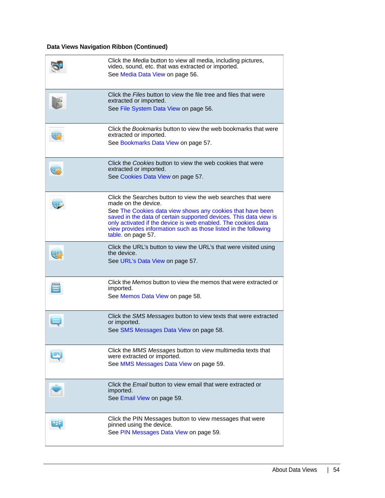### **Data Views Navigation Ribbon (Continued)**

| Click the <i>Media</i> button to view all media, including pictures,<br>video, sound, etc. that was extracted or imported.<br>See Media Data View on page 56.                                                                                                                                                                                                                    |
|----------------------------------------------------------------------------------------------------------------------------------------------------------------------------------------------------------------------------------------------------------------------------------------------------------------------------------------------------------------------------------|
| Click the Files button to view the file tree and files that were<br>extracted or imported.<br>See File System Data View on page 56.                                                                                                                                                                                                                                              |
| Click the Bookmarks button to view the web bookmarks that were<br>extracted or imported.<br>See Bookmarks Data View on page 57.                                                                                                                                                                                                                                                  |
| Click the Cookies button to view the web cookies that were<br>extracted or imported.<br>See Cookies Data View on page 57.                                                                                                                                                                                                                                                        |
| Click the Searches button to view the web searches that were<br>made on the device.<br>See The Cookies data view shows any cookies that have been<br>saved in the data of certain supported devices. This data view is<br>only activated if the device is web enabled. The cookies data<br>view provides information such as those listed in the following<br>table. on page 57. |
| Click the URL's button to view the URL's that were visited using<br>the device.<br>See URL's Data View on page 57.                                                                                                                                                                                                                                                               |
| Click the <i>Memos</i> button to view the memos that were extracted or<br>imported.<br>See Memos Data View on page 58.                                                                                                                                                                                                                                                           |
| Click the SMS Messages button to view texts that were extracted<br>or imported.<br>See SMS Messages Data View on page 58.                                                                                                                                                                                                                                                        |
| Click the MMS Messages button to view multimedia texts that<br>were extracted or imported.<br>See MMS Messages Data View on page 59.                                                                                                                                                                                                                                             |
| Click the <i>Email</i> button to view email that were extracted or<br>imported.<br>See Email View on page 59.                                                                                                                                                                                                                                                                    |
| Click the PIN Messages button to view messages that were<br>pinned using the device.<br>See PIN Messages Data View on page 59.                                                                                                                                                                                                                                                   |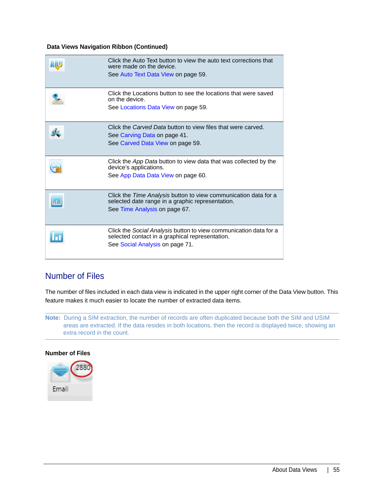### **Data Views Navigation Ribbon (Continued)**

| Click the Auto Text button to view the auto text corrections that<br>were made on the device.<br>See Auto Text Data View on page 59.                        |
|-------------------------------------------------------------------------------------------------------------------------------------------------------------|
| Click the Locations button to see the locations that were saved<br>on the device.<br>See Locations Data View on page 59.                                    |
| Click the Carved Data button to view files that were carved.<br>See Carving Data on page 41.<br>See Carved Data View on page 59.                            |
| Click the App Data button to view data that was collected by the<br>device's applications.<br>See App Data Data View on page 60.                            |
| Click the <i>Time Analysis</i> button to view communication data for a<br>selected date range in a graphic representation.<br>See Time Analysis on page 67. |
| Click the Social Analysis button to view communication data for a<br>selected contact in a graphical representation.<br>See Social Analysis on page 71.     |

### Number of Files

The number of files included in each data view is indicated in the upper right corner of the Data View button. This feature makes it much easier to locate the number of extracted data items.

**Note:** During a SIM extraction, the number of records are often duplicated because both the SIM and USIM areas are extracted. If the data resides in both locations, then the record is displayed twice, showing an extra record in the count.

### **Number of Files**

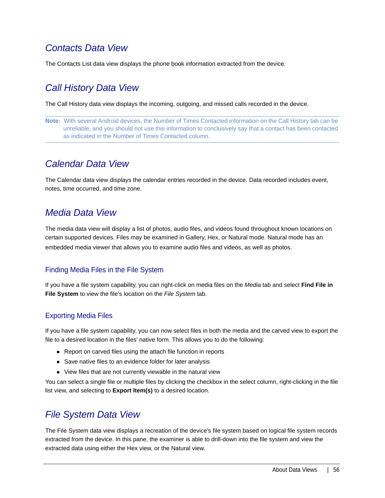### <span id="page-56-0"></span>*Contacts Data View*

The Contacts List data view displays the phone book information extracted from the device.

## <span id="page-56-1"></span>*Call History Data View*

The Call History data view displays the incoming, outgoing, and missed calls recorded in the device.

**Note:** With several Android devices, the Number of Times Contacted information on the Call History tab can be unreliable, and you should not use this information to conclusively say that a contact has been contacted as indicated in the Number of Times Contacted column.

### <span id="page-56-2"></span>*Calendar Data View*

The Calendar data view displays the calendar entries recorded in the device. Data recorded includes event, notes, time occurred, and time zone.

### <span id="page-56-3"></span>*Media Data View*

The media data view will display a list of photos, audio files, and videos found throughout known locations on certain supported devices. Files may be examined in Gallery, Hex, or Natural mode. Natural mode has an embedded media viewer that allows you to examine audio files and videos, as well as photos.

### Finding Media Files in the File System

If you have a file system capability, you can right-click on media files on the *Media* tab and select **Find File in File System** to view the file's location on the *File System* tab.

### Exporting Media Files

If you have a file system capability, you can now select files in both the media and the carved view to export the file to a desired location in the files' native form. This allows you to do the following:

- Report on carved files using the attach file function in reports
- Save native files to an evidence folder for later analysis
- View files that are not currently viewable in the natural view

You can select a single file or multiple files by clicking the checkbox in the select column, right-clicking in the file list view, and selecting to **Export Item(s)** to a desired location.

### <span id="page-56-4"></span>*File System Data View*

The File System data view displays a recreation of the device's file system based on logical file system records extracted from the device. In this pane, the examiner is able to drill-down into the file system and view the extracted data using either the Hex view, or the Natural view.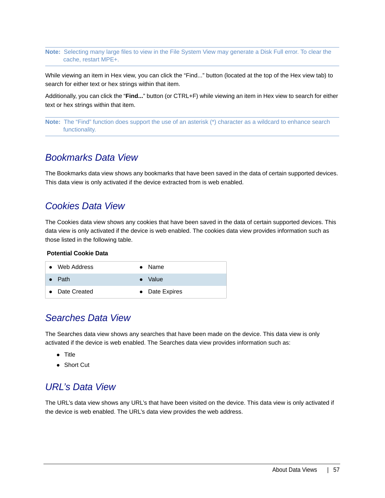**Note:** Selecting many large files to view in the File System View may generate a Disk Full error. To clear the cache, restart MPE+.

While viewing an item in Hex view, you can click the "Find..." button (located at the top of the Hex view tab) to search for either text or hex strings within that item.

Additionally, you can click the "**Find...**" button (or CTRL+F) while viewing an item in Hex view to search for either text or hex strings within that item.

**Note:** The "Find" function does support the use of an asterisk (\*) character as a wildcard to enhance search functionality.

### <span id="page-57-0"></span>*Bookmarks Data View*

The Bookmarks data view shows any bookmarks that have been saved in the data of certain supported devices. This data view is only activated if the device extracted from is web enabled.

### <span id="page-57-1"></span>*Cookies Data View*

<span id="page-57-2"></span>The Cookies data view shows any cookies that have been saved in the data of certain supported devices. This data view is only activated if the device is web enabled. The cookies data view provides information such as those listed in the following table.

### **Potential Cookie Data**

| • Web Address  | $\bullet$ Name  |
|----------------|-----------------|
| Path           | $\bullet$ Value |
| • Date Created | • Date Expires  |

### *Searches Data View*

The Searches data view shows any searches that have been made on the device. This data view is only activated if the device is web enabled. The Searches data view provides information such as:

- **•** Title
- Short Cut

### <span id="page-57-3"></span>*URL's Data View*

The URL's data view shows any URL's that have been visited on the device. This data view is only activated if the device is web enabled. The URL's data view provides the web address.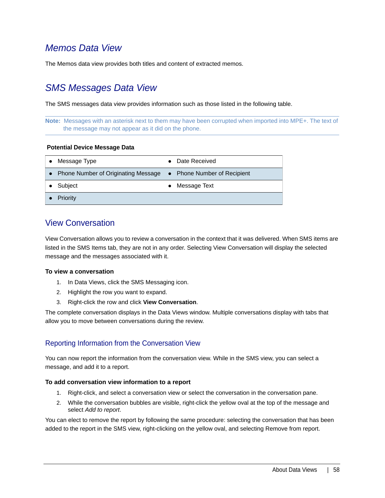### <span id="page-58-0"></span>*Memos Data View*

The Memos data view provides both titles and content of extracted memos.

### <span id="page-58-1"></span>*SMS Messages Data View*

The SMS messages data view provides information such as those listed in the following table.

**Note:** Messages with an asterisk next to them may have been corrupted when imported into MPE+. The text of the message may not appear as it did on the phone.

#### **Potential Device Message Data**

| Message Type                          | • Date Received             |
|---------------------------------------|-----------------------------|
| • Phone Number of Originating Message | • Phone Number of Recipient |
| Subject                               | • Message Text              |
| Priority                              |                             |

### View Conversation

View Conversation allows you to review a conversation in the context that it was delivered. When SMS items are listed in the SMS Items tab, they are not in any order. Selecting View Conversation will display the selected message and the messages associated with it.

#### **To view a conversation**

- 1. In Data Views, click the SMS Messaging icon.
- 2. Highlight the row you want to expand.
- 3. Right-click the row and click **View Conversation**.

The complete conversation displays in the Data Views window. Multiple conversations display with tabs that allow you to move between conversations during the review.

### Reporting Information from the Conversation View

You can now report the information from the conversation view. While in the SMS view, you can select a message, and add it to a report.

#### **To add conversation view information to a report**

- 1. Right-click, and select a conversation view or select the conversation in the conversation pane.
- 2. While the conversation bubbles are visible, right-click the yellow oval at the top of the message and select *Add to report*.

You can elect to remove the report by following the same procedure: selecting the conversation that has been added to the report in the SMS view, right-clicking on the yellow oval, and selecting Remove from report.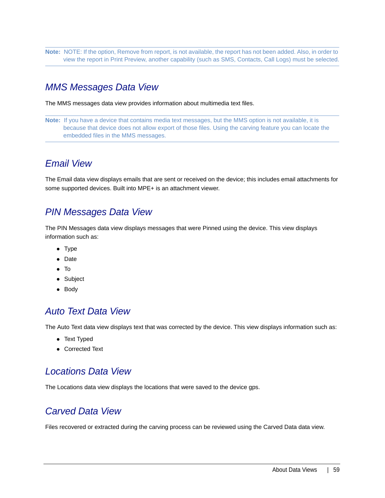**Note:** NOTE: If the option, Remove from report, is not available, the report has not been added. Also, in order to view the report in Print Preview, another capability (such as SMS, Contacts, Call Logs) must be selected.

### <span id="page-59-0"></span>*MMS Messages Data View*

The MMS messages data view provides information about multimedia text files.

**Note:** If you have a device that contains media text messages, but the MMS option is not available, it is because that device does not allow export of those files. Using the carving feature you can locate the embedded files in the MMS messages.

### <span id="page-59-1"></span>*Email View*

The Email data view displays emails that are sent or received on the device; this includes email attachments for some supported devices. Built into MPE+ is an attachment viewer.

### <span id="page-59-2"></span>*PIN Messages Data View*

The PIN Messages data view displays messages that were Pinned using the device. This view displays information such as:

- Type
- Date
- To
- Subject
- Body

### <span id="page-59-4"></span>*Auto Text Data View*

The Auto Text data view displays text that was corrected by the device. This view displays information such as:

- Text Typed
- Corrected Text

### <span id="page-59-5"></span>*Locations Data View*

The Locations data view displays the locations that were saved to the device gps.

### <span id="page-59-3"></span>*Carved Data View*

Files recovered or extracted during the carving process can be reviewed using the Carved Data data view.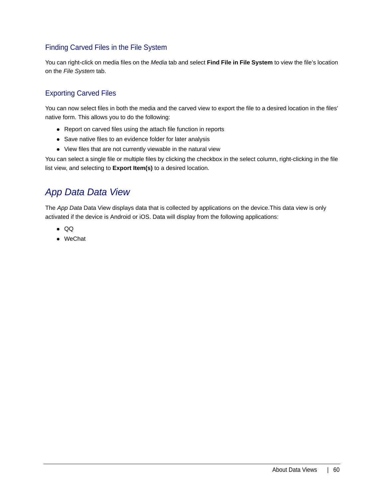### Finding Carved Files in the File System

You can right-click on media files on the *Media* tab and select **Find File in File System** to view the file's location on the *File System* tab.

### Exporting Carved Files

You can now select files in both the media and the carved view to export the file to a desired location in the files' native form. This allows you to do the following:

- Report on carved files using the attach file function in reports
- Save native files to an evidence folder for later analysis
- View files that are not currently viewable in the natural view

You can select a single file or multiple files by clicking the checkbox in the select column, right-clicking in the file list view, and selecting to **Export Item(s)** to a desired location.

## <span id="page-60-0"></span>*App Data Data View*

The *App Data* Data View displays data that is collected by applications on the device.This data view is only activated if the device is Android or iOS. Data will display from the following applications:

- $\bullet$  QQ
- WeChat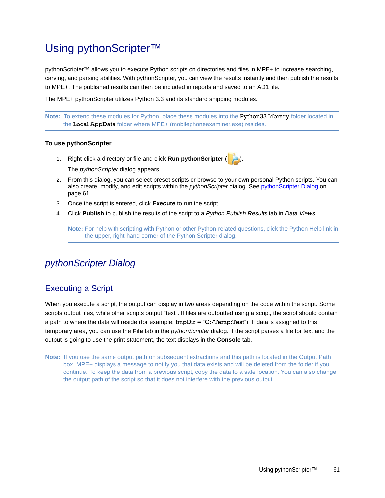# Using pythonScripter<sup>™</sup>

pythonScripter™ allows you to execute Python scripts on directories and files in MPE+ to increase searching, carving, and parsing abilities. With pythonScripter, you can view the results instantly and then publish the results to MPE+. The published results can then be included in reports and saved to an AD1 file.

The MPE+ pythonScripter utilizes Python 3.3 and its standard shipping modules.

**Note:** To extend these modules for Python, place these modules into the **Python33 Library** folder located in the Local AppData folder where MPE+ (mobilephoneexaminer.exe) resides.

#### **To use pythonScripter**

1. Right-click a directory or file and click **Run pythonScripter** ( ).



The *pythonScripter* dialog appears.

- 2. From this dialog, you can select preset scripts or browse to your own personal Python scripts. You can also create, modify, and edit scripts within the *pythonScripter* dialog. [See pythonScripter Dialog on](#page-61-0)  [page 61.](#page-61-0)
- 3. Once the script is entered, click **Execute** to run the script.
- 4. Click **Publish** to publish the results of the script to a *Python Publish Results* tab in *Data Views*.

**Note:** For help with scripting with Python or other Python-related questions, click the Python Help link in the upper, right-hand corner of the Python Scripter dialog.

### <span id="page-61-0"></span>*pythonScripter Dialog*

### Executing a Script

When you execute a script, the output can display in two areas depending on the code within the script. Some scripts output files, while other scripts output "text". If files are outputted using a script, the script should contain a path to where the data will reside (for example: tmpDir = "C:/Temp:Test"). If data is assigned to this temporary area, you can use the **File** tab in the *pythonScripter* dialog. If the script parses a file for text and the output is going to use the print statement, the text displays in the **Console** tab.

**Note:** If you use the same output path on subsequent extractions and this path is located in the Output Path box, MPE+ displays a message to notify you that data exists and will be deleted from the folder if you continue. To keep the data from a previous script, copy the data to a safe location. You can also change the output path of the script so that it does not interfere with the previous output.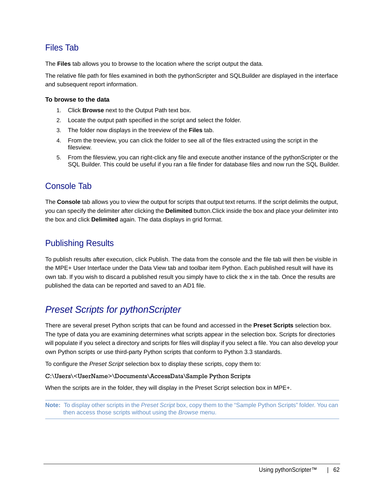### Files Tab

The **Files** tab allows you to browse to the location where the script output the data.

The relative file path for files examined in both the pythonScripter and SQLBuilder are displayed in the interface and subsequent report information.

#### **To browse to the data**

- 1. Click **Browse** next to the Output Path text box.
- 2. Locate the output path specified in the script and select the folder.
- 3. The folder now displays in the treeview of the **Files** tab.
- 4. From the treeview, you can click the folder to see all of the files extracted using the script in the filesview.
- 5. From the filesview, you can right-click any file and execute another instance of the pythonScripter or the SQL Builder. This could be useful if you ran a file finder for database files and now run the SQL Builder.

### Console Tab

The **Console** tab allows you to view the output for scripts that output text returns. If the script delimits the output, you can specify the delimiter after clicking the **Delimited** button.Click inside the box and place your delimiter into the box and click **Delimited** again. The data displays in grid format.

### Publishing Results

To publish results after execution, click Publish. The data from the console and the file tab will then be visible in the MPE+ User Interface under the Data View tab and toolbar item Python. Each published result will have its own tab. If you wish to discard a published result you simply have to click the x in the tab. Once the results are published the data can be reported and saved to an AD1 file.

## *Preset Scripts for pythonScripter*

There are several preset Python scripts that can be found and accessed in the **Preset Scripts** selection box. The type of data you are examining determines what scripts appear in the selection box. Scripts for directories will populate if you select a directory and scripts for files will display if you select a file. You can also develop your own Python scripts or use third-party Python scripts that conform to Python 3.3 standards.

To configure the *Preset Script* selection box to display these scripts, copy them to:

C:\Users\<UserName>\Documents\AccessData\Sample Python Scripts

When the scripts are in the folder, they will display in the Preset Script selection box in MPE+.

**Note:** To display other scripts in the *Preset Script* box, copy them to the "Sample Python Scripts" folder. You can then access those scripts without using the *Browse* menu.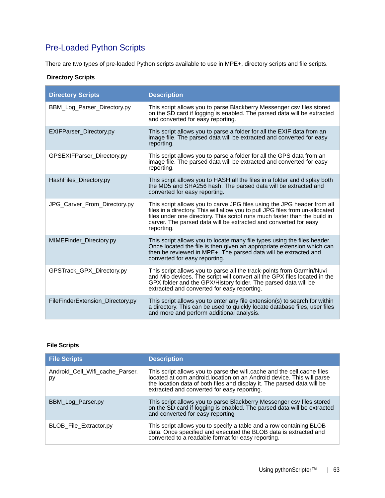## Pre-Loaded Python Scripts

There are two types of pre-loaded Python scripts available to use in MPE+, directory scripts and file scripts.

### **Directory Scripts**

| <b>Directory Scripts</b>         | <b>Description</b>                                                                                                                                                                                                                                                                                                      |
|----------------------------------|-------------------------------------------------------------------------------------------------------------------------------------------------------------------------------------------------------------------------------------------------------------------------------------------------------------------------|
| BBM_Log_Parser_Directory.py      | This script allows you to parse Blackberry Messenger csv files stored<br>on the SD card if logging is enabled. The parsed data will be extracted<br>and converted for easy reporting.                                                                                                                                   |
| EXIFParser_Directory.py          | This script allows you to parse a folder for all the EXIF data from an<br>image file. The parsed data will be extracted and converted for easy<br>reporting.                                                                                                                                                            |
| GPSEXIFParser_Directory.py       | This script allows you to parse a folder for all the GPS data from an<br>image file. The parsed data will be extracted and converted for easy<br>reporting.                                                                                                                                                             |
| HashFiles_Directory.py           | This script allows you to HASH all the files in a folder and display both<br>the MD5 and SHA256 hash. The parsed data will be extracted and<br>converted for easy reporting.                                                                                                                                            |
| JPG Carver From Directory.py     | This script allows you to carve JPG files using the JPG header from all<br>files in a directory. This will allow you to pull JPG files from un-allocated<br>files under one directory. This script runs much faster than the build in<br>carver. The parsed data will be extracted and converted for easy<br>reporting. |
| MIMEFinder_Directory.py          | This script allows you to locate many file types using the files header.<br>Once located the file is then given an appropriate extension which can<br>then be reviewed in MPE+. The parsed data will be extracted and<br>converted for easy reporting.                                                                  |
| <b>GPSTrack GPX Directory.pv</b> | This script allows you to parse all the track-points from Garmin/Nuvi<br>and Mio devices. The script will convert all the GPX files located in the<br>GPX folder and the GPX/History folder. The parsed data will be<br>extracted and converted for easy reporting.                                                     |
| FileFinderExtension_Directory.py | This script allows you to enter any file extension(s) to search for within<br>a directory. This can be used to quickly locate database files, user files<br>and more and perform additional analysis.                                                                                                                   |

### **File Scripts**

| <b>File Scripts</b>                   | <b>Description</b>                                                                                                                                                                                                                                                         |
|---------------------------------------|----------------------------------------------------------------------------------------------------------------------------------------------------------------------------------------------------------------------------------------------------------------------------|
| Android_Cell_Wifi_cache_Parser.<br>py | This script allows you to parse the wifi.cache and the cell.cache files<br>located at com.android.location on an Android device. This will parse<br>the location data of both files and display it. The parsed data will be<br>extracted and converted for easy reporting. |
| BBM_Log_Parser.py                     | This script allows you to parse Blackberry Messenger csv files stored<br>on the SD card if logging is enabled. The parsed data will be extracted<br>and converted for easy reporting                                                                                       |
| BLOB_File_Extractor.py                | This script allows you to specify a table and a row containing BLOB data. Once specified and executed the BLOB data is extracted and<br>converted to a readable format for easy reporting.                                                                                 |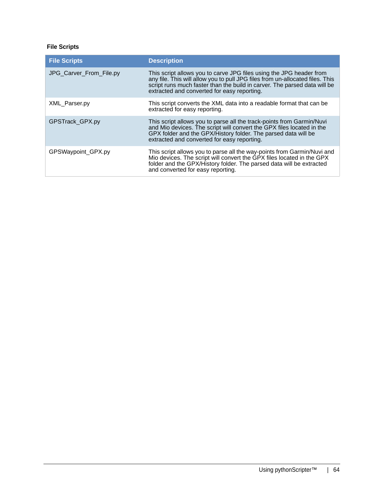### **File Scripts**

| <b>File Scripts</b>     | <b>Description</b>                                                                                                                                                                                                                                                               |
|-------------------------|----------------------------------------------------------------------------------------------------------------------------------------------------------------------------------------------------------------------------------------------------------------------------------|
| JPG_Carver_From_File.py | This script allows you to carve JPG files using the JPG header from<br>any file. This will allow you to pull JPG files from un-allocated files. This<br>script runs much faster than the build in carver. The parsed data will be<br>extracted and converted for easy reporting. |
| XML_Parser.py           | This script converts the XML data into a readable format that can be<br>extracted for easy reporting.                                                                                                                                                                            |
| <b>GPSTrack GPX.py</b>  | This script allows you to parse all the track-points from Garmin/Nuvi<br>and Mio devices. The script will convert the GPX files located in the<br>GPX folder and the GPX/History folder. The parsed data will be<br>extracted and converted for easy reporting.                  |
| GPSWaypoint GPX.py      | This script allows you to parse all the way-points from Garmin/Nuvi and<br>Mio devices. The script will convert the GPX files located in the GPX<br>folder and the GPX/History folder. The parsed data will be extracted<br>and converted for easy reporting.                    |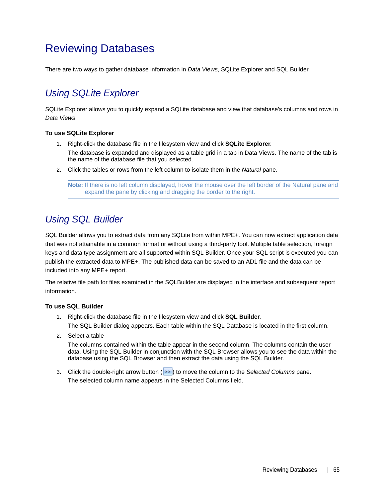# <span id="page-65-1"></span>Reviewing Databases

There are two ways to gather database information in *Data Views*, SQLite Explorer and SQL Builder.

# *Using SQLite Explorer*

SQLite Explorer allows you to quickly expand a SQLite database and view that database's columns and rows in *Data Views*.

### **To use SQLite Explorer**

- 1. Right-click the database file in the filesystem view and click **SQLite Explorer**. The database is expanded and displayed as a table grid in a tab in Data Views. The name of the tab is the name of the database file that you selected.
- 2. Click the tables or rows from the left column to isolate them in the *Natural* pane.

**Note:** If there is no left column displayed, hover the mouse over the left border of the Natural pane and expand the pane by clicking and dragging the border to the right.

## <span id="page-65-0"></span>*Using SQL Builder*

SQL Builder allows you to extract data from any SQLite from within MPE+. You can now extract application data that was not attainable in a common format or without using a third-party tool. Multiple table selection, foreign keys and data type assignment are all supported within SQL Builder. Once your SQL script is executed you can publish the extracted data to MPE+. The published data can be saved to an AD1 file and the data can be included into any MPE+ report.

The relative file path for files examined in the SQLBuilder are displayed in the interface and subsequent report information.

### **To use SQL Builder**

- 1. Right-click the database file in the filesystem view and click **SQL Builder**. The SQL Builder dialog appears. Each table within the SQL Database is located in the first column.
- 2. Select a table

The columns contained within the table appear in the second column. The columns contain the user data. Using the SQL Builder in conjunction with the SQL Browser allows you to see the data within the database using the SQL Browser and then extract the data using the SQL Builder.

3. Click the double-right arrow button (**>>)** to move the column to the *Selected Columns* pane. The selected column name appears in the Selected Columns field.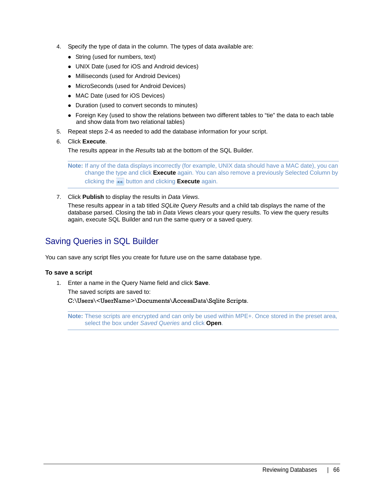- 4. Specify the type of data in the column. The types of data available are:
	- String (used for numbers, text)
	- UNIX Date (used for iOS and Android devices)
	- Milliseconds (used for Android Devices)
	- MicroSeconds (used for Android Devices)
	- MAC Date (used for iOS Devices)
	- Duration (used to convert seconds to minutes)
	- Foreign Key (used to show the relations between two different tables to "tie" the data to each table and show data from two relational tables)
- 5. Repeat steps 2-4 as needed to add the database information for your script.

#### 6. Click **Execute**.

The results appear in the *Results* tab at the bottom of the SQL Builder.

**Note:** If any of the data displays incorrectly (for example, UNIX data should have a MAC date), you can change the type and click **Execute** again. You can also remove a previously Selected Column by clicking the button and clicking **Execute** again.

7. Click **Publish** to display the results in *Data Views*. These results appear in a tab titled *SQLite Query Results* and a child tab displays the name of the database parsed. Closing the tab in *Data Views* clears your query results. To view the query results again, execute SQL Builder and run the same query or a saved query.

### Saving Queries in SQL Builder

You can save any script files you create for future use on the same database type.

#### **To save a script**

1. Enter a name in the Query Name field and click **Save**. The saved scripts are saved to: C:\Users\<UserName>\Documents\AccessData\Sqlite Scripts.

**Note:** These scripts are encrypted and can only be used within MPE+. Once stored in the preset area, select the box under *Saved Queries* and click **Open**.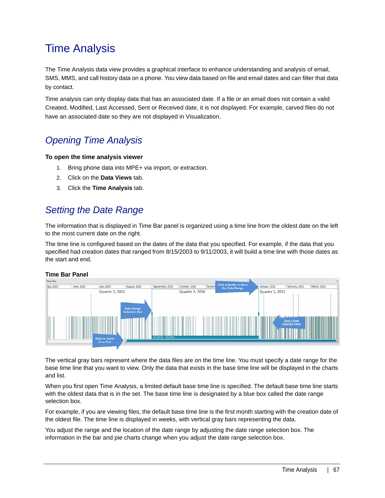# <span id="page-67-0"></span>Time Analysis

The Time Analysis data view provides a graphical interface to enhance understanding and analysis of email, SMS, MMS, and call history data on a phone. You view data based on file and email dates and can filter that data by contact.

Time analysis can only display data that has an associated date. If a file or an email does not contain a valid Created, Modified, Last Accessed, Sent or Received date, it is not displayed. For example, carved files do not have an associated date so they are not displayed in Visualization.

## *Opening Time Analysis*

#### **To open the time analysis viewer**

- 1. Bring phone data into MPE+ via import, or extraction.
- 2. Click on the **Data Views** tab.
- 3. Click the **Time Analysis** tab.

## *Setting the Date Range*

The information that is displayed in Time Bar panel is organized using a time line from the oldest date on the left to the most current date on the right.

The time line is configured based on the dates of the data that you specified. For example, if the data that you specified had creation dates that ranged from 8/15/2003 to 9/11/2003, it will build a time line with those dates as the start and end.

#### **Time Bar Panel**



The vertical gray bars represent where the data files are on the time line. You must specify a date range for the base time line that you want to view. Only the data that exists in the base time line will be displayed in the charts and list.

When you first open Time Analysis, a limited default base time line is specified. The default base time line starts with the oldest data that is in the set. The base time line is designated by a blue box called the date range selection box.

For example, if you are viewing files, the default base time line is the first month starting with the creation date of the oldest file. The time line is displayed in weeks, with vertical gray bars representing the data.

You adjust the range and the location of the date range by adjusting the date range selection box. The information in the bar and pie charts change when you adjust the date range selection box.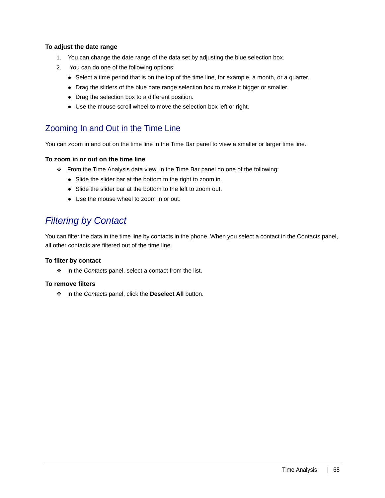### **To adjust the date range**

- 1. You can change the date range of the data set by adjusting the blue selection box.
- 2. You can do one of the following options:
	- Select a time period that is on the top of the time line, for example, a month, or a quarter.
	- Drag the sliders of the blue date range selection box to make it bigger or smaller.
	- Drag the selection box to a different position.
	- Use the mouse scroll wheel to move the selection box left or right.

### Zooming In and Out in the Time Line

You can zoom in and out on the time line in the Time Bar panel to view a smaller or larger time line.

### **To zoom in or out on the time line**

- \* From the Time Analysis data view, in the Time Bar panel do one of the following:
	- Slide the slider bar at the bottom to the right to zoom in.
	- Slide the slider bar at the bottom to the left to zoom out.
	- Use the mouse wheel to zoom in or out.

## *Filtering by Contact*

You can filter the data in the time line by contacts in the phone. When you select a contact in the Contacts panel, all other contacts are filtered out of the time line.

### **To filter by contact**

In the *Contacts* panel, select a contact from the list.

### **To remove filters**

In the *Contacts* panel, click the **Deselect All** button.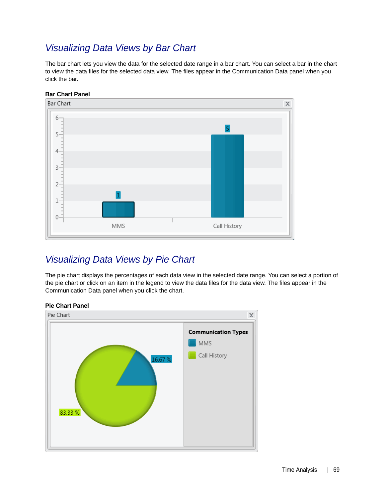## *Visualizing Data Views by Bar Chart*

The bar chart lets you view the data for the selected date range in a bar chart. You can select a bar in the chart to view the data files for the selected data view. The files appear in the Communication Data panel when you click the bar.



### **Bar Chart Panel**

### *Visualizing Data Views by Pie Chart*

The pie chart displays the percentages of each data view in the selected date range. You can select a portion of the pie chart or click on an item in the legend to view the data files for the data view. The files appear in the Communication Data panel when you click the chart.



### **Pie Chart Panel**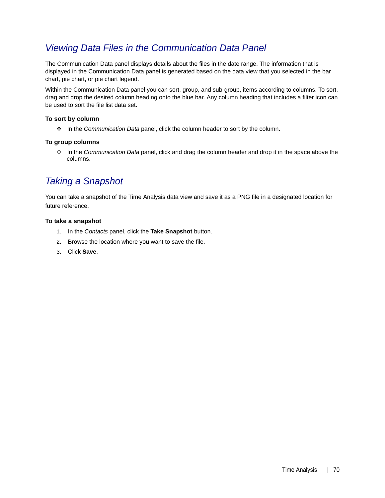## *Viewing Data Files in the Communication Data Panel*

The Communication Data panel displays details about the files in the date range. The information that is displayed in the Communication Data panel is generated based on the data view that you selected in the bar chart, pie chart, or pie chart legend.

Within the Communication Data panel you can sort, group, and sub-group, items according to columns. To sort, drag and drop the desired column heading onto the blue bar. Any column heading that includes a filter icon can be used to sort the file list data set.

#### **To sort by column**

In the *Communication Data* panel, click the column header to sort by the column.

### **To group columns**

In the *Communication Data* panel, click and drag the column header and drop it in the space above the columns.

### *Taking a Snapshot*

You can take a snapshot of the Time Analysis data view and save it as a PNG file in a designated location for future reference.

#### **To take a snapshot**

- 1. In the *Contacts* panel, click the **Take Snapshot** button.
- 2. Browse the location where you want to save the file.
- 3. Click **Save**.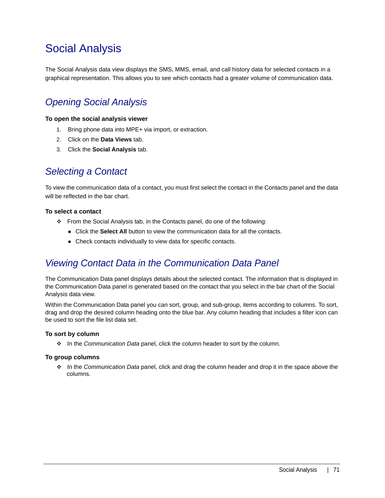# <span id="page-71-0"></span>Social Analysis

The Social Analysis data view displays the SMS, MMS, email, and call history data for selected contacts in a graphical representation. This allows you to see which contacts had a greater volume of communication data.

# *Opening Social Analysis*

#### **To open the social analysis viewer**

- 1. Bring phone data into MPE+ via import, or extraction.
- 2. Click on the **Data Views** tab.
- 3. Click the **Social Analysis** tab.

### *Selecting a Contact*

To view the communication data of a contact, you must first select the contact in the Contacts panel and the data will be reflected in the bar chart.

#### **To select a contact**

- From the Social Analysis tab, in the Contacts panel, do one of the following:
	- Click the **Select All** button to view the communication data for all the contacts.
	- Check contacts individually to view data for specific contacts.

### *Viewing Contact Data in the Communication Data Panel*

The Communication Data panel displays details about the selected contact. The information that is displayed in the Communication Data panel is generated based on the contact that you select in the bar chart of the Social Analysis data view.

Within the Communication Data panel you can sort, group, and sub-group, items according to columns. To sort, drag and drop the desired column heading onto the blue bar. Any column heading that includes a filter icon can be used to sort the file list data set.

#### **To sort by column**

In the *Communication Data* panel, click the column header to sort by the column.

### **To group columns**

In the *Communication Data* panel, click and drag the column header and drop it in the space above the columns.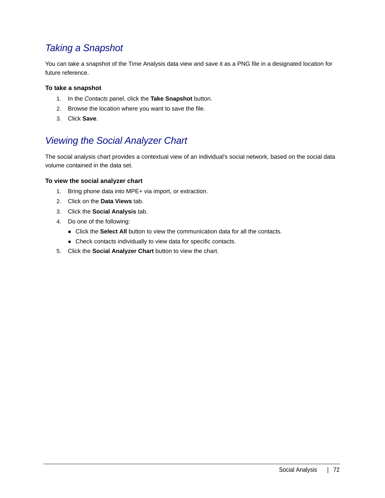## *Taking a Snapshot*

You can take a snapshot of the Time Analysis data view and save it as a PNG file in a designated location for future reference.

#### **To take a snapshot**

- 1. In the *Contacts* panel, click the **Take Snapshot** button.
- 2. Browse the location where you want to save the file.
- 3. Click **Save**.

## *Viewing the Social Analyzer Chart*

The social analysis chart provides a contextual view of an individual's social network, based on the social data volume contained in the data set.

#### **To view the social analyzer chart**

- 1. Bring phone data into MPE+ via import, or extraction.
- 2. Click on the **Data Views** tab.
- 3. Click the **Social Analysis** tab.
- 4. Do one of the following:
	- Click the **Select All** button to view the communication data for all the contacts.
	- Check contacts individually to view data for specific contacts.
- 5. Click the **Social Analyzer Chart** button to view the chart.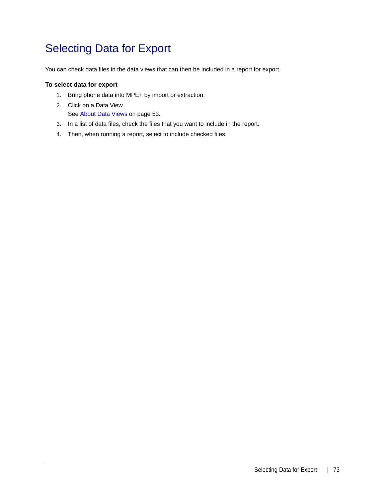## Selecting Data for Export

You can check data files in the data views that can then be included in a report for export.

#### **To select data for export**

- 1. Bring phone data into MPE+ by import or extraction.
- 2. Click on a Data View. [See About Data Views on page 53.](#page-53-0)
- 3. In a list of data files, check the files that you want to include in the report.
- 4. Then, when running a report, select to include checked files.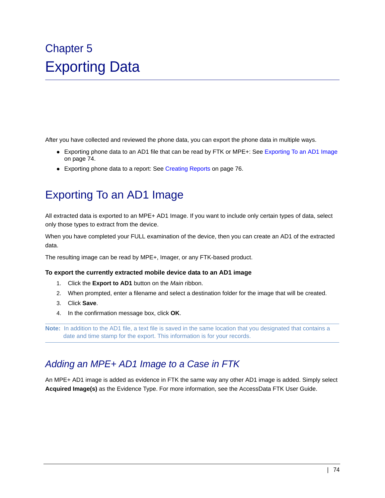# Chapter 5 Exporting Data

After you have collected and reviewed the phone data, you can export the phone data in multiple ways.

- Exporting phone data to an AD1 file that can be read by FTK or MPE+: [See Exporting To an AD1 Image](#page-74-0) [on page 74.](#page-74-0)
- **•** Exporting phone data to a report: [See Creating Reports on page 76.](#page-76-0)

## <span id="page-74-0"></span>Exporting To an AD1 Image

All extracted data is exported to an MPE+ AD1 Image. If you want to include only certain types of data, select only those types to extract from the device.

When you have completed your FULL examination of the device, then you can create an AD1 of the extracted data.

The resulting image can be read by MPE+, Imager, or any FTK-based product.

#### **To export the currently extracted mobile device data to an AD1 image**

- 1. Click the **Export to AD1** button on the *Main* ribbon.
- 2. When prompted, enter a filename and select a destination folder for the image that will be created.
- 3. Click **Save**.
- 4. In the confirmation message box, click **OK**.

**Note:** In addition to the AD1 file, a text file is saved in the same location that you designated that contains a date and time stamp for the export. This information is for your records.

## *Adding an MPE+ AD1 Image to a Case in FTK*

An MPE+ AD1 image is added as evidence in FTK the same way any other AD1 image is added. Simply select **Acquired Image(s)** as the Evidence Type. For more information, see the AccessData FTK User Guide.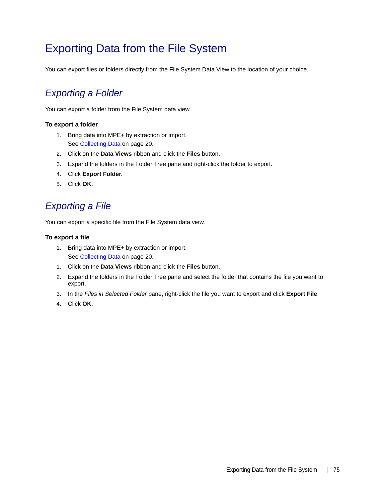## Exporting Data from the File System

You can export files or folders directly from the File System Data View to the location of your choice.

## *Exporting a Folder*

You can export a folder from the File System data view.

#### **To export a folder**

- 1. Bring data into MPE+ by extraction or import. [See Collecting Data on page 20.](#page-20-0)
- 2. Click on the **Data Views** ribbon and click the **Files** button.
- 3. Expand the folders in the Folder Tree pane and right-click the folder to export.
- 4. Click **Export Folder**.
- 5. Click **OK**.

## *Exporting a File*

You can export a specific file from the File System data view.

#### **To export a file**

- 1. Bring data into MPE+ by extraction or import. [See Collecting Data on page 20.](#page-20-0)
- 1. Click on the **Data Views** ribbon and click the **Files** button.
- 2. Expand the folders in the Folder Tree pane and select the folder that contains the file you want to export.
- 3. In the *Files in Selected Folder* pane, right-click the file you want to export and click **Export File**.
- 4. Click **OK**.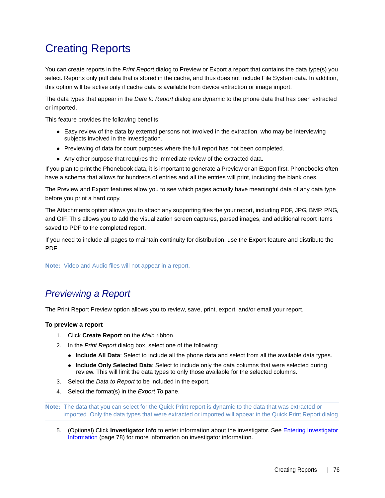## <span id="page-76-0"></span>Creating Reports

You can create reports in the *Print Report* dialog to Preview or Export a report that contains the data type(s) you select. Reports only pull data that is stored in the cache, and thus does not include File System data. In addition, this option will be active only if cache data is available from device extraction or image import.

The data types that appear in the *Data to Report* dialog are dynamic to the phone data that has been extracted or imported.

This feature provides the following benefits:

- Easy review of the data by external persons not involved in the extraction, who may be interviewing subjects involved in the investigation.
- Previewing of data for court purposes where the full report has not been completed.
- Any other purpose that requires the immediate review of the extracted data.

If you plan to print the Phonebook data, it is important to generate a Preview or an Export first. Phonebooks often have a schema that allows for hundreds of entries and all the entries will print, including the blank ones.

The Preview and Export features allow you to see which pages actually have meaningful data of any data type before you print a hard copy.

The Attachments option allows you to attach any supporting files the your report, including PDF, JPG, BMP, PNG, and GIF. This allows you to add the visualization screen captures, parsed images, and additional report items saved to PDF to the completed report.

If you need to include all pages to maintain continuity for distribution, use the Export feature and distribute the PDF.

**Note:** Video and Audio files will not appear in a report.

## <span id="page-76-1"></span>*Previewing a Report*

The Print Report Preview option allows you to review, save, print, export, and/or email your report.

#### **To preview a report**

- 1. Click **Create Report** on the *Main* ribbon.
- 2. In the *Print Report* dialog box, select one of the following:
	- **Include All Data**: Select to include all the phone data and select from all the available data types.
	- **Include Only Selected Data**: Select to include only the data columns that were selected during review. This will limit the data types to only those available for the selected columns.
- 3. Select the *Data to Report* to be included in the export.
- 4. Select the format(s) in the *Export To* pane.

**Note:** The data that you can select for the Quick Print report is dynamic to the data that was extracted or imported. Only the data types that were extracted or imported will appear in the Quick Print Report dialog.

5. (Optional) Click **Investigator Info** to enter information about the investigator. See [Entering Investigator](#page-78-0)  [Information \(page 78\)](#page-78-0) for more information on investigator information.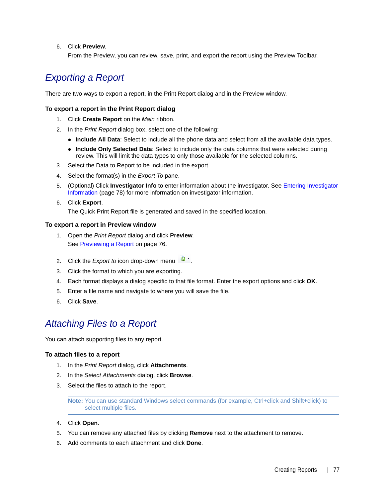#### 6. Click **Preview**.

From the Preview, you can review, save, print, and export the report using the Preview Toolbar.

## *Exporting a Report*

There are two ways to export a report, in the Print Report dialog and in the Preview window.

#### **To export a report in the Print Report dialog**

- 1. Click **Create Report** on the *Main* ribbon.
- 2. In the *Print Report* dialog box, select one of the following:
	- **Include All Data**: Select to include all the phone data and select from all the available data types.
	- **Include Only Selected Data**: Select to include only the data columns that were selected during review. This will limit the data types to only those available for the selected columns.
- 3. Select the Data to Report to be included in the export.
- 4. Select the format(s) in the *Export To* pane.
- 5. (Optional) Click **Investigator Info** to enter information about the investigator. See [Entering Investigator](#page-78-0)  [Information \(page 78\)](#page-78-0) for more information on investigator information.
- 6. Click **Export**.

The Quick Print Report file is generated and saved in the specified location.

#### **To export a report in Preview window**

- 1. Open the *Print Report* dialog and click **Preview**. [See Previewing a Report on page 76.](#page-76-1)
- 2. Click the *Export to* icon drop-down menu
- 3. Click the format to which you are exporting.
- 4. Each format displays a dialog specific to that file format. Enter the export options and click **OK**.
- 5. Enter a file name and navigate to where you will save the file.
- 6. Click **Save**.

## *Attaching Files to a Report*

You can attach supporting files to any report.

#### **To attach files to a report**

- 1. In the *Print Report* dialog, click **Attachments**.
- 2. In the *Select Attachments* dialog, click **Browse**.
- 3. Select the files to attach to the report.

**Note:** You can use standard Windows select commands (for example, Ctrl+click and Shift+click) to select multiple files.

- 4. Click **Open**.
- 5. You can remove any attached files by clicking **Remove** next to the attachment to remove.
- 6. Add comments to each attachment and click **Done**.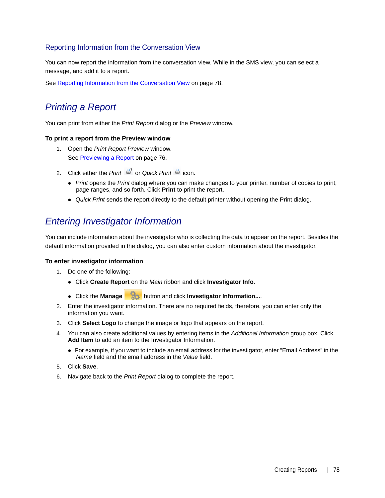#### <span id="page-78-1"></span>Reporting Information from the Conversation View

You can now report the information from the conversation view. While in the SMS view, you can select a message, and add it to a report.

[See Reporting Information from the Conversation View on page 78.](#page-78-1)

## *Printing a Report*

You can print from either the *Print Report* dialog or the *Preview* window.

#### **To print a report from the Preview window**

- 1. Open the *Print Report Preview* window. [See Previewing a Report on page 76.](#page-76-1)
- 2. Click either the *Print*  $\frac{d^2}{dx^2}$  or *Quick Print*  $\frac{d^2}{dx^2}$  icon.
	- *Print* opens the *Print* dialog where you can make changes to your printer, number of copies to print, page ranges, and so forth. Click **Print** to print the report.
	- *Quick Print* sends the report directly to the default printer without opening the Print dialog.

## <span id="page-78-0"></span>*Entering Investigator Information*

You can include information about the investigator who is collecting the data to appear on the report. Besides the default information provided in the dialog, you can also enter custom information about the investigator.

#### **To enter investigator information**

- 1. Do one of the following:
	- Click **Create Report** on the *Main* ribbon and click **Investigator Info**.
	- Click the **Manage** button and click **Investigator Information...**.
- 2. Enter the investigator information. There are no required fields, therefore, you can enter only the information you want.
- 3. Click **Select Logo** to change the image or logo that appears on the report.
- 4. You can also create additional values by entering items in the *Additional Information* group box. Click **Add Item** to add an item to the Investigator Information.
	- For example, if you want to include an email address for the investigator, enter "Email Address" in the *Name* field and the email address in the *Value* field.
- 5. Click **Save**.
- 6. Navigate back to the *Print Report* dialog to complete the report.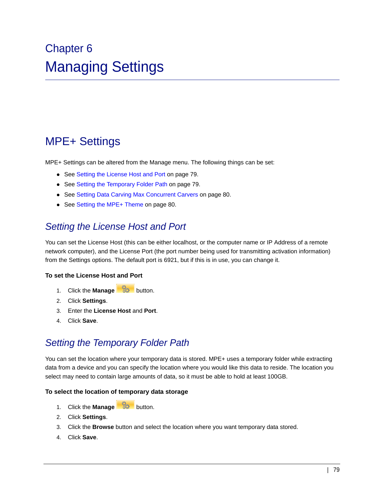# Chapter 6 Managing Settings

## MPE+ Settings

MPE+ Settings can be altered from the Manage menu. The following things can be set:

- [See Setting the License Host and Port on page 79.](#page-79-0)
- [See Setting the Temporary Folder Path on page 79.](#page-79-1)
- [See Setting Data Carving Max Concurrent Carvers on page 80.](#page-80-0)
- [See Setting the MPE+ Theme on page 80.](#page-80-1)

## <span id="page-79-0"></span>*Setting the License Host and Port*

You can set the License Host (this can be either localhost, or the computer name or IP Address of a remote network computer), and the License Port (the port number being used for transmitting activation information) from the Settings options. The default port is 6921, but if this is in use, you can change it.

#### **To set the License Host and Port**

- 1. Click the **Manage button.**
- 2. Click **Settings**.
- 3. Enter the **License Host** and **Port**.
- 4. Click **Save**.

## <span id="page-79-1"></span>*Setting the Temporary Folder Path*

You can set the location where your temporary data is stored. MPE+ uses a temporary folder while extracting data from a device and you can specify the location where you would like this data to reside. The location you select may need to contain large amounts of data, so it must be able to hold at least 100GB.

#### **To select the location of temporary data storage**

- 1. Click the **Manage Ba** button.
- 2. Click **Settings**.
- 3. Click the **Browse** button and select the location where you want temporary data stored.
- 4. Click **Save**.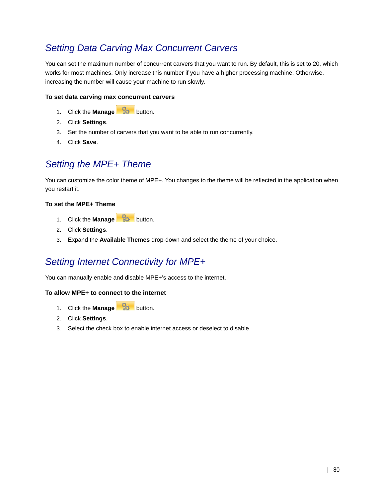## <span id="page-80-0"></span>*Setting Data Carving Max Concurrent Carvers*

You can set the maximum number of concurrent carvers that you want to run. By default, this is set to 20, which works for most machines. Only increase this number if you have a higher processing machine. Otherwise, increasing the number will cause your machine to run slowly.

#### **To set data carving max concurrent carvers**

- 1. Click the **Manage Button.**
- 2. Click **Settings**.
- 3. Set the number of carvers that you want to be able to run concurrently.
- 4. Click **Save**.

## <span id="page-80-1"></span>*Setting the MPE+ Theme*

You can customize the color theme of MPE+. You changes to the theme will be reflected in the application when you restart it.

#### **To set the MPE+ Theme**

- 1. Click the **Manage Button**.
- 2. Click **Settings**.
- 3. Expand the **Available Themes** drop-down and select the theme of your choice.

## *Setting Internet Connectivity for MPE+*

You can manually enable and disable MPE+'s access to the internet.

#### **To allow MPE+ to connect to the internet**

- 1. Click the **Manage Bar** button.
- 2. Click **Settings**.
- 3. Select the check box to enable internet access or deselect to disable.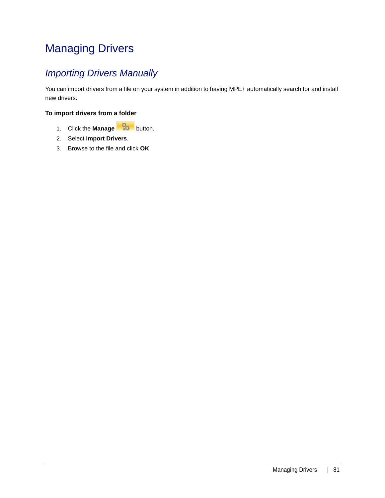## Managing Drivers

## *Importing Drivers Manually*

You can import drivers from a file on your system in addition to having MPE+ automatically search for and install new drivers.

#### **To import drivers from a folder**

- 1. Click the **Manage** button.
- 2. Select **Import Drivers**.
- 3. Browse to the file and click **OK**.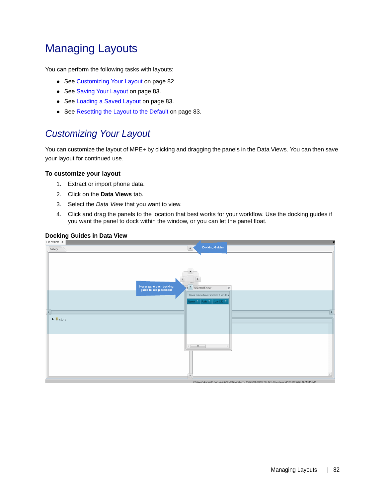## Managing Layouts

You can perform the following tasks with layouts:

- [See Customizing Your Layout on page 82.](#page-82-0)
- [See Saving Your Layout on page 83.](#page-83-0)
- [See Loading a Saved Layout on page 83.](#page-83-1)
- [See Resetting the Layout to the Default on page 83.](#page-83-2)

## <span id="page-82-0"></span>*Customizing Your Layout*

You can customize the layout of MPE+ by clicking and dragging the panels in the Data Views. You can then save your layout for continued use.

#### **To customize your layout**

- 1. Extract or import phone data.
- 2. Click on the **Data Views** tab.
- 3. Select the *Data View* that you want to view.
- 4. Click and drag the panels to the location that best works for your workflow. Use the docking guides if you want the panel to dock within the window, or you can let the panel float.



#### **Docking Guides in Data View**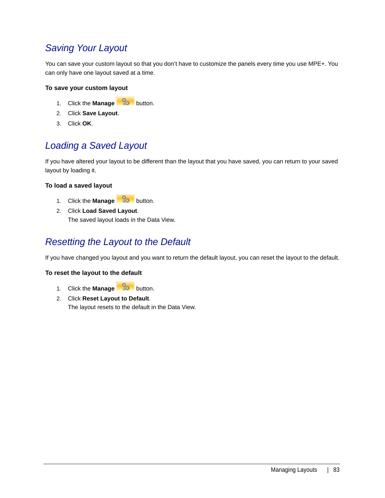## <span id="page-83-0"></span>*Saving Your Layout*

You can save your custom layout so that you don't have to customize the panels every time you use MPE+. You can only have one layout saved at a time.

#### **To save your custom layout**

- 1. Click the **Manage Button.**
- 2. Click **Save Layout**.
- 3. Click **OK**.

## <span id="page-83-1"></span>*Loading a Saved Layout*

If you have altered your layout to be different than the layout that you have saved, you can return to your saved layout by loading it.

#### **To load a saved layout**

- 1. Click the **Manage** button.
- 2. Click **Load Saved Layout**. The saved layout loads in the Data View.

## <span id="page-83-2"></span>*Resetting the Layout to the Default*

If you have changed you layout and you want to return the default layout, you can reset the layout to the default.

#### **To reset the layout to the default**

- 1. Click the **Manage** button.
- 2. Click **Reset Layout to Default**. The layout resets to the default in the Data View.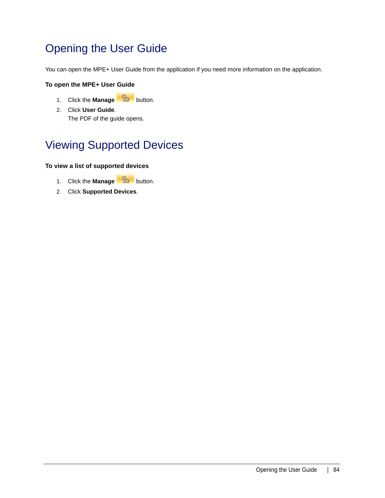## Opening the User Guide

You can open the MPE+ User Guide from the application if you need more information on the application.

#### **To open the MPE+ User Guide**

- 1. Click the **Manage Button**.
- 2. Click **User Guide**. The PDF of the guide opens.

## Viewing Supported Devices

#### **To view a list of supported devices**

- 1. Click the **Manage** button.
- 2. Click **Supported Devices**.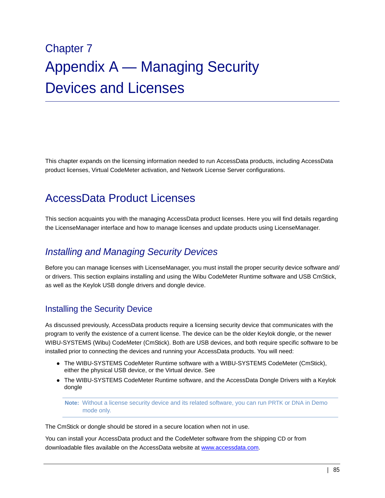# Chapter 7 Appendix A — Managing Security Devices and Licenses

This chapter expands on the licensing information needed to run AccessData products, including AccessData product licenses, Virtual CodeMeter activation, and Network License Server configurations.

## AccessData Product Licenses

This section acquaints you with the managing AccessData product licenses. Here you will find details regarding the LicenseManager interface and how to manage licenses and update products using LicenseManager.

## *Installing and Managing Security Devices*

Before you can manage licenses with LicenseManager, you must install the proper security device software and/ or drivers. This section explains installing and using the Wibu CodeMeter Runtime software and USB CmStick, as well as the Keylok USB dongle drivers and dongle device.

### Installing the Security Device

As discussed previously, AccessData products require a licensing security device that communicates with the program to verify the existence of a current license. The device can be the older Keylok dongle, or the newer WIBU-SYSTEMS (Wibu) CodeMeter (CmStick). Both are USB devices, and both require specific software to be installed prior to connecting the devices and running your AccessData products. You will need:

- The WIBU-SYSTEMS CodeMeter Runtime software with a WIBU-SYSTEMS CodeMeter (CmStick), either the physical USB device, or the Virtual device. See
- The WIBU-SYSTEMS CodeMeter Runtime software, and the AccessData Dongle Drivers with a Keylok dongle

**Note:** Without a license security device and its related software, you can run PRTK or DNA in Demo mode only.

The CmStick or dongle should be stored in a secure location when not in use.

You can install your AccessData product and the CodeMeter software from the shipping CD or from downloadable files available on the AccessData website at<www.accessdata.com>.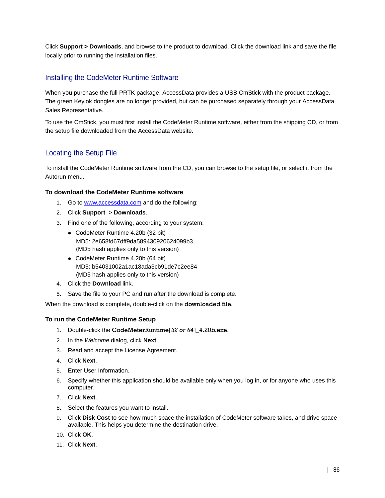Click **Support > Downloads**, and browse to the product to download. Click the download link and save the file locally prior to running the installation files.

#### Installing the CodeMeter Runtime Software

When you purchase the full PRTK package, AccessData provides a USB CmStick with the product package. The green Keylok dongles are no longer provided, but can be purchased separately through your AccessData Sales Representative.

To use the CmStick, you must first install the CodeMeter Runtime software, either from the shipping CD, or from the setup file downloaded from the AccessData website.

#### Locating the Setup File

To install the CodeMeter Runtime software from the CD, you can browse to the setup file, or select it from the Autorun menu.

#### **To download the CodeMeter Runtime software**

- 1. [Go to w](www.accessdata.com)ww.accessdata.com and do the following:
- 2. Click **Support** > **Downloads**.
- 3. Find one of the following, according to your system:
	- CodeMeter Runtime 4.20b (32 bit) MD5: 2e658fd67dff9da589430920624099b3 (MD5 hash applies only to this version)
	- CodeMeter Runtime 4.20b (64 bit) MD5: b54031002a1ac18ada3cb91de7c2ee84 (MD5 hash applies only to this version)
- 4. Click the **Download** link.
- 5. Save the file to your PC and run after the download is complete.

When the download is complete, double-click on the downloaded file.

#### **To run the CodeMeter Runtime Setup**

- 1. Double-click the CodeMeterRuntime[*32 or 64*]\_4.20b.exe.
- 2. In the *Welcome* dialog, click **Next**.
- 3. Read and accept the License Agreement.
- 4. Click **Next**.
- 5. Enter User Information.
- 6. Specify whether this application should be available only when you log in, or for anyone who uses this computer.
- 7. Click **Next**.
- 8. Select the features you want to install.
- 9. Click **Disk Cost** to see how much space the installation of CodeMeter software takes, and drive space available. This helps you determine the destination drive.
- 10. Click **OK**.
- 11. Click **Next**.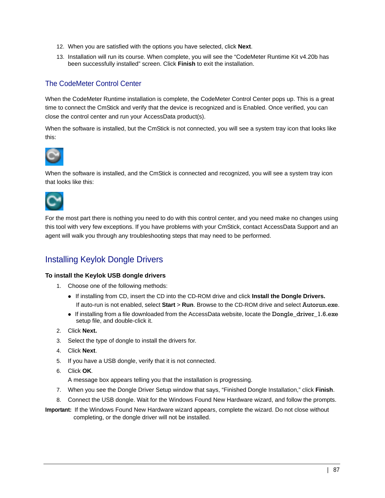- 12. When you are satisfied with the options you have selected, click **Next**.
- 13. Installation will run its course. When complete, you will see the "CodeMeter Runtime Kit v4.20b has been successfully installed" screen. Click **Finish** to exit the installation.

#### The CodeMeter Control Center

When the CodeMeter Runtime installation is complete, the CodeMeter Control Center pops up. This is a great time to connect the CmStick and verify that the device is recognized and is Enabled. Once verified, you can close the control center and run your AccessData product(s).

When the software is installed, but the CmStick is not connected, you will see a system tray icon that looks like this:



When the software is installed, and the CmStick is connected and recognized, you will see a system tray icon that looks like this:



For the most part there is nothing you need to do with this control center, and you need make no changes using this tool with very few exceptions. If you have problems with your CmStick, contact AccessData Support and an agent will walk you through any troubleshooting steps that may need to be performed.

### Installing Keylok Dongle Drivers

#### **To install the Keylok USB dongle drivers**

- 1. Choose one of the following methods:
	- If installing from CD, insert the CD into the CD-ROM drive and click **Install the Dongle Drivers.** If auto-run is not enabled, select **Start** > **Run**. Browse to the CD-ROM drive and select Autorun.exe.
	- If installing from a file downloaded from the AccessData website, locate the Dongle\_driver\_1.6.exe setup file, and double-click it.
- 2. Click **Next.**
- 3. Select the type of dongle to install the drivers for.
- 4. Click **Next**.
- 5. If you have a USB dongle, verify that it is not connected.
- 6. Click **OK***.*

A message box appears telling you that the installation is progressing.

- 7. When you see the Dongle Driver Setup window that says, "Finished Dongle Installation," click **Finish**.
- 8. Connect the USB dongle. Wait for the Windows Found New Hardware wizard, and follow the prompts.

**Important:** If the Windows Found New Hardware wizard appears, complete the wizard. Do not close without completing, or the dongle driver will not be installed.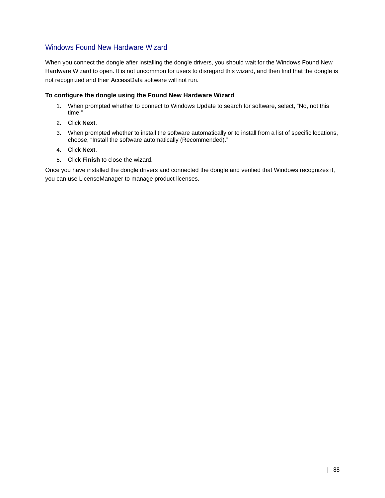#### Windows Found New Hardware Wizard

When you connect the dongle after installing the dongle drivers, you should wait for the Windows Found New Hardware Wizard to open. It is not uncommon for users to disregard this wizard, and then find that the dongle is not recognized and their AccessData software will not run.

#### **To configure the dongle using the Found New Hardware Wizard**

- 1. When prompted whether to connect to Windows Update to search for software, select, "No, not this time."
- 2. Click **Next**.
- 3. When prompted whether to install the software automatically or to install from a list of specific locations, choose, "Install the software automatically (Recommended)."
- 4. Click **Next**.
- 5. Click **Finish** to close the wizard.

Once you have installed the dongle drivers and connected the dongle and verified that Windows recognizes it, you can use LicenseManager to manage product licenses.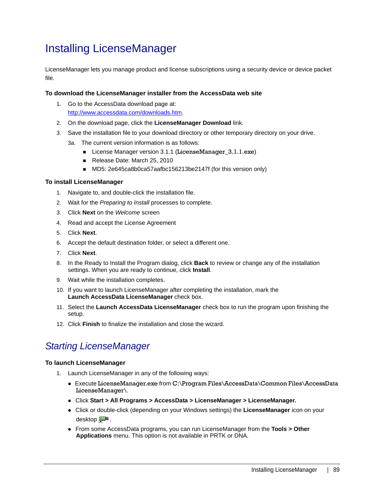## Installing LicenseManager

LicenseManager lets you manage product and license subscriptions using a security device or device packet file.

#### **To download the LicenseManager installer from the AccessData web site**

- 1. Go to the AccessData download page at: [http://www.accessdata.com/downloads.htm](http://www.accessdata.com/downloads.html).
- 2. On the download page, click the **LicenseManager Download** link.
- 3. Save the installation file to your download directory or other temporary directory on your drive.
	- 3a. The current version information is as follows:
		- License Manager version 3.1.1 (LicenseManager\_3.1.1.exe)
		- Release Date: March 25, 2010
		- MD5: 2e645ca8b0ca57aafbc156213be2147f (for this version only)

#### **To install LicenseManager**

- 1. Navigate to, and double-click the installation file.
- 2. Wait for the *Preparing to Install* processes to complete.
- 3. Click **Next** on the *Welcome* screen
- 4. Read and accept the License Agreement
- 5. Click **Next**.
- 6. Accept the default destination folder, or select a different one.
- 7. Click **Next**.
- 8. In the Ready to Install the Program dialog, click **Back** to review or change any of the installation settings. When you are ready to continue, click **Install**.
- 9. Wait while the installation completes.
- 10. If you want to launch LicenseManager after completing the installation, mark the **Launch AccessData LicenseManager** check box.
- 11. Select the **Launch AccessData LicenseManager** check box to run the program upon finishing the setup.
- 12. Click **Finish** to finalize the installation and close the wizard.

## *Starting LicenseManager*

#### **To launch LicenseManager**

- 1. Launch LicenseManager in any of the following ways:
	- Execute LicenseManager.exe from C:\Program Files\AccessData\Common Files\AccessData LicenseManager\.
	- Click **Start > All Programs > AccessData > LicenseManager > LicenseManager.**
	- Click or double-click (depending on your Windows settings) the **LicenseManager** icon on your  $\mathsf{desktop}$ .
	- From some AccessData programs, you can run LicenseManager from the **Tools > Other Applications** menu. This option is not available in PRTK or DNA.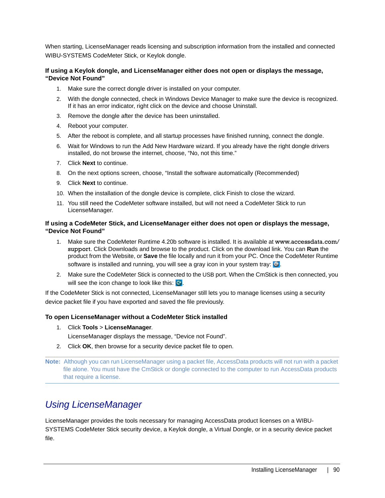When starting, LicenseManager reads licensing and subscription information from the installed and connected WIBU-SYSTEMS CodeMeter Stick, or Keylok dongle.

#### **If using a Keylok dongle, and LicenseManager either does not open or displays the message, "Device Not Found"**

- 1. Make sure the correct dongle driver is installed on your computer.
- 2. With the dongle connected, check in Windows Device Manager to make sure the device is recognized. If it has an error indicator, right click on the device and choose Uninstall.
- 3. Remove the dongle after the device has been uninstalled.
- 4. Reboot your computer.
- 5. After the reboot is complete, and all startup processes have finished running, connect the dongle.
- 6. Wait for Windows to run the Add New Hardware wizard. If you already have the right dongle drivers installed, do not browse the internet, choose, "No, not this time."
- 7. Click **Next** to continue.
- 8. On the next options screen, choose, "Install the software automatically (Recommended)
- 9. Click **Next** to continue.
- 10. When the installation of the dongle device is complete, click Finish to close the wizard.
- 11. You still need the CodeMeter software installed, but will not need a CodeMeter Stick to run LicenseManager.

#### **If using a CodeMeter Stick, and LicenseManager either does not open or displays the message, "Device Not Found"**

- 1. Make sure the CodeMeter Runtime 4.20b software is installed. It is available at www.accessdata.com/ support. Click Downloads and browse to the product. Click on the download link. You can **Run** the product from the Website, or **Save** the file locally and run it from your PC. Once the CodeMeter Runtime software is installed and running, you will see a gray icon in your system tray:  $\circ$ .
- 2. Make sure the CodeMeter Stick is connected to the USB port. When the CmStick is then connected, you will see the icon change to look like this:  $\heartsuit$ .

If the CodeMeter Stick is not connected, LicenseManager still lets you to manage licenses using a security device packet file if you have exported and saved the file previously.

#### **To open LicenseManager without a CodeMeter Stick installed**

- 1. Click **Tools** > **LicenseManager**.
	- LicenseManager displays the message, "Device not Found".
- 2. Click **OK**, then browse for a security device packet file to open.

**Note:** Although you can run LicenseManager using a packet file, AccessData products will not run with a packet file alone. You must have the CmStick or dongle connected to the computer to run AccessData products that require a license.

## *Using LicenseManager*

LicenseManager provides the tools necessary for managing AccessData product licenses on a WIBU-SYSTEMS CodeMeter Stick security device, a Keylok dongle, a Virtual Dongle, or in a security device packet file.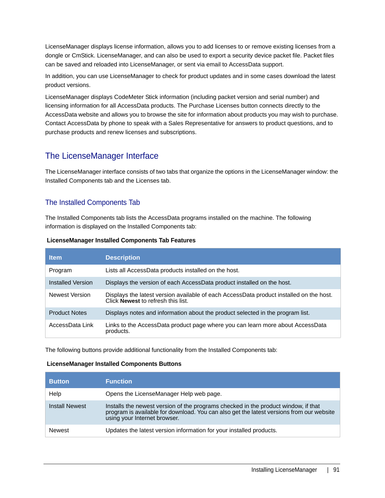LicenseManager displays license information, allows you to add licenses to or remove existing licenses from a dongle or CmStick. LicenseManager, and can also be used to export a security device packet file. Packet files can be saved and reloaded into LicenseManager, or sent via email to AccessData support.

In addition, you can use LicenseManager to check for product updates and in some cases download the latest product versions.

LicenseManager displays CodeMeter Stick information (including packet version and serial number) and licensing information for all AccessData products. The Purchase Licenses button connects directly to the AccessData website and allows you to browse the site for information about products you may wish to purchase. Contact AccessData by phone to speak with a Sales Representative for answers to product questions, and to purchase products and renew licenses and subscriptions.

### The LicenseManager Interface

The LicenseManager interface consists of two tabs that organize the options in the LicenseManager window: the Installed Components tab and the Licenses tab.

#### The Installed Components Tab

The Installed Components tab lists the AccessData programs installed on the machine. The following information is displayed on the Installed Components tab:

| <b>Item</b>          | <b>Description</b>                                                                                                                   |
|----------------------|--------------------------------------------------------------------------------------------------------------------------------------|
| Program              | Lists all AccessData products installed on the host.                                                                                 |
| Installed Version    | Displays the version of each AccessData product installed on the host.                                                               |
| Newest Version       | Displays the latest version available of each AccessData product installed on the host.<br>Click <b>Newest</b> to refresh this list. |
| <b>Product Notes</b> | Displays notes and information about the product selected in the program list.                                                       |
| AccessData Link      | Links to the AccessData product page where you can learn more about AccessData<br>products.                                          |

#### **LicenseManager Installed Components Tab Features**

The following buttons provide additional functionality from the Installed Components tab:

#### **LicenseManager Installed Components Buttons**

| <b>Button</b>         | <b>Function</b>                                                                                                                                                                                             |
|-----------------------|-------------------------------------------------------------------------------------------------------------------------------------------------------------------------------------------------------------|
| Help                  | Opens the LicenseManager Help web page.                                                                                                                                                                     |
| <b>Install Newest</b> | Installs the newest version of the programs checked in the product window, if that program is available for download. You can also get the latest versions from our website<br>using your Internet browser. |
| <b>Newest</b>         | Updates the latest version information for your installed products.                                                                                                                                         |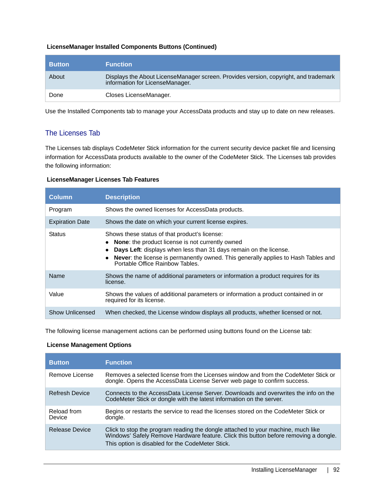#### **LicenseManager Installed Components Buttons (Continued)**

| <b>Button</b> | <b>Function</b>                                                                                                         |
|---------------|-------------------------------------------------------------------------------------------------------------------------|
| About         | Displays the About LicenseManager screen. Provides version, copyright, and trademark<br>information for LicenseManager. |
| Done          | Closes LicenseManager.                                                                                                  |

Use the Installed Components tab to manage your AccessData products and stay up to date on new releases.

#### The Licenses Tab

The Licenses tab displays CodeMeter Stick information for the current security device packet file and licensing information for AccessData products available to the owner of the CodeMeter Stick. The Licenses tab provides the following information:

#### **LicenseManager Licenses Tab Features**

| <b>Column</b>          | <b>Description</b>                                                                                                                                                                                                                                                                                |
|------------------------|---------------------------------------------------------------------------------------------------------------------------------------------------------------------------------------------------------------------------------------------------------------------------------------------------|
| Program                | Shows the owned licenses for AccessData products.                                                                                                                                                                                                                                                 |
| <b>Expiration Date</b> | Shows the date on which your current license expires.                                                                                                                                                                                                                                             |
| <b>Status</b>          | Shows these status of that product's license:<br>None: the product license is not currently owned<br>Days Left: displays when less than 31 days remain on the license.<br>• Never: the license is permanently owned. This generally applies to Hash Tables and<br>Portable Office Rainbow Tables. |
| Name                   | Shows the name of additional parameters or information a product requires for its<br>license.                                                                                                                                                                                                     |
| Value                  | Shows the values of additional parameters or information a product contained in or<br>required for its license.                                                                                                                                                                                   |
| Show Unlicensed        | When checked, the License window displays all products, whether licensed or not.                                                                                                                                                                                                                  |

The following license management actions can be performed using buttons found on the License tab:

#### **License Management Options**

| <b>Button</b>         | <b>Function</b>                                                                                                                                                                                                              |
|-----------------------|------------------------------------------------------------------------------------------------------------------------------------------------------------------------------------------------------------------------------|
| Remove License        | Removes a selected license from the Licenses window and from the CodeMeter Stick or<br>dongle. Opens the AccessData License Server web page to confirm success.                                                              |
| <b>Refresh Device</b> | Connects to the AccessData License Server. Downloads and overwrites the info on the<br>CodeMeter Stick or dongle with the latest information on the server.                                                                  |
| Reload from<br>Device | Begins or restarts the service to read the licenses stored on the CodeMeter Stick or<br>dongle.                                                                                                                              |
| Release Device        | Click to stop the program reading the dongle attached to your machine, much like<br>Windows' Safely Remove Hardware feature. Click this button before removing a dongle.<br>This option is disabled for the CodeMeter Stick. |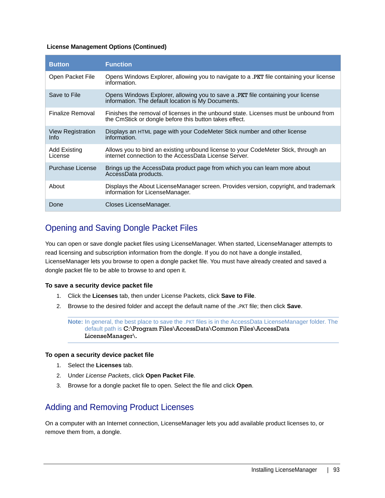#### **License Management Options (Continued)**

| <b>Button</b>                           | <b>Function</b>                                                                                                                                |
|-----------------------------------------|------------------------------------------------------------------------------------------------------------------------------------------------|
| Open Packet File                        | Opens Windows Explorer, allowing you to navigate to a .PKT file containing your license<br>information.                                        |
| Save to File                            | Opens Windows Explorer, allowing you to save a .PKT file containing your license<br>information. The default location is My Documents.         |
| Finalize Removal                        | Finishes the removal of licenses in the unbound state. Licenses must be unbound from<br>the CmStick or dongle before this button takes effect. |
| <b>View Registration</b><br><b>Info</b> | Displays an HTML page with your CodeMeter Stick number and other license<br>information.                                                       |
| Add Existing<br>License                 | Allows you to bind an existing unbound license to your CodeMeter Stick, through an<br>internet connection to the AccessData License Server.    |
| <b>Purchase License</b>                 | Brings up the AccessData product page from which you can learn more about<br>AccessData products.                                              |
| About                                   | Displays the About LicenseManager screen. Provides version, copyright, and trademark<br>information for LicenseManager.                        |
| Done                                    | Closes LicenseManager.                                                                                                                         |

### Opening and Saving Dongle Packet Files

You can open or save dongle packet files using LicenseManager. When started, LicenseManager attempts to read licensing and subscription information from the dongle. If you do not have a dongle installed, LicenseManager lets you browse to open a dongle packet file. You must have already created and saved a dongle packet file to be able to browse to and open it.

#### **To save a security device packet file**

- 1. Click the **Licenses** tab, then under License Packets, click **Save to File**.
- 2. Browse to the desired folder and accept the default name of the .PKT file; then click **Save**.

**Note:** In general, the best place to save the .PKT files is in the AccessData LicenseManager folder. The default path is C:\Program Files\AccessData\Common Files\AccessData LicenseManager\.

#### **To open a security device packet file**

- 1. Select the **Licenses** tab.
- 2. Under *License Packets*, click **Open Packet File**.
- 3. Browse for a dongle packet file to open. Select the file and click **Open**.

### Adding and Removing Product Licenses

On a computer with an Internet connection, LicenseManager lets you add available product licenses to, or remove them from, a dongle.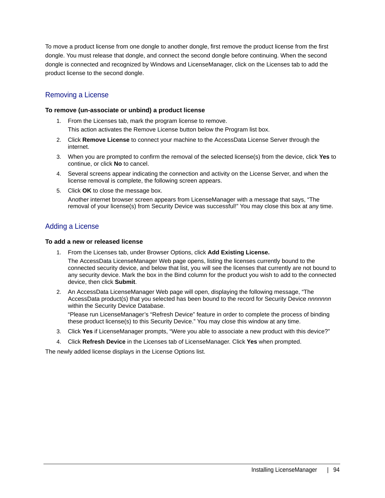To move a product license from one dongle to another dongle, first remove the product license from the first dongle. You must release that dongle, and connect the second dongle before continuing. When the second dongle is connected and recognized by Windows and LicenseManager, click on the Licenses tab to add the product license to the second dongle.

#### Removing a License

#### **To remove (un-associate or unbind) a product license**

- 1. From the Licenses tab, mark the program license to remove. This action activates the Remove License button below the Program list box.
- 2. Click **Remove License** to connect your machine to the AccessData License Server through the internet.
- 3. When you are prompted to confirm the removal of the selected license(s) from the device, click **Yes** to continue, or click **No** to cancel.
- 4. Several screens appear indicating the connection and activity on the License Server, and when the license removal is complete, the following screen appears.
- 5. Click **OK** to close the message box.

Another internet browser screen appears from LicenseManager with a message that says, "The removal of your license(s) from Security Device was successful!" You may close this box at any time.

#### Adding a License

#### **To add a new or released license**

1. From the Licenses tab, under Browser Options, click **Add Existing License.**

The AccessData LicenseManager Web page opens, listing the licenses currently bound to the connected security device, and below that list, you will see the licenses that currently are not bound to any security device. Mark the box in the Bind column for the product you wish to add to the connected device, then click **Submit**.

2. An AccessData LicenseManager Web page will open, displaying the following message, "The AccessData product(s) that you selected has been bound to the record for Security Device *nnnnnnn*  within the Security Device Database.

"Please run LicenseManager's "Refresh Device" feature in order to complete the process of binding these product license(s) to this Security Device." You may close this window at any time.

- 3. Click **Yes** if LicenseManager prompts, "Were you able to associate a new product with this device?"
- 4. Click **Refresh Device** in the Licenses tab of LicenseManager. Click **Yes** when prompted.

The newly added license displays in the License Options list.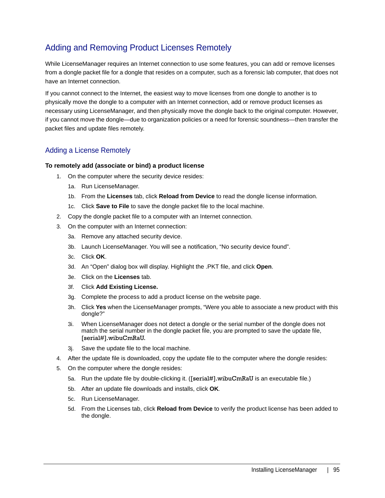## Adding and Removing Product Licenses Remotely

While LicenseManager requires an Internet connection to use some features, you can add or remove licenses from a dongle packet file for a dongle that resides on a computer, such as a forensic lab computer, that does not have an Internet connection.

If you cannot connect to the Internet, the easiest way to move licenses from one dongle to another is to physically move the dongle to a computer with an Internet connection, add or remove product licenses as necessary using LicenseManager, and then physically move the dongle back to the original computer. However, if you cannot move the dongle—due to organization policies or a need for forensic soundness—then transfer the packet files and update files remotely.

#### Adding a License Remotely

#### **To remotely add (associate or bind) a product license**

- 1. On the computer where the security device resides:
	- 1a. Run LicenseManager.
	- 1b. From the **Licenses** tab, click **Reload from Device** to read the dongle license information.
	- 1c. Click **Save to File** to save the dongle packet file to the local machine.
- 2. Copy the dongle packet file to a computer with an Internet connection.
- 3. On the computer with an Internet connection:
	- 3a. Remove any attached security device.
	- 3b. Launch LicenseManager. You will see a notification, "No security device found".
	- 3c. Click **OK**.
	- 3d. An "Open" dialog box will display. Highlight the .PKT file, and click **Open**.
	- 3e. Click on the **Licenses** tab.
	- 3f. Click **Add Existing License.**
	- 3g. Complete the process to add a product license on the website page.
	- 3h. Click **Yes** when the LicenseManager prompts, "Were you able to associate a new product with this dongle?"
	- 3i. When LicenseManager does not detect a dongle or the serial number of the dongle does not match the serial number in the dongle packet file, you are prompted to save the update file, [serial#].wibuCmRaU.
	- 3j. Save the update file to the local machine.
- 4. After the update file is downloaded, copy the update file to the computer where the dongle resides:
- 5. On the computer where the dongle resides:
	- 5a. Run the update file by double-clicking it. ([serial#].wibuCmRaU is an executable file.)
	- 5b. After an update file downloads and installs, click **OK***.*
	- 5c. Run LicenseManager.
	- 5d. From the Licenses tab, click **Reload from Device** to verify the product license has been added to the dongle.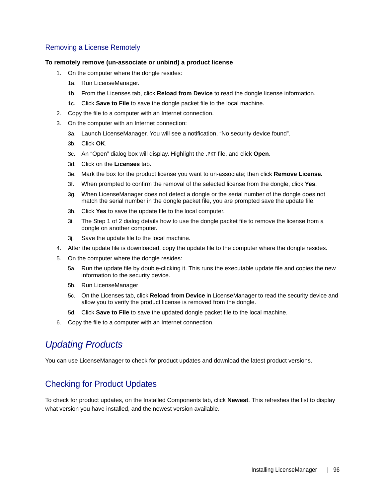#### Removing a License Remotely

#### **To remotely remove (un-associate or unbind) a product license**

- 1. On the computer where the dongle resides:
	- 1a. Run LicenseManager.
	- 1b. From the Licenses tab, click **Reload from Device** to read the dongle license information.
	- 1c. Click **Save to File** to save the dongle packet file to the local machine.
- 2. Copy the file to a computer with an Internet connection.
- 3. On the computer with an Internet connection:
	- 3a. Launch LicenseManager. You will see a notification, "No security device found".
	- 3b. Click **OK**.
	- 3c. An "Open" dialog box will display. Highlight the .PKT file, and click **Open**.
	- 3d. Click on the **Licenses** tab.
	- 3e. Mark the box for the product license you want to un-associate; then click **Remove License.**
	- 3f. When prompted to confirm the removal of the selected license from the dongle, click **Yes**.
	- 3g. When LicenseManager does not detect a dongle or the serial number of the dongle does not match the serial number in the dongle packet file, you are prompted save the update file.
	- 3h. Click **Yes** to save the update file to the local computer.
	- 3i. The Step 1 of 2 dialog details how to use the dongle packet file to remove the license from a dongle on another computer.
	- 3j. Save the update file to the local machine.
- 4. After the update file is downloaded, copy the update file to the computer where the dongle resides.
- 5. On the computer where the dongle resides:
	- 5a. Run the update file by double-clicking it. This runs the executable update file and copies the new information to the security device.
	- 5b. Run LicenseManager
	- 5c. On the Licenses tab, click **Reload from Device** in LicenseManager to read the security device and allow you to verify the product license is removed from the dongle.
	- 5d. Click **Save to File** to save the updated dongle packet file to the local machine.
- 6. Copy the file to a computer with an Internet connection.

## *Updating Products*

You can use LicenseManager to check for product updates and download the latest product versions.

### Checking for Product Updates

To check for product updates, on the Installed Components tab, click **Newest**. This refreshes the list to display what version you have installed, and the newest version available.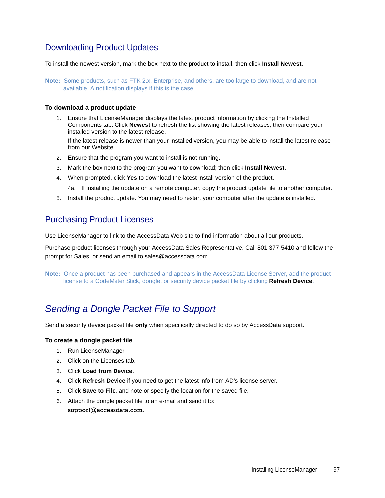### Downloading Product Updates

To install the newest version, mark the box next to the product to install, then click **Install Newest**.

**Note:** Some products, such as FTK 2.x, Enterprise, and others, are too large to download, and are not available. A notification displays if this is the case.

#### **To download a product update**

1. Ensure that LicenseManager displays the latest product information by clicking the Installed Components tab. Click **Newest** to refresh the list showing the latest releases, then compare your installed version to the latest release.

If the latest release is newer than your installed version, you may be able to install the latest release from our Website.

- 2. Ensure that the program you want to install is not running.
- 3. Mark the box next to the program you want to download; then click **Install Newest**.
- 4. When prompted, click **Yes** to download the latest install version of the product.
	- 4a. If installing the update on a remote computer, copy the product update file to another computer.
- 5. Install the product update. You may need to restart your computer after the update is installed.

### Purchasing Product Licenses

Use LicenseManager to link to the AccessData Web site to find information about all our products.

Purchase product licenses through your AccessData Sales Representative. Call 801-377-5410 and follow the prompt for Sales, or send an email to sales@accessdata.com.

**Note:** Once a product has been purchased and appears in the AccessData License Server, add the product license to a CodeMeter Stick, dongle, or security device packet file by clicking **Refresh Device**.

## *Sending a Dongle Packet File to Support*

Send a security device packet file **only** when specifically directed to do so by AccessData support.

#### **To create a dongle packet file**

- 1. Run LicenseManager
- 2. Click on the Licenses tab.
- 3. Click **Load from Device**.
- 4. Click **Refresh Device** if you need to get the latest info from AD's license server.
- 5. Click **Save to File**, and note or specify the location for the saved file.
- 6. Attach the dongle packet file to an e-mail and send it to: support@accessdata.com.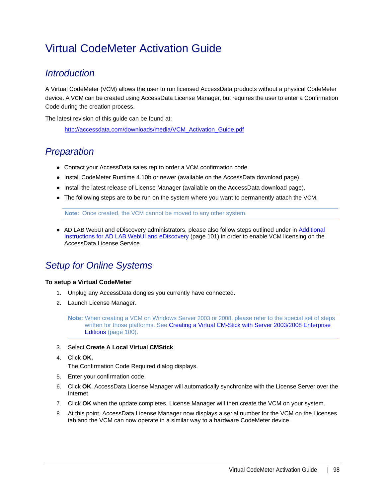## Virtual CodeMeter Activation Guide

## *Introduction*

A Virtual CodeMeter (VCM) allows the user to run licensed AccessData products without a physical CodeMeter device. A VCM can be created using AccessData License Manager, but requires the user to enter a Confirmation Code during the creation process.

The latest revision of this guide can be found at:

[http://accessdata.com/downloads/media/VCM\\_Activation\\_Guide.pdf](http://accessdata.com/downloads/media/VCM_Activation_Guide.pdf)

## *Preparation*

- Contact your AccessData sales rep to order a VCM confirmation code.
- [Install CodeMeter Runtime 4.10b or newer \(available on the AccessData download page\).](http://www.accessdata.com/downloads.html)
- Install the latest release of License Manager (available on the AccessData download page).
- The following steps are to be run on the system where you want to permanently attach the VCM.

**Note:** Once created, the VCM cannot be moved to any other system.

• AD LAB WebUI and eDiscovery administrators, please also follow steps outlined under in Additional [Instructions for AD LAB WebUI and eDiscovery \(page 101\)](#page-101-0) in order to enable VCM licensing on the AccessData License Service.

## *Setup for Online Systems*

#### **To setup a Virtual CodeMeter**

- 1. Unplug any AccessData dongles you currently have connected.
- 2. Launch License Manager.

**Note:** When creating a VCM on Windows Server 2003 or 2008, please refer to the special set of steps written for those platforms. See [Creating a Virtual CM-Stick with Server 2003/2008 Enterprise](#page-100-0)  [Editions \(page 100\)](#page-100-0).

- 3. Select **Create A Local Virtual CMStick**
- 4. Click **OK.**

The Confirmation Code Required dialog displays.

- 5. Enter your confirmation code.
- 6. Click **OK**, AccessData License Manager will automatically synchronize with the License Server over the Internet.
- 7. Click **OK** when the update completes. License Manager will then create the VCM on your system.
- 8. At this point, AccessData License Manager now displays a serial number for the VCM on the Licenses tab and the VCM can now operate in a similar way to a hardware CodeMeter device.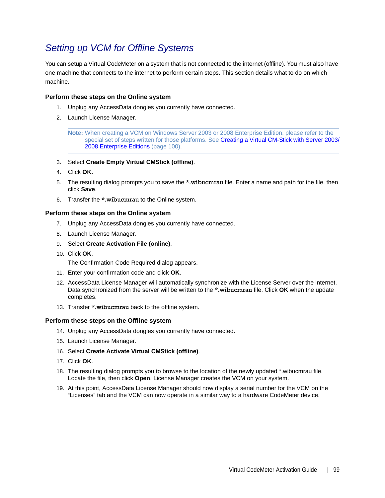## *Setting up VCM for Offline Systems*

You can setup a Virtual CodeMeter on a system that is not connected to the internet (offline). You must also have one machine that connects to the internet to perform certain steps. This section details what to do on which machine.

#### **Perform these steps on the Online system**

- 1. Unplug any AccessData dongles you currently have connected.
- 2. Launch License Manager.

**Note:** When creating a VCM on Windows Server 2003 or 2008 Enterprise Edition, please refer to the special set of steps written for those platforms. See [Creating a Virtual CM-Stick with Server 2003/](#page-100-0) [2008 Enterprise Editions \(page 100\).](#page-100-0)

- 3. Select **Create Empty Virtual CMStick (offline)**.
- 4. Click **OK.**
- 5. The resulting dialog prompts you to save the \*.wibucmrau file. Enter a name and path for the file, then click **Save**.
- 6. Transfer the \*.wibucmrau to the Online system.

#### **Perform these steps on the Online system**

- 7. Unplug any AccessData dongles you currently have connected.
- 8. Launch License Manager.
- 9. Select **Create Activation File (online)**.
- 10. Click **OK**.

The Confirmation Code Required dialog appears.

- 11. Enter your confirmation code and click **OK**.
- 12. AccessData License Manager will automatically synchronize with the License Server over the internet. Data synchronized from the server will be written to the \*.wibucmrau file. Click **OK** when the update completes.
- 13. Transfer \*.wibucmrau back to the offline system.

#### **Perform these steps on the Offline system**

- 14. Unplug any AccessData dongles you currently have connected.
- 15. Launch License Manager.
- 16. Select **Create Activate Virtual CMStick (offline)**.
- 17. Click **OK**.
- 18. The resulting dialog prompts you to browse to the location of the newly updated \*.wibucmrau file. Locate the file, then click **Open**. License Manager creates the VCM on your system.
- 19. At this point, AccessData License Manager should now display a serial number for the VCM on the "Licenses" tab and the VCM can now operate in a similar way to a hardware CodeMeter device.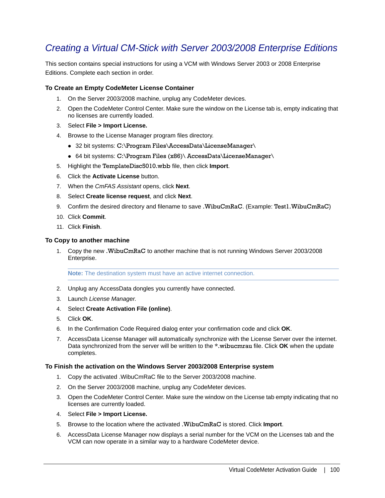## <span id="page-100-0"></span>*Creating a Virtual CM-Stick with Server 2003/2008 Enterprise Editions*

This section contains special instructions for using a VCM with Windows Server 2003 or 2008 Enterprise Editions. Complete each section in order.

#### **To Create an Empty CodeMeter License Container**

- 1. On the Server 2003/2008 machine, unplug any CodeMeter devices.
- 2. Open the CodeMeter Control Center. Make sure the window on the License tab is, empty indicating that no licenses are currently loaded.
- 3. Select **File > Import License.**
- 4. Browse to the License Manager program files directory.
	- 32 bit systems: C:\Program Files\AccessData\LicenseManager\
	- 64 bit systems: C:\Program Files (x86)\ AccessData\LicenseManager\
- 5. Highlight the TemplateDisc5010.wbb file, then click **Import**.
- 6. Click the **Activate License** button.
- 7. When the *CmFAS Assistant* opens, click **Next**.
- 8. Select **Create license request**, and click **Next**.
- 9. Confirm the desired directory and filename to save .WibuCmRaC. (Example: Test1.WibuCmRaC)
- 10. Click **Commit**.
- 11. Click **Finish**.

#### **To Copy to another machine**

1. Copy the new .WibuCmRaC to another machine that is not running Windows Server 2003/2008 Enterprise.

**Note:** The destination system must have an active internet connection.

- 2. Unplug any AccessData dongles you currently have connected.
- 3. Launch *License Manager*.
- 4. Select **Create Activation File (online)**.
- 5. Click **OK**.
- 6. In the Confirmation Code Required dialog enter your confirmation code and click **OK**.
- 7. AccessData License Manager will automatically synchronize with the License Server over the internet. Data synchronized from the server will be written to the \*.wibucmrau file. Click **OK** when the update completes.

#### **To Finish the activation on the Windows Server 2003/2008 Enterprise system**

- 1. Copy the activated .WibuCmRaC file to the Server 2003/2008 machine.
- 2. On the Server 2003/2008 machine, unplug any CodeMeter devices.
- 3. Open the CodeMeter Control Center. Make sure the window on the License tab empty indicating that no licenses are currently loaded.
- 4. Select **File > Import License.**
- 5. Browse to the location where the activated .WibuCmRaC is stored. Click **Import**.
- 6. AccessData License Manager now displays a serial number for the VCM on the Licenses tab and the VCM can now operate in a similar way to a hardware CodeMeter device.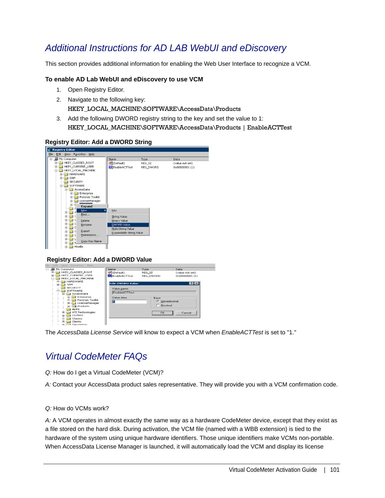## <span id="page-101-0"></span>*Additional Instructions for AD LAB WebUI and eDiscovery*

This section provides additional information for enabling the Web User Interface to recognize a VCM.

#### **To enable AD Lab WebUI and eDiscovery to use VCM**

- 1. Open Registry Editor.
- 2. Navigate to the following key: HKEY\_LOCAL\_MACHINE\SOFTWARE\AccessData\Products
- 3. Add the following DWORD registry string to the key and set the value to 1: HKEY\_LOCAL\_MACHINE\SOFTWARE\AccessData\Products | EnableACTTest

#### **Registry Editor: Add a DWORD String**



#### **Registry Editor: Add a DWORD Value**

| <b>ALL</b> My Computer<br>$\left[-\right]$ | Name:            | Type          | Data            |
|--------------------------------------------|------------------|---------------|-----------------|
| <b>ED-GEN HKEY_CLASSES ROOT</b>            | ab (Default)     | REG SZ        | (value not set) |
| <b>EFFECT HKEY CURRENT USER</b>            | 图 EnableACTTest  | REG DWORD     | 0x00000001 (1)  |
| <b>THE HKEY LOCAL MACHINE</b>              |                  |               |                 |
| FI-Ed HARDWARE                             | Edit DWURD Value |               | 7x              |
| <b>SAM</b><br>田一                           |                  |               |                 |
| <b>SECURITY</b>                            | Value name:      |               |                 |
| <b>SOFTWARE</b><br>Film                    | EnableACTTest    |               |                 |
| <b>ILL AccessData</b><br>中                 |                  |               |                 |
| [4] [in] Erkerprise                        | Value data:      | Base          |                 |
| File final Forensic Toolkit                | n                | F Hexadecimal |                 |
| El-Imi LicenseManager                      |                  |               |                 |
| <b>EL-SER Products</b>                     |                  | C Decimal     |                 |
| <b>TH ADFS</b>                             |                  |               |                 |
| ATI Technologies<br>由                      |                  | <b>OK</b>     | Cancel          |
| <b>CD7ft5Y</b><br>电                        |                  |               |                 |
| <b>ILI</b> Classes<br>m                    |                  |               |                 |
| all Clients<br>由日                          |                  |               |                 |
| the first of the company's the behavior.   |                  |               |                 |

The *AccessData License Service* will know to expect a VCM when *EnableACTTest* is set to "1."

## *Virtual CodeMeter FAQs*

*Q:* How do I get a Virtual CodeMeter (VCM)?

*A:* Contact your AccessData product sales representative. They will provide you with a VCM confirmation code.

#### *Q:* How do VCMs work?

*A:* A VCM operates in almost exactly the same way as a hardware CodeMeter device, except that they exist as a file stored on the hard disk. During activation, the VCM file (named with a WBB extension) is tied to the hardware of the system using unique hardware identifiers. Those unique identifiers make VCMs non-portable. When AccessData License Manager is launched, it will automatically load the VCM and display its license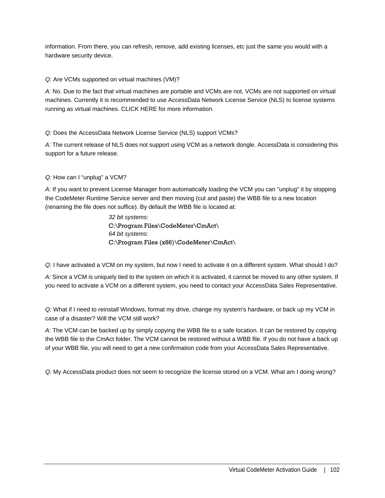information. From there, you can refresh, remove, add existing licenses, etc just the same you would with a hardware security device.

*Q:* Are VCMs supported on virtual machines (VM)?

*A:* No. Due to the fact that virtual machines are portable and VCMs are not, VCMs are not supported on virtual machines. Currently it is recommended to use AccessData Network License Service (NLS) to license systems running as virtual machines. CLICK HERE for more information.

*Q:* Does the AccessData Network License Service (NLS) support VCMs?

*A:* The current release of NLS does not support using VCM as a network dongle. AccessData is considering this support for a future release.

#### *Q:* How can I "unplug" a VCM?

*A:* If you want to prevent License Manager from automatically loading the VCM you can "unplug" it by stopping the CodeMeter Runtime Service server and then moving (cut and paste) the WBB file to a new location (renaming the file does not suffice). By default the WBB file is located at:

> *32 bit systems:* C:\Program Files\CodeMeter\CmAct\ *64 bit systems:* C:\Program Files (x86)\CodeMeter\CmAct\

*Q:* I have activated a VCM on my system, but now I need to activate it on a different system. What should I do?

*A:* Since a VCM is uniquely tied to the system on which it is activated, it cannot be moved to any other system. If you need to activate a VCM on a different system, you need to contact your AccessData Sales Representative.

*Q:* What if I need to reinstall Windows, format my drive, change my system's hardware, or back up my VCM in case of a disaster? Will the VCM still work?

*A:* The VCM can be backed up by simply copying the WBB file to a safe location. It can be restored by copying the WBB file to the CmAct folder. The VCM cannot be restored without a WBB file. If you do not have a back up of your WBB file, you will need to get a new confirmation code from your AccessData Sales Representative.

*Q:* My AccessData product does not seem to recognize the license stored on a VCM. What am I doing wrong?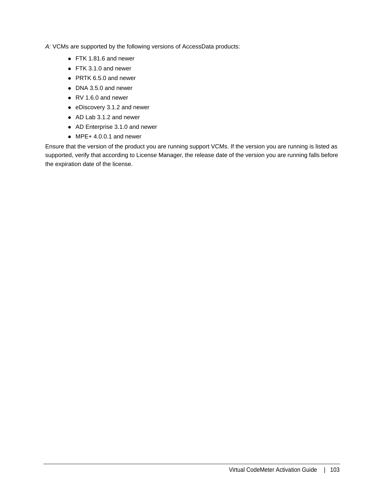*A:* VCMs are supported by the following versions of AccessData products:

- FTK 1.81.6 and newer
- FTK 3.1.0 and newer
- PRTK 6.5.0 and newer
- DNA 3.5.0 and newer
- RV 1.6.0 and newer
- eDiscovery 3.1.2 and newer
- AD Lab 3.1.2 and newer
- AD Enterprise 3.1.0 and newer
- MPE+ 4.0.0.1 and newer

Ensure that the version of the product you are running support VCMs. If the version you are running is listed as supported, verify that according to License Manager, the release date of the version you are running falls before the expiration date of the license.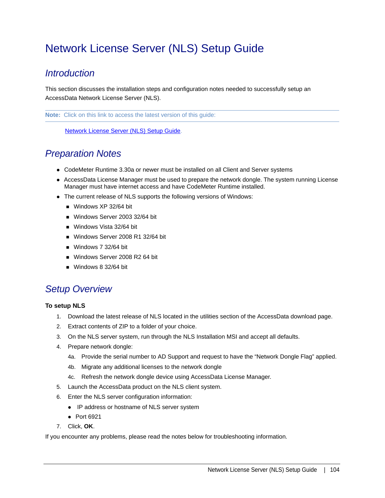## Network License Server (NLS) Setup Guide

## *Introduction*

This section discusses the installation steps and configuration notes needed to successfully setup an AccessData Network License Server (NLS).

**Note:** Click on this link to access the latest version of this guide:

[Network License Server \(NLS\) Setup Guide.](http://www.accessdata.com/downloads/media/NLS_Config.pdf)

## *Preparation Notes*

- CodeMeter Runtime 3.30a or newer must be installed on all Client and Server systems
- AccessData License Manager must be used to prepare the network dongle. The system running License Manager must have internet access and have CodeMeter Runtime installed.
- The current release of NLS supports the following versions of Windows:
	- Windows XP 32/64 bit
	- Windows Server 2003 32/64 bit
	- Windows Vista 32/64 bit
	- Windows Server 2008 R1 32/64 bit
	- Windows 7 32/64 bit
	- Windows Server 2008 R2 64 bit
	- Windows 8 32/64 bit

### *Setup Overview*

#### **To setup NLS**

- 1. Download the latest release of NLS located in the utilities section of the AccessData download page.
- 2. Extract contents of ZIP to a folder of your choice.
- 3. On the NLS server system, run through the NLS Installation MSI and accept all defaults.
- 4. Prepare network dongle:
	- 4a. Provide the serial number to AD Support and request to have the "Network Dongle Flag" applied.
	- 4b. Migrate any additional licenses to the network dongle
	- 4c. Refresh the network dongle device using AccessData License Manager.
- 5. Launch the AccessData product on the NLS client system.
- 6. Enter the NLS server configuration information:
	- IP address or hostname of NLS server system
	- Port 6921
- 7. Click, **OK**.

If you encounter any problems, please read the notes below for troubleshooting information.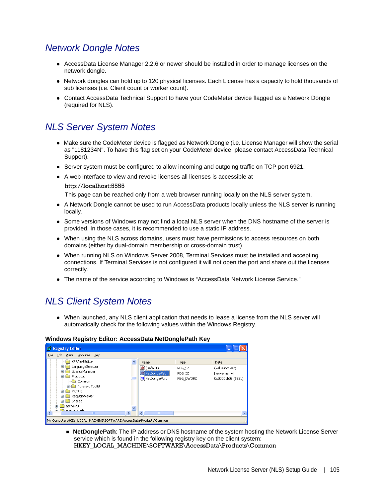## *Network Dongle Notes*

- AccessData License Manager 2.2.6 or newer should be installed in order to manage licenses on the network dongle.
- Network dongles can hold up to 120 physical licenses. Each License has a capacity to hold thousands of sub licenses (i.e. Client count or worker count).
- Contact AccessData Technical Support to have your CodeMeter device flagged as a Network Dongle (required for NLS).

## *NLS Server System Notes*

- Make sure the CodeMeter device is flagged as Network Dongle (i.e. License Manager will show the serial as "1181234N". To have this flag set on your CodeMeter device, please contact AccessData Technical Support).
- Server system must be configured to allow incoming and outgoing traffic on TCP port 6921.
- A web interface to view and revoke licenses all licenses is accessible at
	- http://localhost:5555

This page can be reached only from a web browser running locally on the NLS server system.

- A Network Dongle cannot be used to run AccessData products locally unless the NLS server is running locally.
- Some versions of Windows may not find a local NLS server when the DNS hostname of the server is provided. In those cases, it is recommended to use a static IP address.
- When using the NLS across domains, users must have permissions to access resources on both domains (either by dual-domain membership or cross-domain trust).
- When running NLS on Windows Server 2008, Terminal Services must be installed and accepting connections. If Terminal Services is not configured it will not open the port and share out the licenses correctly.
- The name of the service according to Windows is "AccessData Network License Service."

## *NLS Client System Notes*

When launched, any NLS client application that needs to lease a license from the NLS server will automatically check for the following values within the Windows Registry.

#### **Windows Registry Editor: AccessData NetDonglePath Key**

| <b>B</b> Registry Editor                                           |                         |           |                   |
|--------------------------------------------------------------------|-------------------------|-----------|-------------------|
| File<br>Edit View Favorites Help                                   |                         |           |                   |
| KFFAlertEditor                                                     | Name                    | Type      | Data              |
| LanguageSelector                                                   | ab](Default)            | REG_SZ    | (value not set)   |
| LicenseManager<br>Đ<br>Products                                    | ab]NetDonglePath        | REG SZ    | [servername]      |
| <b>En</b> Common                                                   | <b>RU</b> NetDonglePort | REG DWORD | 0x00001b09 (6921) |
| <b>E</b> Forensic Toolkit                                          |                         |           |                   |
| PRTK6<br>Œ                                                         |                         |           |                   |
| RegistryViewer<br>Đ                                                |                         |           |                   |
| <b>E</b> - <b>M</b> Shared                                         |                         |           |                   |
| activePDF<br><b>Bandarío a Faccala</b>                             |                         |           |                   |
| <b>TITLE</b>                                                       | <b>TITT</b>             |           |                   |
| My Computer\HKEY_LOCAL_MACHINE\SOFTWARE\AccessData\Products\Common |                         |           |                   |

**NetDonglePath**: The IP address or DNS hostname of the system hosting the Network License Server service which is found in the following registry key on the client system: HKEY\_LOCAL\_MACHINE\SOFTWARE\AccessData\Products\Common